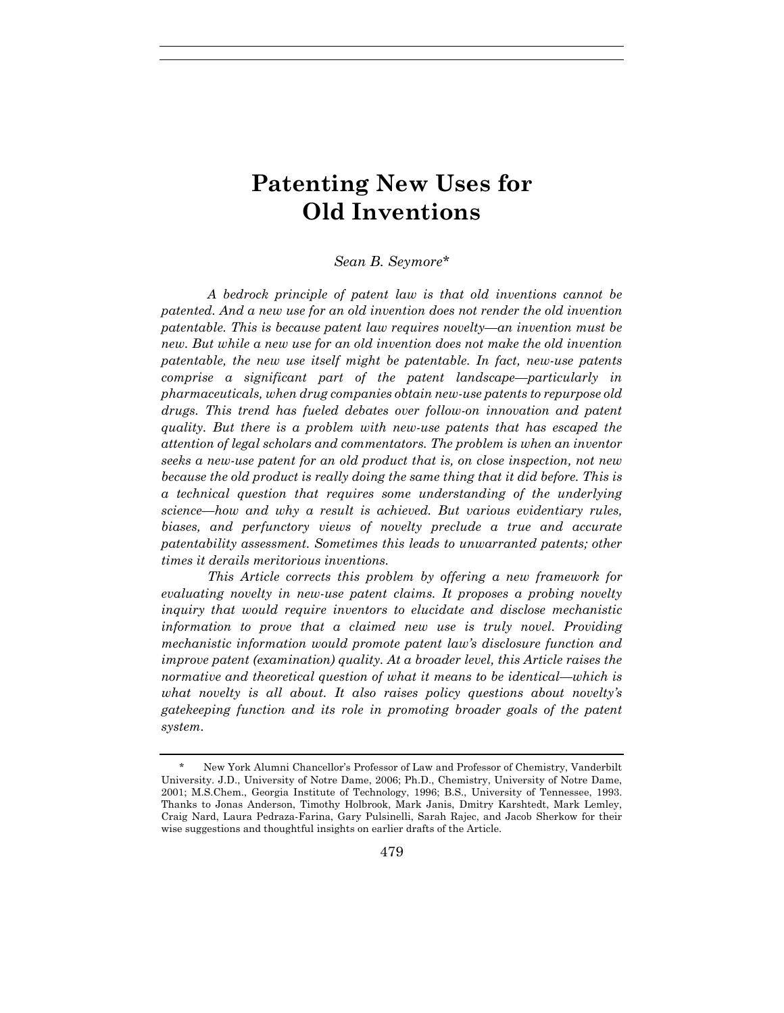# **Patenting New Uses for Old Inventions**

# *Sean B. Seymore\**

*A bedrock principle of patent law is that old inventions cannot be patented. And a new use for an old invention does not render the old invention patentable. This is because patent law requires novelty—an invention must be new. But while a new use for an old invention does not make the old invention patentable, the new use itself might be patentable. In fact, new-use patents comprise a significant part of the patent landscape—particularly in pharmaceuticals, when drug companies obtain new-use patents to repurpose old drugs. This trend has fueled debates over follow-on innovation and patent quality. But there is a problem with new-use patents that has escaped the attention of legal scholars and commentators. The problem is when an inventor seeks a new-use patent for an old product that is, on close inspection, not new because the old product is really doing the same thing that it did before. This is a technical question that requires some understanding of the underlying science—how and why a result is achieved. But various evidentiary rules, biases, and perfunctory views of novelty preclude a true and accurate patentability assessment. Sometimes this leads to unwarranted patents; other times it derails meritorious inventions.*

*This Article corrects this problem by offering a new framework for evaluating novelty in new-use patent claims. It proposes a probing novelty inquiry that would require inventors to elucidate and disclose mechanistic information to prove that a claimed new use is truly novel. Providing mechanistic information would promote patent law's disclosure function and improve patent (examination) quality. At a broader level, this Article raises the normative and theoretical question of what it means to be identical—which is what novelty is all about. It also raises policy questions about novelty's gatekeeping function and its role in promoting broader goals of the patent system.* 

New York Alumni Chancellor's Professor of Law and Professor of Chemistry, Vanderbilt University. J.D., University of Notre Dame, 2006; Ph.D., Chemistry, University of Notre Dame, 2001; M.S.Chem., Georgia Institute of Technology, 1996; B.S., University of Tennessee, 1993. Thanks to Jonas Anderson, Timothy Holbrook, Mark Janis, Dmitry Karshtedt, Mark Lemley, Craig Nard, Laura Pedraza-Farina, Gary Pulsinelli, Sarah Rajec, and Jacob Sherkow for their wise suggestions and thoughtful insights on earlier drafts of the Article.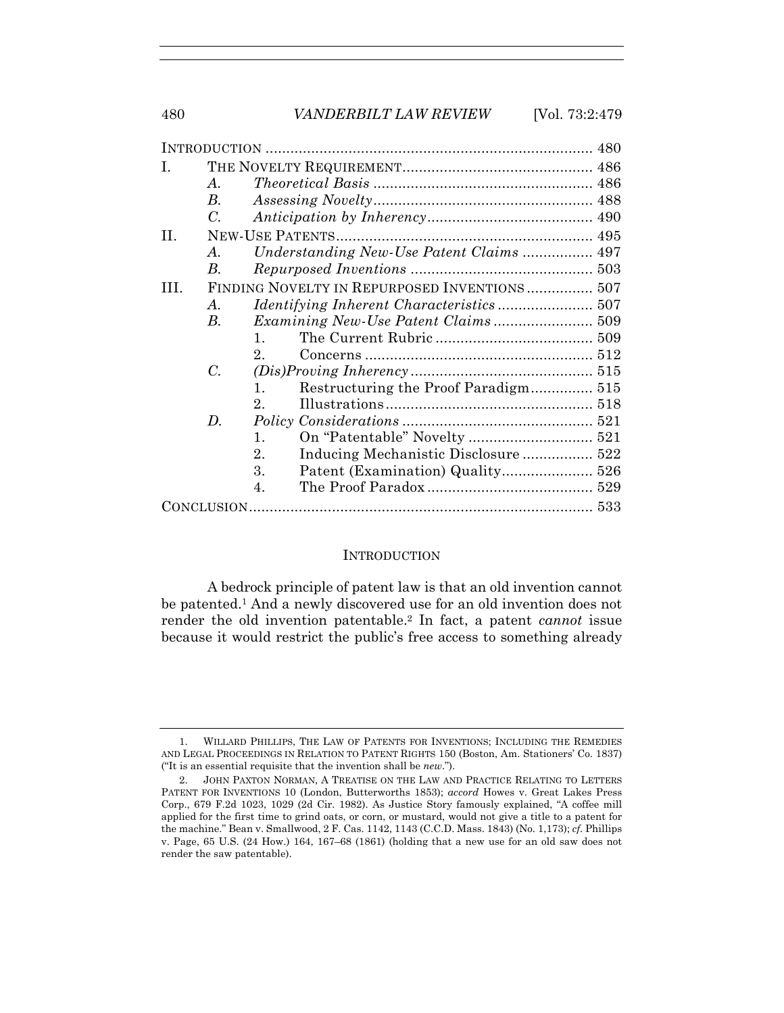| I. |                                              |                                                        |  |
|----|----------------------------------------------|--------------------------------------------------------|--|
|    | A.                                           |                                                        |  |
|    | $B_{\cdot}$                                  |                                                        |  |
|    | $C_{\cdot}$                                  |                                                        |  |
| П. |                                              |                                                        |  |
|    | A.                                           |                                                        |  |
|    | B.                                           |                                                        |  |
| Ш  | FINDING NOVELTY IN REPURPOSED INVENTIONS 507 |                                                        |  |
|    | A.                                           |                                                        |  |
|    | В.                                           |                                                        |  |
|    |                                              | $\mathbf{1}$                                           |  |
|    |                                              | $2^{\circ}$                                            |  |
|    | C.                                           |                                                        |  |
|    |                                              | Restructuring the Proof Paradigm 515<br>$\mathbf{1}$ . |  |
|    |                                              | $2^{\circ}$                                            |  |
|    | $\boldsymbol{D}$ .                           |                                                        |  |
|    |                                              | 1.                                                     |  |
|    |                                              | 2.<br>Inducing Mechanistic Disclosure 522              |  |
|    |                                              | 3.                                                     |  |
|    |                                              | 4.                                                     |  |
|    |                                              |                                                        |  |

#### **INTRODUCTION**

A bedrock principle of patent law is that an old invention cannot be patented.1 And a newly discovered use for an old invention does not render the old invention patentable.2 In fact, a patent *cannot* issue because it would restrict the public's free access to something already

 <sup>1.</sup> WILLARD PHILLIPS, THE LAW OF PATENTS FOR INVENTIONS; INCLUDING THE REMEDIES AND LEGAL PROCEEDINGS IN RELATION TO PATENT RIGHTS 150 (Boston, Am. Stationers' Co. 1837) ("It is an essential requisite that the invention shall be *new*.").

 <sup>2.</sup> JOHN PAXTON NORMAN, A TREATISE ON THE LAW AND PRACTICE RELATING TO LETTERS PATENT FOR INVENTIONS 10 (London, Butterworths 1853); *accord* Howes v. Great Lakes Press Corp., 679 F.2d 1023, 1029 (2d Cir. 1982). As Justice Story famously explained, "A coffee mill applied for the first time to grind oats, or corn, or mustard, would not give a title to a patent for the machine." Bean v. Smallwood, 2 F. Cas. 1142, 1143 (C.C.D. Mass. 1843) (No. 1,173); *cf.* Phillips v. Page, 65 U.S. (24 How.) 164, 167–68 (1861) (holding that a new use for an old saw does not render the saw patentable).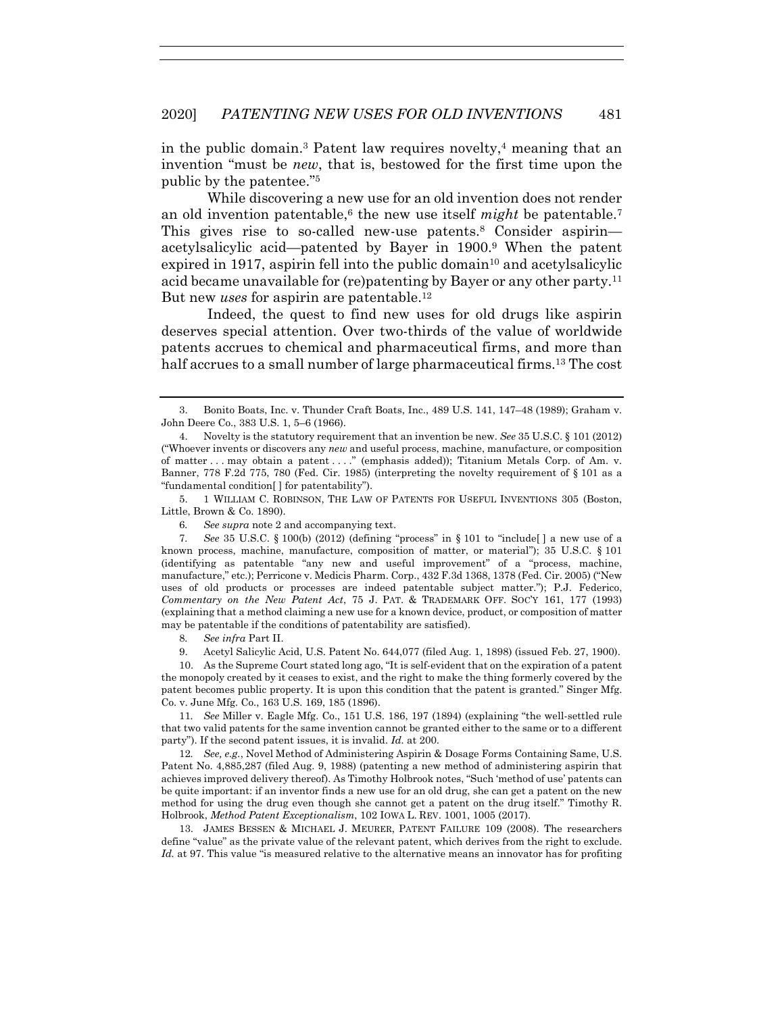in the public domain.<sup>3</sup> Patent law requires novelty,<sup>4</sup> meaning that an invention "must be *new*, that is, bestowed for the first time upon the public by the patentee."5

While discovering a new use for an old invention does not render an old invention patentable,<sup>6</sup> the new use itself *might* be patentable.<sup>7</sup> This gives rise to so-called new-use patents.<sup>8</sup> Consider aspirin acetylsalicylic acid—patented by Bayer in 1900.9 When the patent expired in 1917, aspirin fell into the public domain<sup>10</sup> and acetylsalicylic acid became unavailable for (re)patenting by Bayer or any other party.11 But new *uses* for aspirin are patentable.<sup>12</sup>

Indeed, the quest to find new uses for old drugs like aspirin deserves special attention. Over two-thirds of the value of worldwide patents accrues to chemical and pharmaceutical firms, and more than half accrues to a small number of large pharmaceutical firms.<sup>13</sup> The cost

 5. 1 WILLIAM C. ROBINSON, THE LAW OF PATENTS FOR USEFUL INVENTIONS 305 (Boston, Little, Brown & Co. 1890).

 10. As the Supreme Court stated long ago, "It is self-evident that on the expiration of a patent the monopoly created by it ceases to exist, and the right to make the thing formerly covered by the patent becomes public property. It is upon this condition that the patent is granted." Singer Mfg. Co. v. June Mfg. Co., 163 U.S. 169, 185 (1896).

11*. See* Miller v. Eagle Mfg. Co., 151 U.S. 186, 197 (1894) (explaining "the well-settled rule that two valid patents for the same invention cannot be granted either to the same or to a different party"). If the second patent issues, it is invalid. *Id.* at 200.

12*. See, e.g.*, Novel Method of Administering Aspirin & Dosage Forms Containing Same, U.S. Patent No. 4,885,287 (filed Aug. 9, 1988) (patenting a new method of administering aspirin that achieves improved delivery thereof). As Timothy Holbrook notes, "Such 'method of use' patents can be quite important: if an inventor finds a new use for an old drug, she can get a patent on the new method for using the drug even though she cannot get a patent on the drug itself." Timothy R. Holbrook, *Method Patent Exceptionalism*, 102 IOWA L. REV. 1001, 1005 (2017).

 13. JAMES BESSEN & MICHAEL J. MEURER, PATENT FAILURE 109 (2008). The researchers define "value" as the private value of the relevant patent, which derives from the right to exclude. Id. at 97. This value "is measured relative to the alternative means an innovator has for profiting

 <sup>3.</sup> Bonito Boats, Inc. v. Thunder Craft Boats, Inc., 489 U.S. 141, 147–48 (1989); Graham v. John Deere Co., 383 U.S. 1, 5–6 (1966).

 <sup>4.</sup> Novelty is the statutory requirement that an invention be new. *See* 35 U.S.C. § 101 (2012) ("Whoever invents or discovers any *new* and useful process, machine, manufacture, or composition of matter . . . may obtain a patent . . . ." (emphasis added)); Titanium Metals Corp. of Am. v. Banner, 778 F.2d 775, 780 (Fed. Cir. 1985) (interpreting the novelty requirement of § 101 as a "fundamental condition[ ] for patentability").

<sup>6</sup>*. See supra* note 2 and accompanying text.

<sup>7</sup>*. See* 35 U.S.C. § 100(b) (2012) (defining "process" in § 101 to "include[ ] a new use of a known process, machine, manufacture, composition of matter, or material"); 35 U.S.C. § 101 (identifying as patentable "any new and useful improvement" of a "process, machine, manufacture," etc.); Perricone v. Medicis Pharm. Corp., 432 F.3d 1368, 1378 (Fed. Cir. 2005) ("New uses of old products or processes are indeed patentable subject matter."); P.J. Federico, *Commentary on the New Patent Act*, 75 J. PAT. & TRADEMARK OFF. SOC'Y 161, 177 (1993) (explaining that a method claiming a new use for a known device, product, or composition of matter may be patentable if the conditions of patentability are satisfied).

<sup>8</sup>*. See infra* Part II.

 <sup>9.</sup> Acetyl Salicylic Acid, U.S. Patent No. 644,077 (filed Aug. 1, 1898) (issued Feb. 27, 1900).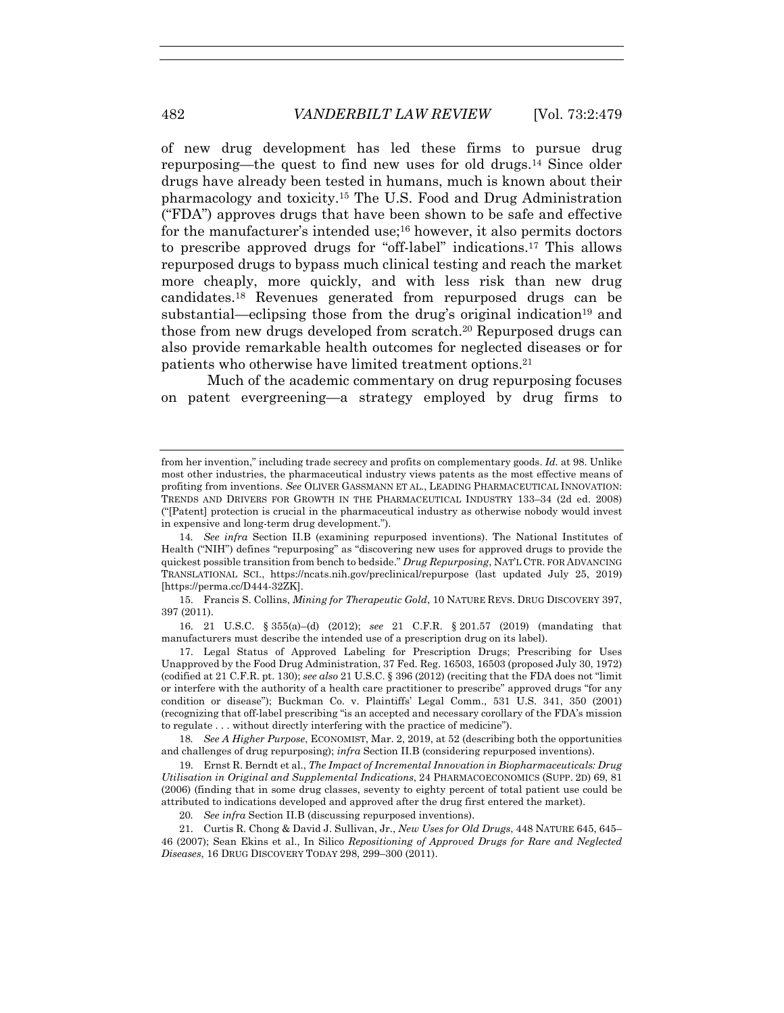of new drug development has led these firms to pursue drug repurposing—the quest to find new uses for old drugs.14 Since older drugs have already been tested in humans, much is known about their pharmacology and toxicity.15 The U.S. Food and Drug Administration ("FDA") approves drugs that have been shown to be safe and effective for the manufacturer's intended use;16 however, it also permits doctors to prescribe approved drugs for "off-label" indications.17 This allows repurposed drugs to bypass much clinical testing and reach the market more cheaply, more quickly, and with less risk than new drug candidates.18 Revenues generated from repurposed drugs can be substantial—eclipsing those from the drug's original indication<sup>19</sup> and those from new drugs developed from scratch.<sup>20</sup> Repurposed drugs can also provide remarkable health outcomes for neglected diseases or for patients who otherwise have limited treatment options.21

Much of the academic commentary on drug repurposing focuses on patent evergreening—a strategy employed by drug firms to

 15. Francis S. Collins, *Mining for Therapeutic Gold*, 10 NATURE REVS. DRUG DISCOVERY 397, 397 (2011).

 16. 21 U.S.C. § 355(a)–(d) (2012); *see* 21 C.F.R. § 201.57 (2019) (mandating that manufacturers must describe the intended use of a prescription drug on its label).

 17. Legal Status of Approved Labeling for Prescription Drugs; Prescribing for Uses Unapproved by the Food Drug Administration, 37 Fed. Reg. 16503, 16503 (proposed July 30, 1972) (codified at 21 C.F.R. pt. 130); *see also* 21 U.S.C. § 396 (2012) (reciting that the FDA does not "limit or interfere with the authority of a health care practitioner to prescribe" approved drugs "for any condition or disease"); Buckman Co. v. Plaintiffs' Legal Comm., 531 U.S. 341, 350 (2001) (recognizing that off-label prescribing "is an accepted and necessary corollary of the FDA's mission to regulate . . . without directly interfering with the practice of medicine").

18*. See A Higher Purpose*, ECONOMIST, Mar. 2, 2019, at 52 (describing both the opportunities and challenges of drug repurposing); *infra* Section II.B (considering repurposed inventions).

 19. Ernst R. Berndt et al., *The Impact of Incremental Innovation in Biopharmaceuticals: Drug Utilisation in Original and Supplemental Indications*, 24 PHARMACOECONOMICS (SUPP. 2D) 69, 81 (2006) (finding that in some drug classes, seventy to eighty percent of total patient use could be attributed to indications developed and approved after the drug first entered the market).

20*. See infra* Section II.B (discussing repurposed inventions).

 21. Curtis R. Chong & David J. Sullivan, Jr., *New Uses for Old Drugs*, 448 NATURE 645, 645– 46 (2007); Sean Ekins et al., In Silico *Repositioning of Approved Drugs for Rare and Neglected Diseases*, 16 DRUG DISCOVERY TODAY 298, 299–300 (2011).

from her invention," including trade secrecy and profits on complementary goods. *Id.* at 98. Unlike most other industries, the pharmaceutical industry views patents as the most effective means of profiting from inventions. *See* OLIVER GASSMANN ET AL., LEADING PHARMACEUTICAL INNOVATION: TRENDS AND DRIVERS FOR GROWTH IN THE PHARMACEUTICAL INDUSTRY 133–34 (2d ed. 2008) ("[Patent] protection is crucial in the pharmaceutical industry as otherwise nobody would invest in expensive and long-term drug development.").

<sup>14</sup>*. See infra* Section II.B (examining repurposed inventions). The National Institutes of Health ("NIH") defines "repurposing" as "discovering new uses for approved drugs to provide the quickest possible transition from bench to bedside." *Drug Repurposing*, NAT'L CTR. FOR ADVANCING TRANSLATIONAL SCI., https://ncats.nih.gov/preclinical/repurpose (last updated July 25, 2019) [https://perma.cc/D444-32ZK].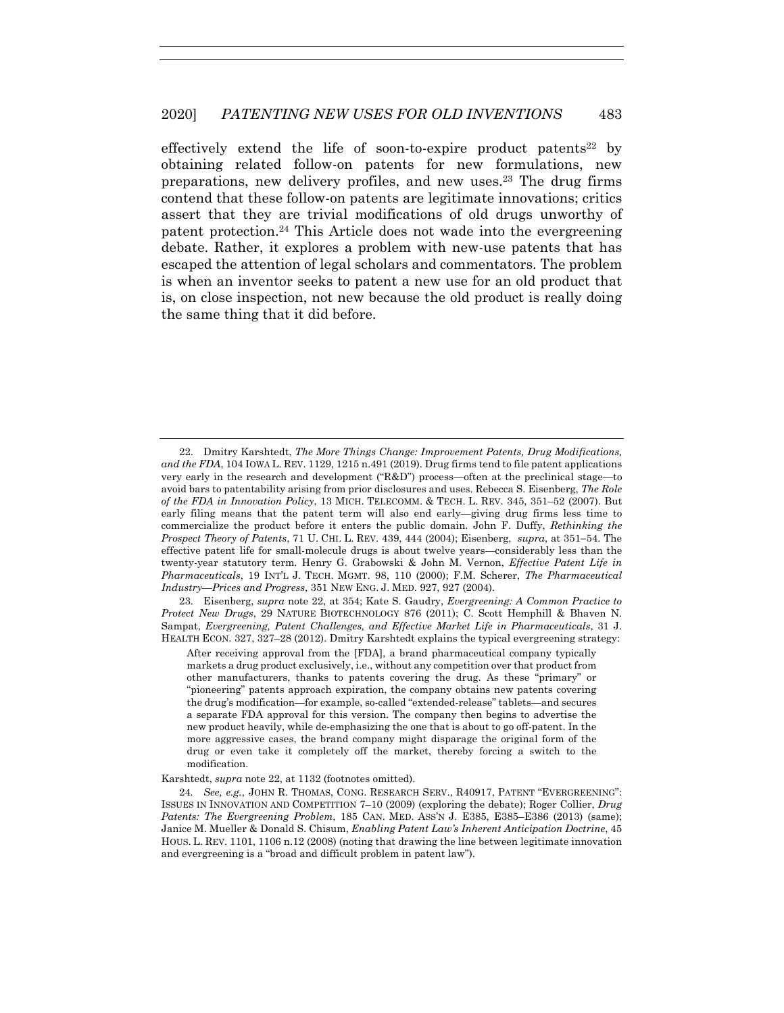effectively extend the life of soon-to-expire product patents<sup>22</sup> by obtaining related follow-on patents for new formulations, new preparations, new delivery profiles, and new uses.23 The drug firms contend that these follow-on patents are legitimate innovations; critics assert that they are trivial modifications of old drugs unworthy of patent protection.24 This Article does not wade into the evergreening debate. Rather, it explores a problem with new-use patents that has escaped the attention of legal scholars and commentators. The problem is when an inventor seeks to patent a new use for an old product that is, on close inspection, not new because the old product is really doing the same thing that it did before.

 23. Eisenberg, *supra* note 22, at 354; Kate S. Gaudry, *Evergreening: A Common Practice to Protect New Drugs*, 29 NATURE BIOTECHNOLOGY 876 (2011); C. Scott Hemphill & Bhaven N. Sampat, *Evergreening, Patent Challenges, and Effective Market Life in Pharmaceuticals*, 31 J. HEALTH ECON. 327, 327–28 (2012). Dmitry Karshtedt explains the typical evergreening strategy:

After receiving approval from the [FDA], a brand pharmaceutical company typically markets a drug product exclusively, i.e., without any competition over that product from other manufacturers, thanks to patents covering the drug. As these "primary" or "pioneering" patents approach expiration, the company obtains new patents covering the drug's modification—for example, so-called "extended-release" tablets—and secures a separate FDA approval for this version. The company then begins to advertise the new product heavily, while de-emphasizing the one that is about to go off-patent. In the more aggressive cases, the brand company might disparage the original form of the drug or even take it completely off the market, thereby forcing a switch to the modification.

Karshtedt, *supra* note 22, at 1132 (footnotes omitted).

24*. See, e.g.*, JOHN R. THOMAS, CONG. RESEARCH SERV., R40917, PATENT "EVERGREENING": ISSUES IN INNOVATION AND COMPETITION 7–10 (2009) (exploring the debate); Roger Collier, *Drug Patents: The Evergreening Problem*, 185 CAN. MED. ASS'N J. E385, E385–E386 (2013) (same); Janice M. Mueller & Donald S. Chisum, *Enabling Patent Law's Inherent Anticipation Doctrine*, 45 HOUS. L. REV. 1101, 1106 n.12 (2008) (noting that drawing the line between legitimate innovation and evergreening is a "broad and difficult problem in patent law").

 <sup>22.</sup> Dmitry Karshtedt, *The More Things Change: Improvement Patents, Drug Modifications, and the FDA*, 104 IOWA L. REV. 1129, 1215 n.491 (2019). Drug firms tend to file patent applications very early in the research and development ("R&D") process—often at the preclinical stage—to avoid bars to patentability arising from prior disclosures and uses. Rebecca S. Eisenberg, *The Role of the FDA in Innovation Policy*, 13 MICH. TELECOMM. & TECH. L. REV. 345, 351–52 (2007). But early filing means that the patent term will also end early—giving drug firms less time to commercialize the product before it enters the public domain. John F. Duffy, *Rethinking the Prospect Theory of Patents*, 71 U. CHI. L. REV. 439, 444 (2004); Eisenberg, *supra*, at 351−54. The effective patent life for small-molecule drugs is about twelve years—considerably less than the twenty-year statutory term. Henry G. Grabowski & John M. Vernon, *Effective Patent Life in Pharmaceuticals*, 19 INT'L J. TECH. MGMT. 98, 110 (2000); F.M. Scherer, *The Pharmaceutical Industry—Prices and Progress*, 351 NEW ENG. J. MED. 927, 927 (2004).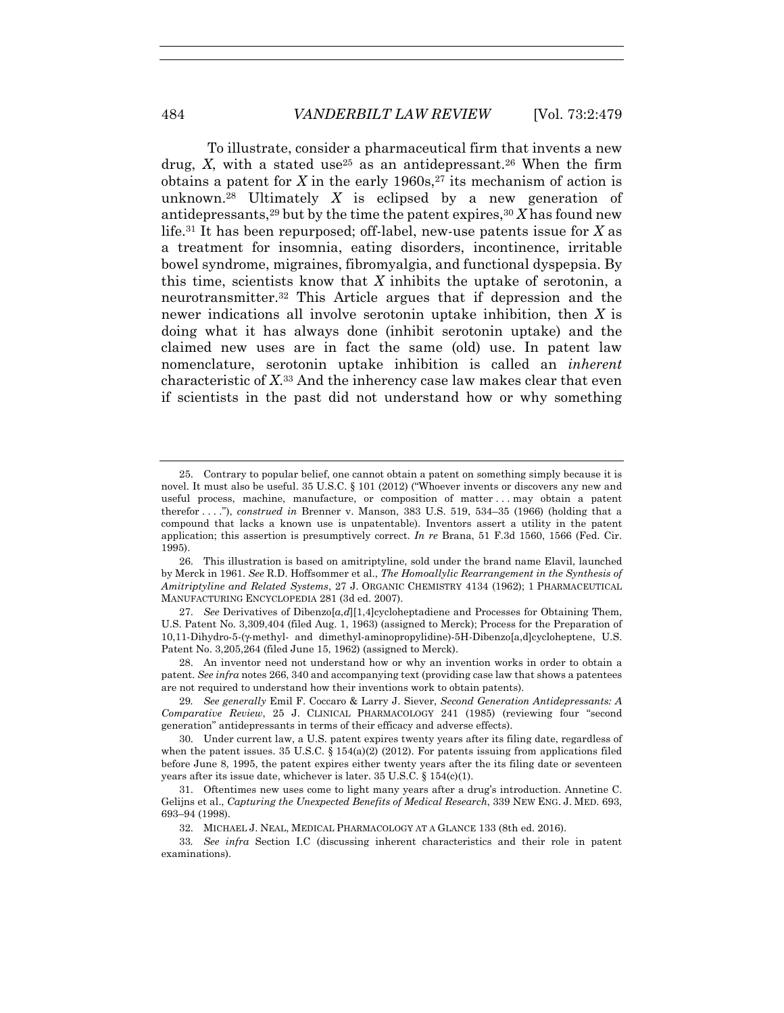To illustrate, consider a pharmaceutical firm that invents a new drug, *X*, with a stated use<sup>25</sup> as an antidepressant.<sup>26</sup> When the firm obtains a patent for *X* in the early 1960s,<sup>27</sup> its mechanism of action is unknown.28 Ultimately *X* is eclipsed by a new generation of antidepressants,<sup>29</sup> but by the time the patent expires,  $30 X$  has found new life.31 It has been repurposed; off-label, new-use patents issue for *X* as a treatment for insomnia, eating disorders, incontinence, irritable bowel syndrome, migraines, fibromyalgia, and functional dyspepsia. By this time, scientists know that *X* inhibits the uptake of serotonin, a neurotransmitter.32 This Article argues that if depression and the newer indications all involve serotonin uptake inhibition, then *X* is doing what it has always done (inhibit serotonin uptake) and the claimed new uses are in fact the same (old) use. In patent law nomenclature, serotonin uptake inhibition is called an *inherent* characteristic of *X*.33 And the inherency case law makes clear that even if scientists in the past did not understand how or why something

 <sup>25.</sup> Contrary to popular belief, one cannot obtain a patent on something simply because it is novel. It must also be useful. 35 U.S.C. § 101 (2012) ("Whoever invents or discovers any new and useful process, machine, manufacture, or composition of matter . . . may obtain a patent therefor . . . ."), *construed in* Brenner v. Manson, 383 U.S. 519, 534–35 (1966) (holding that a compound that lacks a known use is unpatentable). Inventors assert a utility in the patent application; this assertion is presumptively correct. *In re* Brana, 51 F.3d 1560, 1566 (Fed. Cir. 1995).

 <sup>26.</sup> This illustration is based on amitriptyline, sold under the brand name Elavil, launched by Merck in 1961. *See* R.D. Hoffsommer et al., *The Homoallylic Rearrangement in the Synthesis of Amitriptyline and Related Systems*, 27 J. ORGANIC CHEMISTRY 4134 (1962); 1 PHARMACEUTICAL MANUFACTURING ENCYCLOPEDIA 281 (3d ed. 2007).

 <sup>27.</sup> *See* Derivatives of Dibenzo[*a*,*d*][1,4]cycloheptadiene and Processes for Obtaining Them, U.S. Patent No. 3,309,404 (filed Aug. 1, 1963) (assigned to Merck); Process for the Preparation of 10,11-Dihydro-5-(γ-methyl- and dimethyl-aminopropylidine)-5H-Dibenzo[a,d]cycloheptene, U.S. Patent No. 3,205,264 (filed June 15, 1962) (assigned to Merck).

 <sup>28.</sup> An inventor need not understand how or why an invention works in order to obtain a patent. *See infra* notes 266, 340 and accompanying text (providing case law that shows a patentees are not required to understand how their inventions work to obtain patents).

<sup>29</sup>*. See generally* Emil F. Coccaro & Larry J. Siever, *Second Generation Antidepressants: A Comparative Review*, 25 J. CLINICAL PHARMACOLOGY 241 (1985) (reviewing four "second generation" antidepressants in terms of their efficacy and adverse effects).

 <sup>30.</sup> Under current law, a U.S. patent expires twenty years after its filing date, regardless of when the patent issues. 35 U.S.C.  $\S 154(a)(2)$  (2012). For patents issuing from applications filed before June 8, 1995, the patent expires either twenty years after the its filing date or seventeen years after its issue date, whichever is later.  $35 \text{ U.S.C.} \S 154(c)(1)$ .

 <sup>31.</sup> Oftentimes new uses come to light many years after a drug's introduction. Annetine C. Gelijns et al., *Capturing the Unexpected Benefits of Medical Research*, 339 NEW ENG. J. MED. 693, 693–94 (1998).

 <sup>32.</sup> MICHAEL J. NEAL, MEDICAL PHARMACOLOGY AT A GLANCE 133 (8th ed. 2016).

<sup>33</sup>*. See infra* Section I.C (discussing inherent characteristics and their role in patent examinations).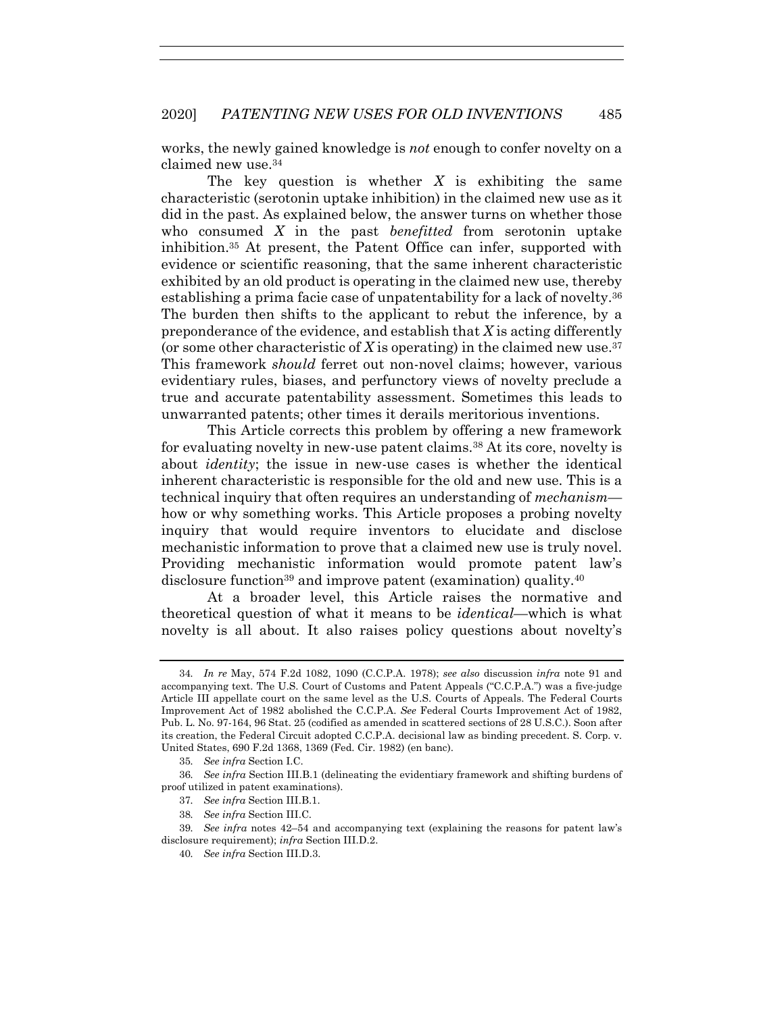works, the newly gained knowledge is *not* enough to confer novelty on a claimed new use.34

The key question is whether *X* is exhibiting the same characteristic (serotonin uptake inhibition) in the claimed new use as it did in the past. As explained below, the answer turns on whether those who consumed *X* in the past *benefitted* from serotonin uptake inhibition.35 At present, the Patent Office can infer, supported with evidence or scientific reasoning, that the same inherent characteristic exhibited by an old product is operating in the claimed new use, thereby establishing a prima facie case of unpatentability for a lack of novelty.36 The burden then shifts to the applicant to rebut the inference, by a preponderance of the evidence, and establish that *X* is acting differently (or some other characteristic of  $X$  is operating) in the claimed new use.<sup>37</sup> This framework *should* ferret out non-novel claims; however, various evidentiary rules, biases, and perfunctory views of novelty preclude a true and accurate patentability assessment. Sometimes this leads to unwarranted patents; other times it derails meritorious inventions.

This Article corrects this problem by offering a new framework for evaluating novelty in new-use patent claims.38 At its core, novelty is about *identity*; the issue in new-use cases is whether the identical inherent characteristic is responsible for the old and new use. This is a technical inquiry that often requires an understanding of *mechanism* how or why something works. This Article proposes a probing novelty inquiry that would require inventors to elucidate and disclose mechanistic information to prove that a claimed new use is truly novel. Providing mechanistic information would promote patent law's disclosure function<sup>39</sup> and improve patent (examination) quality.<sup>40</sup>

At a broader level, this Article raises the normative and theoretical question of what it means to be *identical*—which is what novelty is all about. It also raises policy questions about novelty's

- 37*. See infra* Section III.B.1.
- 38*. See infra* Section III.C.

<sup>34</sup>*. In re* May, 574 F.2d 1082, 1090 (C.C.P.A. 1978); *see also* discussion *infra* note 91 and accompanying text. The U.S. Court of Customs and Patent Appeals ("C.C.P.A.") was a five-judge Article III appellate court on the same level as the U.S. Courts of Appeals. The Federal Courts Improvement Act of 1982 abolished the C.C.P.A. *See* Federal Courts Improvement Act of 1982, Pub. L. No. 97-164, 96 Stat. 25 (codified as amended in scattered sections of 28 U.S.C.). Soon after its creation, the Federal Circuit adopted C.C.P.A. decisional law as binding precedent. S. Corp. v. United States, 690 F.2d 1368, 1369 (Fed. Cir. 1982) (en banc).

<sup>35</sup>*. See infra* Section I.C.

<sup>36</sup>*. See infra* Section III.B.1 (delineating the evidentiary framework and shifting burdens of proof utilized in patent examinations).

<sup>39</sup>*. See infra* notes 42–54 and accompanying text (explaining the reasons for patent law's disclosure requirement); *infra* Section III.D.2.

<sup>40</sup>*. See infra* Section III.D.3.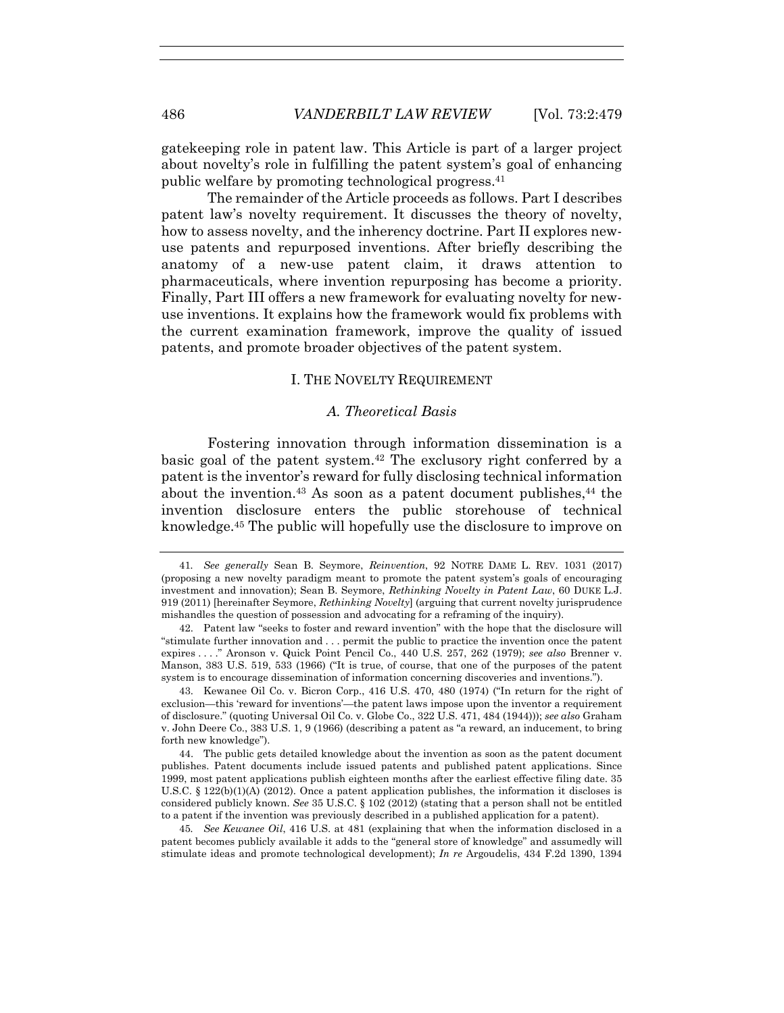gatekeeping role in patent law. This Article is part of a larger project about novelty's role in fulfilling the patent system's goal of enhancing public welfare by promoting technological progress.41

The remainder of the Article proceeds as follows. Part I describes patent law's novelty requirement. It discusses the theory of novelty, how to assess novelty, and the inherency doctrine. Part II explores newuse patents and repurposed inventions. After briefly describing the anatomy of a new-use patent claim, it draws attention to pharmaceuticals, where invention repurposing has become a priority. Finally, Part III offers a new framework for evaluating novelty for newuse inventions. It explains how the framework would fix problems with the current examination framework, improve the quality of issued patents, and promote broader objectives of the patent system.

# I. THE NOVELTY REQUIREMENT

# *A. Theoretical Basis*

Fostering innovation through information dissemination is a basic goal of the patent system.42 The exclusory right conferred by a patent is the inventor's reward for fully disclosing technical information about the invention.<sup>43</sup> As soon as a patent document publishes.<sup>44</sup> the invention disclosure enters the public storehouse of technical knowledge.45 The public will hopefully use the disclosure to improve on

<sup>41</sup>*. See generally* Sean B. Seymore, *Reinvention*, 92 NOTRE DAME L. REV. 1031 (2017) (proposing a new novelty paradigm meant to promote the patent system's goals of encouraging investment and innovation); Sean B. Seymore, *Rethinking Novelty in Patent Law*, 60 DUKE L.J. 919 (2011) [hereinafter Seymore, *Rethinking Novelty*] (arguing that current novelty jurisprudence mishandles the question of possession and advocating for a reframing of the inquiry).

 <sup>42.</sup> Patent law "seeks to foster and reward invention" with the hope that the disclosure will "stimulate further innovation and . . . permit the public to practice the invention once the patent expires . . . ." Aronson v. Quick Point Pencil Co., 440 U.S. 257, 262 (1979); *see also* Brenner v. Manson, 383 U.S. 519, 533 (1966) ("It is true, of course, that one of the purposes of the patent system is to encourage dissemination of information concerning discoveries and inventions.").

 <sup>43.</sup> Kewanee Oil Co. v. Bicron Corp., 416 U.S. 470, 480 (1974) ("In return for the right of exclusion—this 'reward for inventions'—the patent laws impose upon the inventor a requirement of disclosure." (quoting Universal Oil Co. v. Globe Co., 322 U.S. 471, 484 (1944))); *see also* Graham v. John Deere Co., 383 U.S. 1, 9 (1966) (describing a patent as "a reward, an inducement, to bring forth new knowledge").

 <sup>44.</sup> The public gets detailed knowledge about the invention as soon as the patent document publishes. Patent documents include issued patents and published patent applications. Since 1999, most patent applications publish eighteen months after the earliest effective filing date. 35 U.S.C. § 122(b)(1)(A) (2012). Once a patent application publishes, the information it discloses is considered publicly known. *See* 35 U.S.C. § 102 (2012) (stating that a person shall not be entitled to a patent if the invention was previously described in a published application for a patent).

<sup>45</sup>*. See Kewanee Oil*, 416 U.S. at 481 (explaining that when the information disclosed in a patent becomes publicly available it adds to the "general store of knowledge" and assumedly will stimulate ideas and promote technological development); *In re* Argoudelis, 434 F.2d 1390, 1394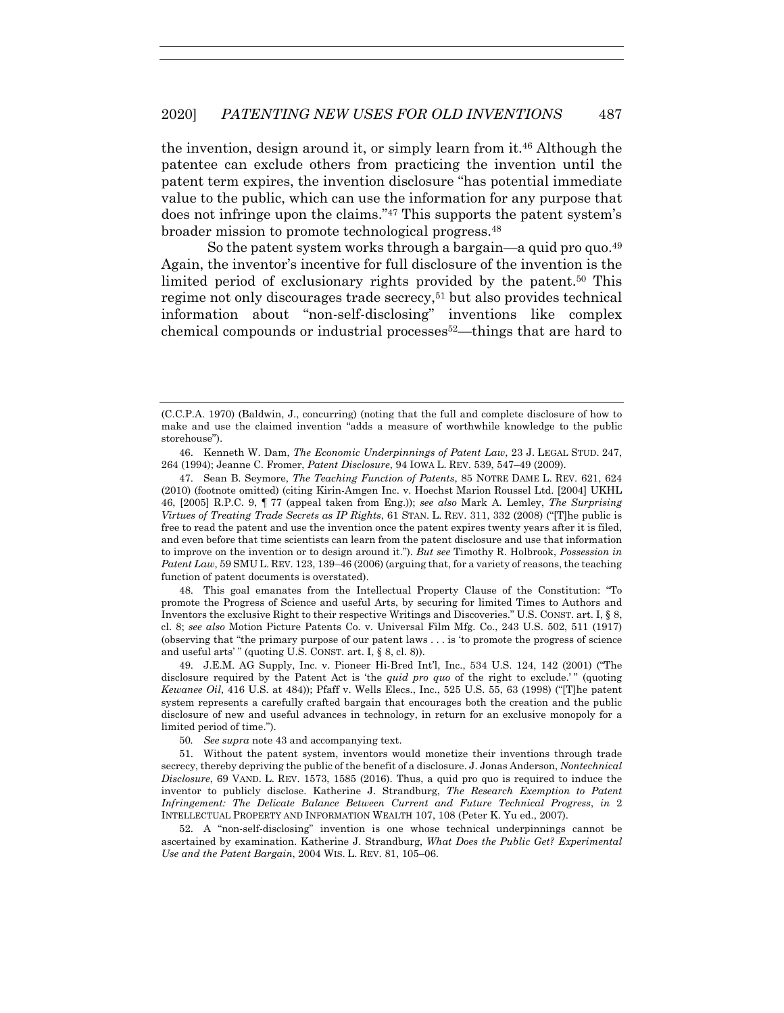the invention, design around it, or simply learn from it.46 Although the patentee can exclude others from practicing the invention until the patent term expires, the invention disclosure "has potential immediate value to the public, which can use the information for any purpose that does not infringe upon the claims."47 This supports the patent system's broader mission to promote technological progress.48

So the patent system works through a bargain—a quid pro quo.<sup>49</sup> Again, the inventor's incentive for full disclosure of the invention is the limited period of exclusionary rights provided by the patent.<sup>50</sup> This regime not only discourages trade secrecy,51 but also provides technical information about "non-self-disclosing" inventions like complex chemical compounds or industrial processes52—things that are hard to

 46. Kenneth W. Dam, *The Economic Underpinnings of Patent Law*, 23 J. LEGAL STUD. 247, 264 (1994); Jeanne C. Fromer, *Patent Disclosure*, 94 IOWA L. REV. 539, 547–49 (2009).

 47. Sean B. Seymore, *The Teaching Function of Patents*, 85 NOTRE DAME L. REV. 621, 624 (2010) (footnote omitted) (citing Kirin-Amgen Inc. v. Hoechst Marion Roussel Ltd. [2004] UKHL 46, [2005] R.P.C. 9, ¶ 77 (appeal taken from Eng.)); *see also* Mark A. Lemley, *The Surprising Virtues of Treating Trade Secrets as IP Rights*, 61 STAN. L. REV. 311, 332 (2008) ("[T]he public is free to read the patent and use the invention once the patent expires twenty years after it is filed, and even before that time scientists can learn from the patent disclosure and use that information to improve on the invention or to design around it."). *But see* Timothy R. Holbrook, *Possession in Patent Law*, 59 SMU L. REV. 123, 139–46 (2006) (arguing that, for a variety of reasons, the teaching function of patent documents is overstated).

 48. This goal emanates from the Intellectual Property Clause of the Constitution: "To promote the Progress of Science and useful Arts, by securing for limited Times to Authors and Inventors the exclusive Right to their respective Writings and Discoveries." U.S. CONST. art. I, § 8, cl. 8; *see also* Motion Picture Patents Co. v. Universal Film Mfg. Co., 243 U.S. 502, 511 (1917) (observing that "the primary purpose of our patent laws . . . is 'to promote the progress of science and useful arts'" (quoting U.S. CONST. art. I, § 8, cl. 8)).

 49. J.E.M. AG Supply, Inc. v. Pioneer Hi-Bred Int'l, Inc., 534 U.S. 124, 142 (2001) ("The disclosure required by the Patent Act is 'the *quid pro quo* of the right to exclude.'" (quoting *Kewanee Oil*, 416 U.S. at 484)); Pfaff v. Wells Elecs., Inc., 525 U.S. 55, 63 (1998) ("[T]he patent system represents a carefully crafted bargain that encourages both the creation and the public disclosure of new and useful advances in technology, in return for an exclusive monopoly for a limited period of time.").

50*. See supra* note 43 and accompanying text.

 51. Without the patent system, inventors would monetize their inventions through trade secrecy, thereby depriving the public of the benefit of a disclosure. J. Jonas Anderson, *Nontechnical Disclosure*, 69 VAND. L. REV. 1573, 1585 (2016). Thus, a quid pro quo is required to induce the inventor to publicly disclose. Katherine J. Strandburg, *The Research Exemption to Patent Infringement: The Delicate Balance Between Current and Future Technical Progress*, *in* 2 INTELLECTUAL PROPERTY AND INFORMATION WEALTH 107, 108 (Peter K. Yu ed., 2007).

 52. A "non-self-disclosing" invention is one whose technical underpinnings cannot be ascertained by examination. Katherine J. Strandburg, *What Does the Public Get? Experimental Use and the Patent Bargain*, 2004 WIS. L. REV. 81, 105–06.

<sup>(</sup>C.C.P.A. 1970) (Baldwin, J., concurring) (noting that the full and complete disclosure of how to make and use the claimed invention "adds a measure of worthwhile knowledge to the public storehouse").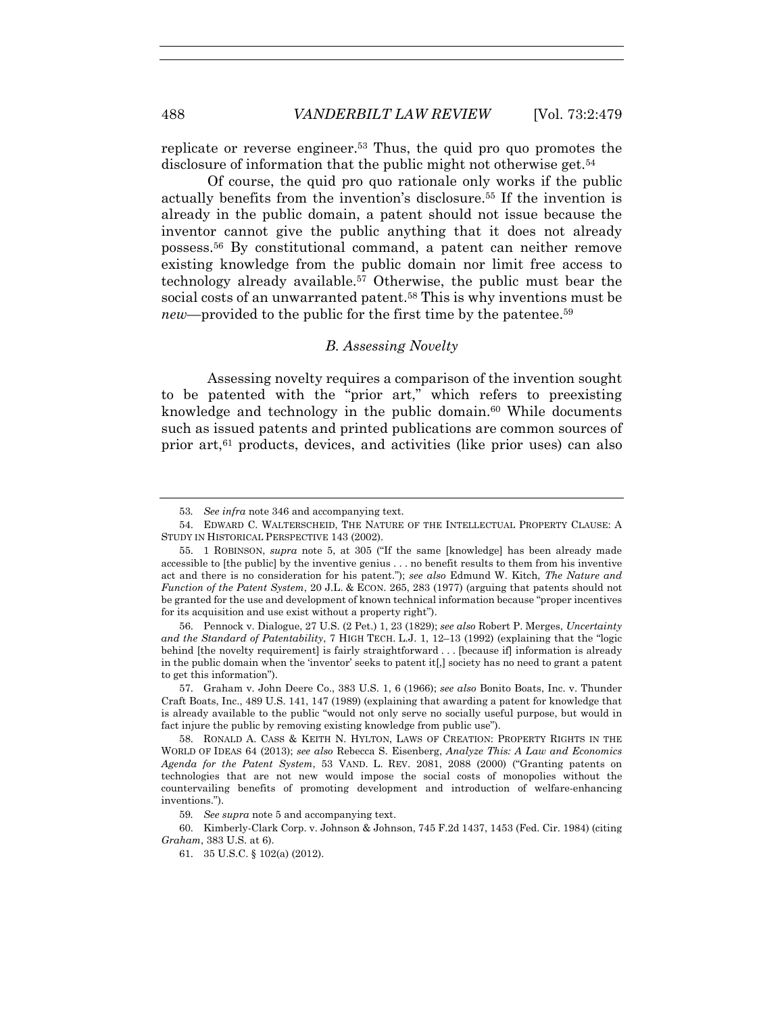replicate or reverse engineer.53 Thus, the quid pro quo promotes the disclosure of information that the public might not otherwise get.<sup>54</sup>

Of course, the quid pro quo rationale only works if the public actually benefits from the invention's disclosure.55 If the invention is already in the public domain, a patent should not issue because the inventor cannot give the public anything that it does not already possess.56 By constitutional command, a patent can neither remove existing knowledge from the public domain nor limit free access to technology already available.57 Otherwise, the public must bear the social costs of an unwarranted patent.58 This is why inventions must be *new*—provided to the public for the first time by the patentee.<sup>59</sup>

## *B. Assessing Novelty*

Assessing novelty requires a comparison of the invention sought to be patented with the "prior art," which refers to preexisting knowledge and technology in the public domain.<sup>60</sup> While documents such as issued patents and printed publications are common sources of prior art,61 products, devices, and activities (like prior uses) can also

 56. Pennock v. Dialogue, 27 U.S. (2 Pet.) 1, 23 (1829); *see also* Robert P. Merges, *Uncertainty and the Standard of Patentability*, 7 HIGH TECH. L.J. 1, 12–13 (1992) (explaining that the "logic behind [the novelty requirement] is fairly straightforward . . . [because if] information is already in the public domain when the 'inventor' seeks to patent it[,] society has no need to grant a patent to get this information").

 57. Graham v. John Deere Co., 383 U.S. 1, 6 (1966); *see also* Bonito Boats, Inc. v. Thunder Craft Boats, Inc., 489 U.S. 141, 147 (1989) (explaining that awarding a patent for knowledge that is already available to the public "would not only serve no socially useful purpose, but would in fact injure the public by removing existing knowledge from public use").

 58. RONALD A. CASS & KEITH N. HYLTON, LAWS OF CREATION: PROPERTY RIGHTS IN THE WORLD OF IDEAS 64 (2013); *see also* Rebecca S. Eisenberg, *Analyze This: A Law and Economics Agenda for the Patent System*, 53 VAND. L. REV. 2081, 2088 (2000) ("Granting patents on technologies that are not new would impose the social costs of monopolies without the countervailing benefits of promoting development and introduction of welfare-enhancing inventions.").

<sup>53</sup>*. See infra* note 346 and accompanying text.

 <sup>54.</sup> EDWARD C. WALTERSCHEID, THE NATURE OF THE INTELLECTUAL PROPERTY CLAUSE: A STUDY IN HISTORICAL PERSPECTIVE 143 (2002).

 <sup>55. 1</sup> ROBINSON, *supra* note 5, at 305 ("If the same [knowledge] has been already made accessible to [the public] by the inventive genius . . . no benefit results to them from his inventive act and there is no consideration for his patent."); *see also* Edmund W. Kitch, *The Nature and Function of the Patent System*, 20 J.L. & ECON. 265, 283 (1977) (arguing that patents should not be granted for the use and development of known technical information because "proper incentives for its acquisition and use exist without a property right").

<sup>59</sup>*. See supra* note 5 and accompanying text.

 <sup>60.</sup> Kimberly-Clark Corp. v. Johnson & Johnson, 745 F.2d 1437, 1453 (Fed. Cir. 1984) (citing *Graham*, 383 U.S. at 6).

 <sup>61. 35</sup> U.S.C. § 102(a) (2012).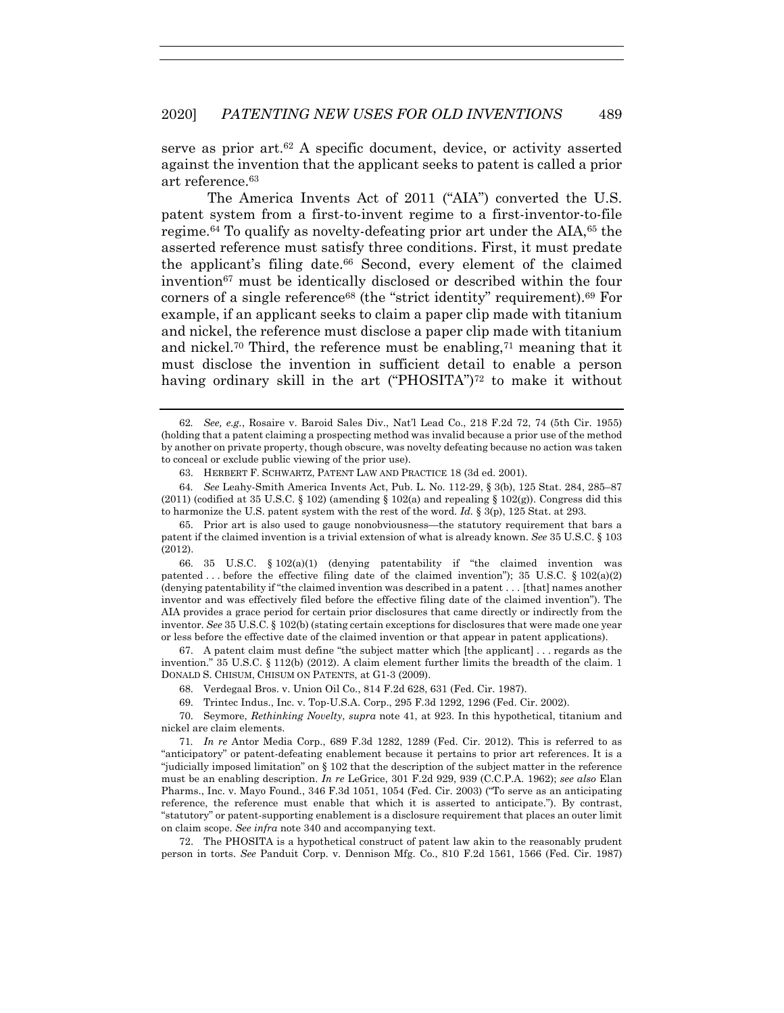serve as prior  $art.^{62}$  A specific document, device, or activity asserted against the invention that the applicant seeks to patent is called a prior art reference.63

The America Invents Act of 2011 ("AIA") converted the U.S. patent system from a first-to-invent regime to a first-inventor-to-file regime.64 To qualify as novelty-defeating prior art under the AIA,65 the asserted reference must satisfy three conditions. First, it must predate the applicant's filing date.66 Second, every element of the claimed invention67 must be identically disclosed or described within the four corners of a single reference<sup>68</sup> (the "strict identity" requirement).<sup>69</sup> For example, if an applicant seeks to claim a paper clip made with titanium and nickel, the reference must disclose a paper clip made with titanium and nickel.<sup>70</sup> Third, the reference must be enabling,<sup>71</sup> meaning that it must disclose the invention in sufficient detail to enable a person having ordinary skill in the art ("PHOSITA")<sup>72</sup> to make it without

 66. 35 U.S.C. § 102(a)(1) (denying patentability if "the claimed invention was patented ... before the effective filing date of the claimed invention"); 35 U.S.C. § 102(a)(2) (denying patentability if "the claimed invention was described in a patent . . . [that] names another inventor and was effectively filed before the effective filing date of the claimed invention"). The AIA provides a grace period for certain prior disclosures that came directly or indirectly from the inventor. *See* 35 U.S.C. § 102(b) (stating certain exceptions for disclosures that were made one year or less before the effective date of the claimed invention or that appear in patent applications).

 67. A patent claim must define "the subject matter which [the applicant] . . . regards as the invention." 35 U.S.C. § 112(b) (2012). A claim element further limits the breadth of the claim. 1 DONALD S. CHISUM, CHISUM ON PATENTS, at G1-3 (2009).

68. Verdegaal Bros. v. Union Oil Co., 814 F.2d 628, 631 (Fed. Cir. 1987).

69. Trintec Indus., Inc. v. Top-U.S.A. Corp., 295 F.3d 1292, 1296 (Fed. Cir. 2002).

 70. Seymore, *Rethinking Novelty*, *supra* note 41, at 923. In this hypothetical, titanium and nickel are claim elements.

71*. In re* Antor Media Corp., 689 F.3d 1282, 1289 (Fed. Cir. 2012). This is referred to as "anticipatory" or patent-defeating enablement because it pertains to prior art references. It is a "judicially imposed limitation" on § 102 that the description of the subject matter in the reference must be an enabling description. *In re* LeGrice, 301 F.2d 929, 939 (C.C.P.A. 1962); *see also* Elan Pharms., Inc. v. Mayo Found., 346 F.3d 1051, 1054 (Fed. Cir. 2003) ("To serve as an anticipating reference, the reference must enable that which it is asserted to anticipate."). By contrast, "statutory" or patent-supporting enablement is a disclosure requirement that places an outer limit on claim scope. *See infra* note 340 and accompanying text.

 72. The PHOSITA is a hypothetical construct of patent law akin to the reasonably prudent person in torts. *See* Panduit Corp. v. Dennison Mfg. Co., 810 F.2d 1561, 1566 (Fed. Cir. 1987)

<sup>62</sup>*. See, e.g.*, Rosaire v. Baroid Sales Div., Nat'l Lead Co., 218 F.2d 72, 74 (5th Cir. 1955) (holding that a patent claiming a prospecting method was invalid because a prior use of the method by another on private property, though obscure, was novelty defeating because no action was taken to conceal or exclude public viewing of the prior use).

 <sup>63.</sup> HERBERT F. SCHWARTZ, PATENT LAW AND PRACTICE 18 (3d ed. 2001).

<sup>64</sup>*. See* Leahy-Smith America Invents Act, Pub. L. No. 112-29, § 3(b), 125 Stat. 284, 285–87  $(2011)$  (codified at 35 U.S.C. § 102) (amending § 102(a) and repealing § 102(g)). Congress did this to harmonize the U.S. patent system with the rest of the word. *Id.* § 3(p), 125 Stat. at 293.

 <sup>65.</sup> Prior art is also used to gauge nonobviousness—the statutory requirement that bars a patent if the claimed invention is a trivial extension of what is already known. *See* 35 U.S.C. § 103 (2012).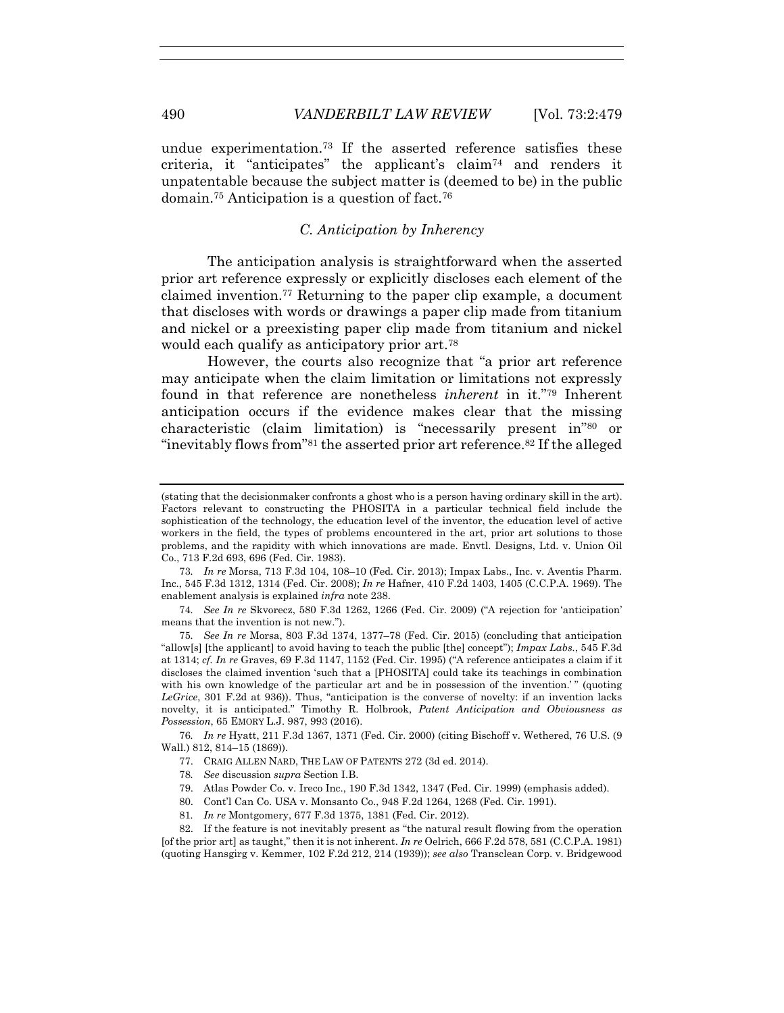undue experimentation.73 If the asserted reference satisfies these criteria, it "anticipates" the applicant's claim74 and renders it unpatentable because the subject matter is (deemed to be) in the public domain.75 Anticipation is a question of fact.76

#### *C. Anticipation by Inherency*

The anticipation analysis is straightforward when the asserted prior art reference expressly or explicitly discloses each element of the claimed invention.77 Returning to the paper clip example, a document that discloses with words or drawings a paper clip made from titanium and nickel or a preexisting paper clip made from titanium and nickel would each qualify as anticipatory prior art.78

However, the courts also recognize that "a prior art reference may anticipate when the claim limitation or limitations not expressly found in that reference are nonetheless *inherent* in it."79 Inherent anticipation occurs if the evidence makes clear that the missing characteristic (claim limitation) is "necessarily present in"80 or "inevitably flows from"<sup>81</sup> the asserted prior art reference.<sup>82</sup> If the alleged

73*. In re* Morsa, 713 F.3d 104, 108–10 (Fed. Cir. 2013); Impax Labs., Inc. v. Aventis Pharm. Inc., 545 F.3d 1312, 1314 (Fed. Cir. 2008); *In re* Hafner, 410 F.2d 1403, 1405 (C.C.P.A. 1969). The enablement analysis is explained *infra* note 238.

74*. See In re* Skvorecz, 580 F.3d 1262, 1266 (Fed. Cir. 2009) ("A rejection for 'anticipation' means that the invention is not new.").

75*. See In re* Morsa, 803 F.3d 1374, 1377–78 (Fed. Cir. 2015) (concluding that anticipation "allow[s] [the applicant] to avoid having to teach the public [the] concept"); *Impax Labs.*, 545 F.3d at 1314; *cf. In re* Graves, 69 F.3d 1147, 1152 (Fed. Cir. 1995) ("A reference anticipates a claim if it discloses the claimed invention 'such that a [PHOSITA] could take its teachings in combination with his own knowledge of the particular art and be in possession of the invention.'" (quoting *LeGrice*, 301 F.2d at 936)). Thus, "anticipation is the converse of novelty: if an invention lacks novelty, it is anticipated." Timothy R. Holbrook, *Patent Anticipation and Obviousness as Possession*, 65 EMORY L.J. 987, 993 (2016).

76*. In re* Hyatt, 211 F.3d 1367, 1371 (Fed. Cir. 2000) (citing Bischoff v. Wethered, 76 U.S. (9 Wall.) 812, 814–15 (1869)).

77. CRAIG ALLEN NARD, THE LAW OF PATENTS 272 (3d ed. 2014).

78*. See* discussion *supra* Section I.B.

79. Atlas Powder Co. v. Ireco Inc., 190 F.3d 1342, 1347 (Fed. Cir. 1999) (emphasis added).

80. Cont'l Can Co. USA v. Monsanto Co., 948 F.2d 1264, 1268 (Fed. Cir. 1991).

81*. In re* Montgomery, 677 F.3d 1375, 1381 (Fed. Cir. 2012).

 82. If the feature is not inevitably present as "the natural result flowing from the operation [of the prior art] as taught," then it is not inherent. *In re* Oelrich, 666 F.2d 578, 581 (C.C.P.A. 1981) (quoting Hansgirg v. Kemmer, 102 F.2d 212, 214 (1939)); *see also* Transclean Corp. v. Bridgewood

<sup>(</sup>stating that the decisionmaker confronts a ghost who is a person having ordinary skill in the art). Factors relevant to constructing the PHOSITA in a particular technical field include the sophistication of the technology, the education level of the inventor, the education level of active workers in the field, the types of problems encountered in the art, prior art solutions to those problems, and the rapidity with which innovations are made. Envtl. Designs, Ltd. v. Union Oil Co., 713 F.2d 693, 696 (Fed. Cir. 1983).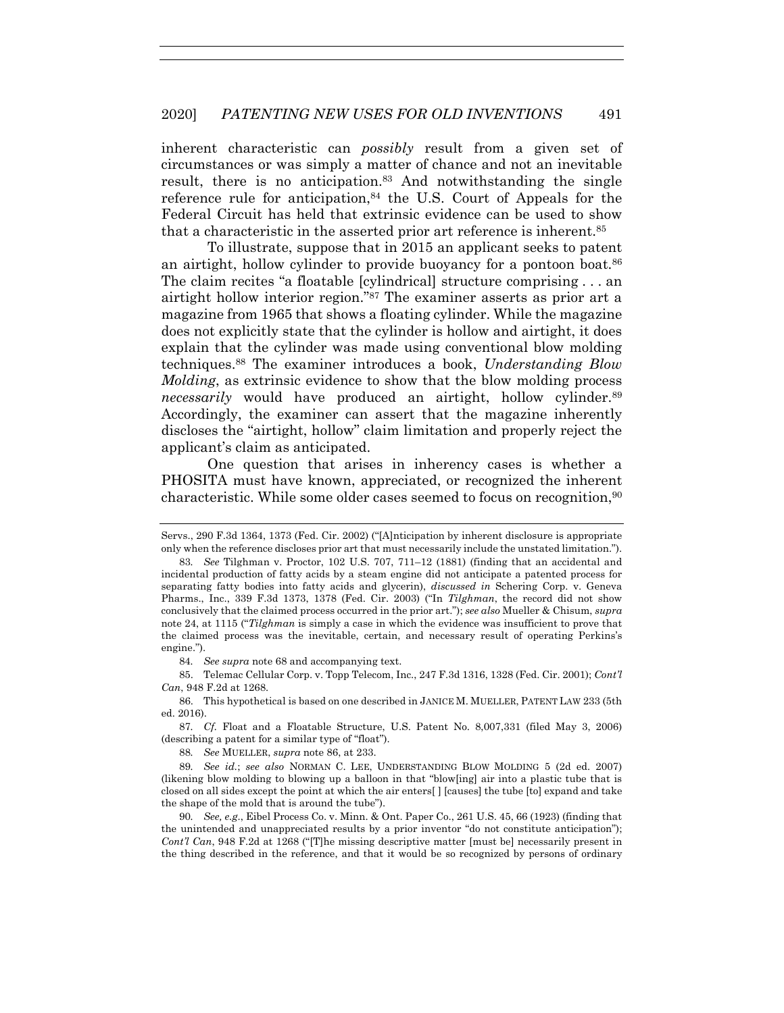inherent characteristic can *possibly* result from a given set of circumstances or was simply a matter of chance and not an inevitable result, there is no anticipation.83 And notwithstanding the single reference rule for anticipation, $84$  the U.S. Court of Appeals for the Federal Circuit has held that extrinsic evidence can be used to show that a characteristic in the asserted prior art reference is inherent.85

To illustrate, suppose that in 2015 an applicant seeks to patent an airtight, hollow cylinder to provide buoyancy for a pontoon boat.<sup>86</sup> The claim recites "a floatable [cylindrical] structure comprising . . . an airtight hollow interior region."87 The examiner asserts as prior art a magazine from 1965 that shows a floating cylinder. While the magazine does not explicitly state that the cylinder is hollow and airtight, it does explain that the cylinder was made using conventional blow molding techniques.88 The examiner introduces a book, *Understanding Blow Molding*, as extrinsic evidence to show that the blow molding process *necessarily* would have produced an airtight, hollow cylinder.<sup>89</sup> Accordingly, the examiner can assert that the magazine inherently discloses the "airtight, hollow" claim limitation and properly reject the applicant's claim as anticipated.

One question that arises in inherency cases is whether a PHOSITA must have known, appreciated, or recognized the inherent characteristic. While some older cases seemed to focus on recognition,90

Servs., 290 F.3d 1364, 1373 (Fed. Cir. 2002) ("[A]nticipation by inherent disclosure is appropriate only when the reference discloses prior art that must necessarily include the unstated limitation.").

<sup>83</sup>*. See* Tilghman v. Proctor, 102 U.S. 707, 711–12 (1881) (finding that an accidental and incidental production of fatty acids by a steam engine did not anticipate a patented process for separating fatty bodies into fatty acids and glycerin), *discussed in* Schering Corp. v. Geneva Pharms., Inc., 339 F.3d 1373, 1378 (Fed. Cir. 2003) ("In *Tilghman*, the record did not show conclusively that the claimed process occurred in the prior art."); *see also* Mueller & Chisum, *supra* note 24, at 1115 ("*Tilghman* is simply a case in which the evidence was insufficient to prove that the claimed process was the inevitable, certain, and necessary result of operating Perkins's engine.").

<sup>84</sup>*. See supra* note 68 and accompanying text.

 <sup>85.</sup> Telemac Cellular Corp. v. Topp Telecom, Inc., 247 F.3d 1316, 1328 (Fed. Cir. 2001); *Cont'l Can*, 948 F.2d at 1268.

 <sup>86.</sup> This hypothetical is based on one described in JANICE M. MUELLER, PATENT LAW 233 (5th ed. 2016).

<sup>87</sup>*. Cf.* Float and a Floatable Structure, U.S. Patent No. 8,007,331 (filed May 3, 2006) (describing a patent for a similar type of "float").

<sup>88</sup>*. See* MUELLER, *supra* note 86, at 233.

<sup>89</sup>*. See id.*; *see also* NORMAN C. LEE, UNDERSTANDING BLOW MOLDING 5 (2d ed. 2007) (likening blow molding to blowing up a balloon in that "blow[ing] air into a plastic tube that is closed on all sides except the point at which the air enters[ ] [causes] the tube [to] expand and take the shape of the mold that is around the tube").

<sup>90</sup>*. See, e.g*., Eibel Process Co. v. Minn. & Ont. Paper Co., 261 U.S. 45, 66 (1923) (finding that the unintended and unappreciated results by a prior inventor "do not constitute anticipation"); *Cont'l Can*, 948 F.2d at 1268 ("[T]he missing descriptive matter [must be] necessarily present in the thing described in the reference, and that it would be so recognized by persons of ordinary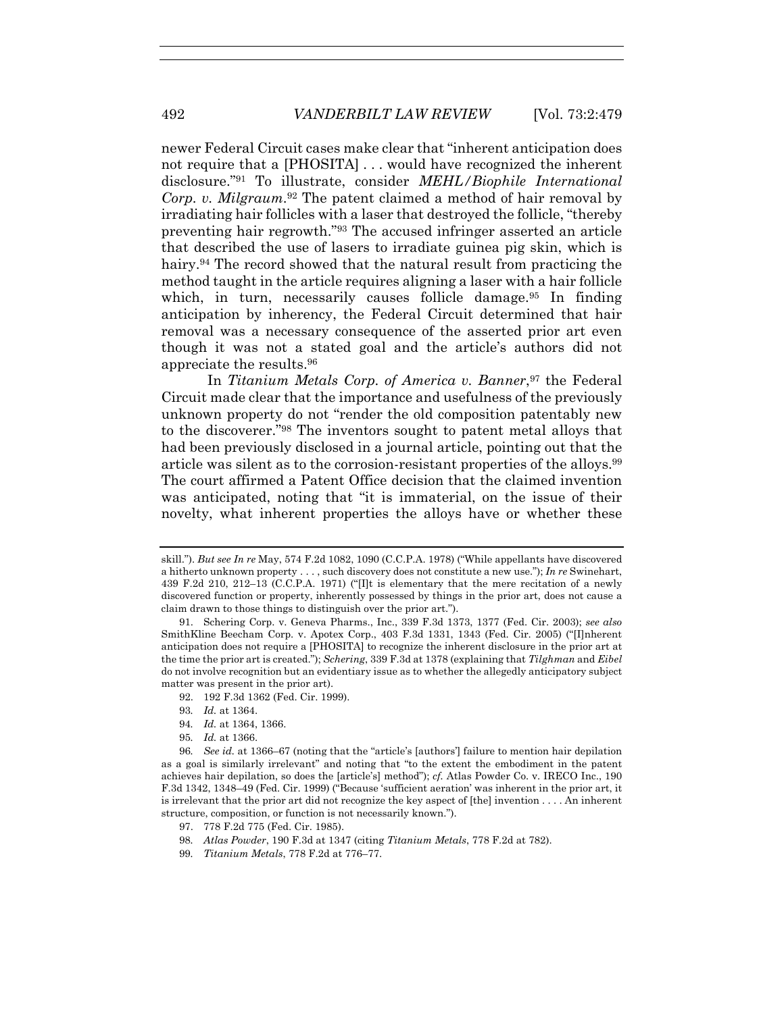newer Federal Circuit cases make clear that "inherent anticipation does not require that a [PHOSITA] . . . would have recognized the inherent disclosure."91 To illustrate, consider *MEHL/Biophile International Corp. v. Milgraum*.<sup>92</sup> The patent claimed a method of hair removal by irradiating hair follicles with a laser that destroyed the follicle, "thereby preventing hair regrowth."93 The accused infringer asserted an article that described the use of lasers to irradiate guinea pig skin, which is hairy.<sup>94</sup> The record showed that the natural result from practicing the method taught in the article requires aligning a laser with a hair follicle which, in turn, necessarily causes follicle damage.<sup>95</sup> In finding anticipation by inherency, the Federal Circuit determined that hair removal was a necessary consequence of the asserted prior art even though it was not a stated goal and the article's authors did not appreciate the results.96

In *Titanium Metals Corp. of America v. Banner*,<sup>97</sup> the Federal Circuit made clear that the importance and usefulness of the previously unknown property do not "render the old composition patentably new to the discoverer."98 The inventors sought to patent metal alloys that had been previously disclosed in a journal article, pointing out that the article was silent as to the corrosion-resistant properties of the alloys.99 The court affirmed a Patent Office decision that the claimed invention was anticipated, noting that "it is immaterial, on the issue of their novelty, what inherent properties the alloys have or whether these

- 92. 192 F.3d 1362 (Fed. Cir. 1999).
- 93*. Id.* at 1364.
- 94*. Id.* at 1364, 1366.
- 95*. Id.* at 1366.

- 97. 778 F.2d 775 (Fed. Cir. 1985).
- 98*. Atlas Powder*, 190 F.3d at 1347 (citing *Titanium Metals*, 778 F.2d at 782).
- 99*. Titanium Metals*, 778 F.2d at 776–77.

skill."). *But see In re* May, 574 F.2d 1082, 1090 (C.C.P.A. 1978) ("While appellants have discovered a hitherto unknown property . . . , such discovery does not constitute a new use."); *In re* Swinehart, 439 F.2d 210, 212–13 (C.C.P.A. 1971) ("[I]t is elementary that the mere recitation of a newly discovered function or property, inherently possessed by things in the prior art, does not cause a claim drawn to those things to distinguish over the prior art.").

 <sup>91.</sup> Schering Corp. v. Geneva Pharms., Inc., 339 F.3d 1373, 1377 (Fed. Cir. 2003); *see also*  SmithKline Beecham Corp. v. Apotex Corp., 403 F.3d 1331, 1343 (Fed. Cir. 2005) ("[I]nherent anticipation does not require a [PHOSITA] to recognize the inherent disclosure in the prior art at the time the prior art is created."); *Schering*, 339 F.3d at 1378 (explaining that *Tilghman* and *Eibel* do not involve recognition but an evidentiary issue as to whether the allegedly anticipatory subject matter was present in the prior art).

<sup>96</sup>*. See id.* at 1366–67 (noting that the "article's [authors'] failure to mention hair depilation as a goal is similarly irrelevant" and noting that "to the extent the embodiment in the patent achieves hair depilation, so does the [article's] method"); *cf.* Atlas Powder Co. v. IRECO Inc., 190 F.3d 1342, 1348–49 (Fed. Cir. 1999) ("Because 'sufficient aeration' was inherent in the prior art, it is irrelevant that the prior art did not recognize the key aspect of [the] invention . . . . An inherent structure, composition, or function is not necessarily known.").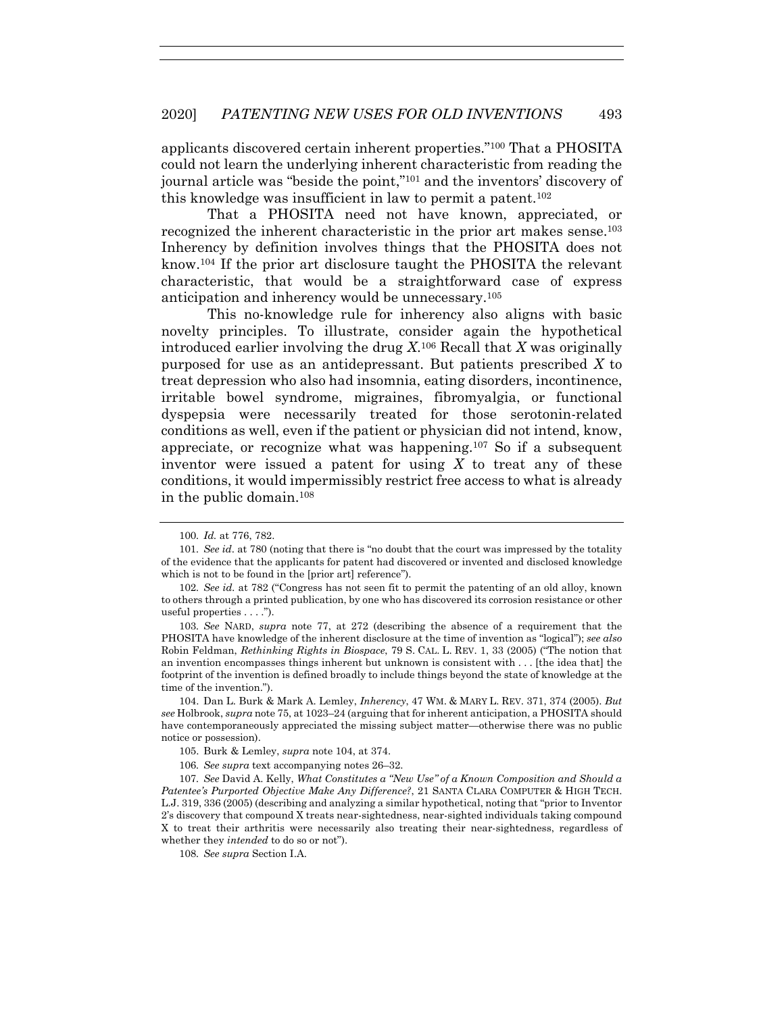applicants discovered certain inherent properties."100 That a PHOSITA could not learn the underlying inherent characteristic from reading the journal article was "beside the point,"101 and the inventors' discovery of this knowledge was insufficient in law to permit a patent.102

That a PHOSITA need not have known, appreciated, or recognized the inherent characteristic in the prior art makes sense.103 Inherency by definition involves things that the PHOSITA does not know.104 If the prior art disclosure taught the PHOSITA the relevant characteristic, that would be a straightforward case of express anticipation and inherency would be unnecessary.105

This no-knowledge rule for inherency also aligns with basic novelty principles. To illustrate, consider again the hypothetical introduced earlier involving the drug *X*.106 Recall that *X* was originally purposed for use as an antidepressant. But patients prescribed *X* to treat depression who also had insomnia, eating disorders, incontinence, irritable bowel syndrome, migraines, fibromyalgia, or functional dyspepsia were necessarily treated for those serotonin-related conditions as well, even if the patient or physician did not intend, know, appreciate, or recognize what was happening.107 So if a subsequent inventor were issued a patent for using *X* to treat any of these conditions, it would impermissibly restrict free access to what is already in the public domain.108

 104. Dan L. Burk & Mark A. Lemley, *Inherency*, 47 WM. & MARY L. REV. 371, 374 (2005). *But see* Holbrook, *supra* note 75, at 1023–24 (arguing that for inherent anticipation, a PHOSITA should have contemporaneously appreciated the missing subject matter—otherwise there was no public notice or possession).

108*. See supra* Section I.A.

<sup>100</sup>*. Id.* at 776, 782.

<sup>101</sup>*. See id*. at 780 (noting that there is "no doubt that the court was impressed by the totality of the evidence that the applicants for patent had discovered or invented and disclosed knowledge which is not to be found in the [prior art] reference").

<sup>102</sup>*. See id.* at 782 ("Congress has not seen fit to permit the patenting of an old alloy, known to others through a printed publication, by one who has discovered its corrosion resistance or other useful properties . . . .").

<sup>103</sup>*. See* NARD, *supra* note 77, at 272 (describing the absence of a requirement that the PHOSITA have knowledge of the inherent disclosure at the time of invention as "logical"); *see also* Robin Feldman, *Rethinking Rights in Biospace*, 79 S. CAL. L. REV. 1, 33 (2005) ("The notion that an invention encompasses things inherent but unknown is consistent with . . . [the idea that] the footprint of the invention is defined broadly to include things beyond the state of knowledge at the time of the invention.").

 <sup>105.</sup> Burk & Lemley, *supra* note 104, at 374.

<sup>106</sup>*. See supra* text accompanying notes 26–32.

<sup>107</sup>*. See* David A. Kelly, *What Constitutes a "New Use" of a Known Composition and Should a Patentee's Purported Objective Make Any Difference?*, 21 SANTA CLARA COMPUTER & HIGH TECH. L.J. 319, 336 (2005) (describing and analyzing a similar hypothetical, noting that "prior to Inventor 2's discovery that compound X treats near-sightedness, near-sighted individuals taking compound X to treat their arthritis were necessarily also treating their near-sightedness, regardless of whether they *intended* to do so or not").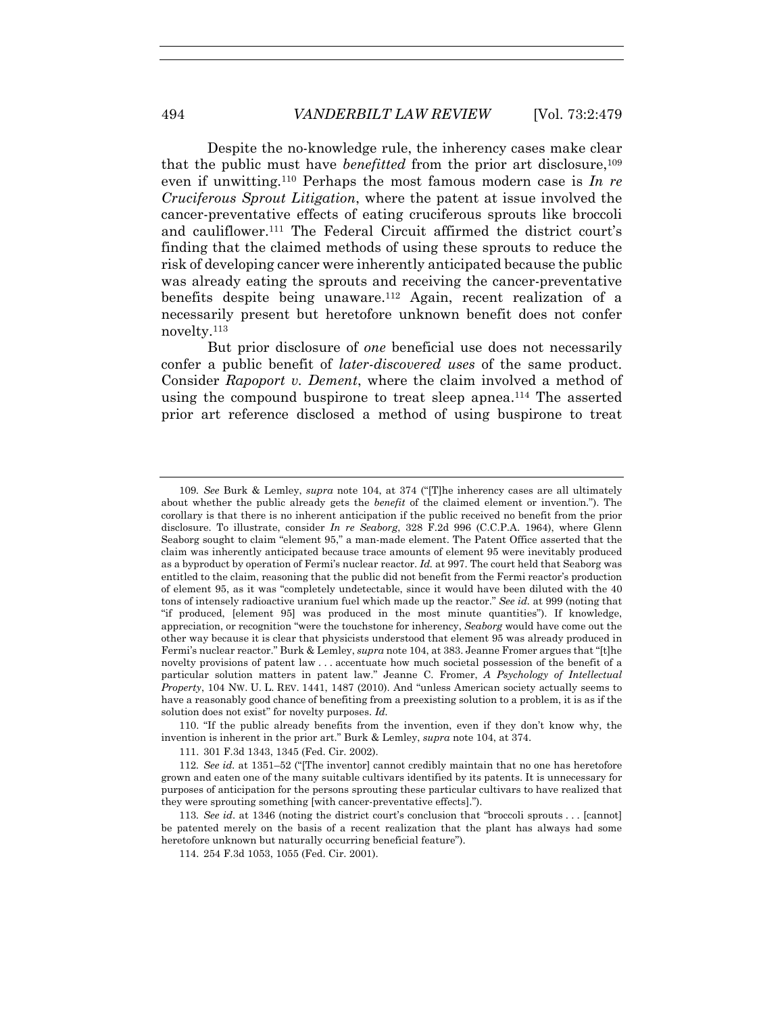Despite the no-knowledge rule, the inherency cases make clear that the public must have *benefitted* from the prior art disclosure,109 even if unwitting.110 Perhaps the most famous modern case is *In re Cruciferous Sprout Litigation*, where the patent at issue involved the cancer-preventative effects of eating cruciferous sprouts like broccoli and cauliflower.111 The Federal Circuit affirmed the district court's finding that the claimed methods of using these sprouts to reduce the risk of developing cancer were inherently anticipated because the public was already eating the sprouts and receiving the cancer-preventative benefits despite being unaware.<sup>112</sup> Again, recent realization of a necessarily present but heretofore unknown benefit does not confer novelty.113

But prior disclosure of *one* beneficial use does not necessarily confer a public benefit of *later-discovered uses* of the same product. Consider *Rapoport v. Dement*, where the claim involved a method of using the compound buspirone to treat sleep apnea.<sup>114</sup> The asserted prior art reference disclosed a method of using buspirone to treat

 110. "If the public already benefits from the invention, even if they don't know why, the invention is inherent in the prior art." Burk & Lemley, *supra* note 104, at 374.

111. 301 F.3d 1343, 1345 (Fed. Cir. 2002).

114. 254 F.3d 1053, 1055 (Fed. Cir. 2001).

<sup>109</sup>*. See* Burk & Lemley, *supra* note 104, at 374 ("[T]he inherency cases are all ultimately about whether the public already gets the *benefit* of the claimed element or invention."). The corollary is that there is no inherent anticipation if the public received no benefit from the prior disclosure. To illustrate, consider *In re Seaborg*, 328 F.2d 996 (C.C.P.A. 1964), where Glenn Seaborg sought to claim "element 95," a man-made element. The Patent Office asserted that the claim was inherently anticipated because trace amounts of element 95 were inevitably produced as a byproduct by operation of Fermi's nuclear reactor. *Id.* at 997. The court held that Seaborg was entitled to the claim, reasoning that the public did not benefit from the Fermi reactor's production of element 95, as it was "completely undetectable, since it would have been diluted with the 40 tons of intensely radioactive uranium fuel which made up the reactor." *See id.* at 999 (noting that "if produced, [element 95] was produced in the most minute quantities"). If knowledge, appreciation, or recognition "were the touchstone for inherency, *Seaborg* would have come out the other way because it is clear that physicists understood that element 95 was already produced in Fermi's nuclear reactor." Burk & Lemley, *supra* note 104, at 383. Jeanne Fromer argues that "[t]he novelty provisions of patent law . . . accentuate how much societal possession of the benefit of a particular solution matters in patent law." Jeanne C. Fromer, *A Psychology of Intellectual Property*, 104 NW. U. L. REV. 1441, 1487 (2010). And "unless American society actually seems to have a reasonably good chance of benefiting from a preexisting solution to a problem, it is as if the solution does not exist" for novelty purposes. *Id.*

<sup>112</sup>*. See id.* at 1351–52 ("[The inventor] cannot credibly maintain that no one has heretofore grown and eaten one of the many suitable cultivars identified by its patents. It is unnecessary for purposes of anticipation for the persons sprouting these particular cultivars to have realized that they were sprouting something [with cancer-preventative effects].").

<sup>113</sup>*. See id*. at 1346 (noting the district court's conclusion that "broccoli sprouts . . . [cannot] be patented merely on the basis of a recent realization that the plant has always had some heretofore unknown but naturally occurring beneficial feature").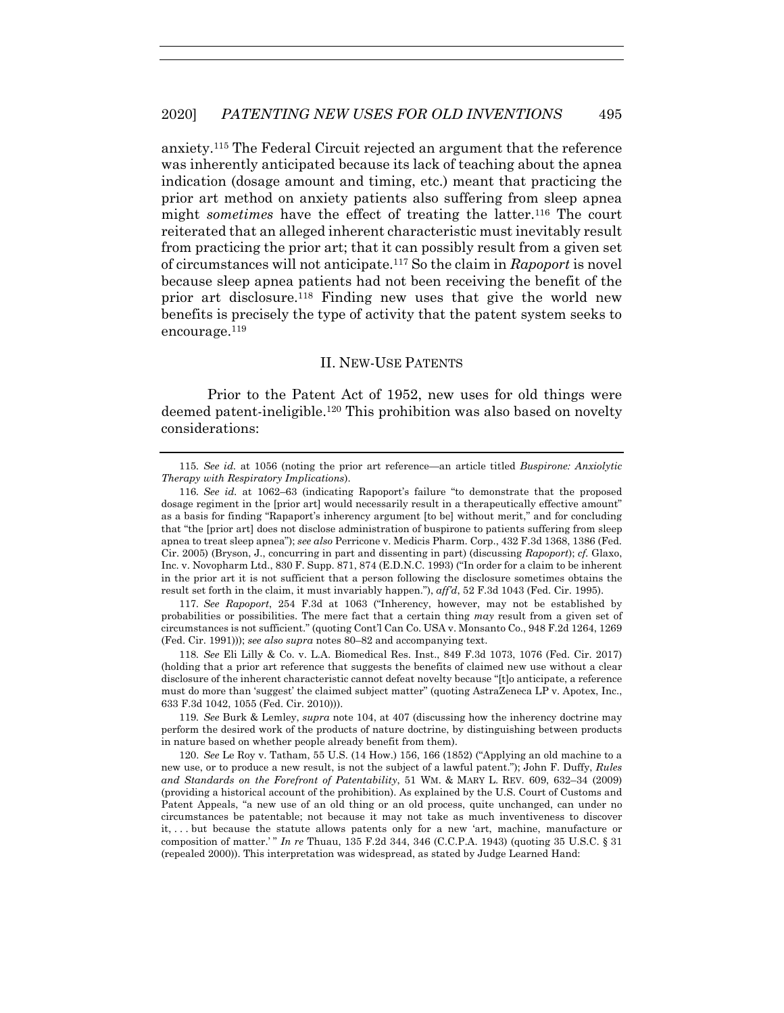anxiety.115 The Federal Circuit rejected an argument that the reference was inherently anticipated because its lack of teaching about the apnea indication (dosage amount and timing, etc.) meant that practicing the prior art method on anxiety patients also suffering from sleep apnea might *sometimes* have the effect of treating the latter.<sup>116</sup> The court reiterated that an alleged inherent characteristic must inevitably result from practicing the prior art; that it can possibly result from a given set of circumstances will not anticipate.117 So the claim in *Rapoport* is novel because sleep apnea patients had not been receiving the benefit of the prior art disclosure.118 Finding new uses that give the world new benefits is precisely the type of activity that the patent system seeks to encourage.119

# II. NEW-USE PATENTS

Prior to the Patent Act of 1952, new uses for old things were deemed patent-ineligible.120 This prohibition was also based on novelty considerations:

117*. See Rapoport*, 254 F.3d at 1063 ("Inherency, however, may not be established by probabilities or possibilities. The mere fact that a certain thing *may* result from a given set of circumstances is not sufficient." (quoting Cont'l Can Co. USA v. Monsanto Co., 948 F.2d 1264, 1269 (Fed. Cir. 1991))); *see also supra* notes 80–82 and accompanying text.

118*. See* Eli Lilly & Co. v. L.A. Biomedical Res. Inst., 849 F.3d 1073, 1076 (Fed. Cir. 2017) (holding that a prior art reference that suggests the benefits of claimed new use without a clear disclosure of the inherent characteristic cannot defeat novelty because "[t]o anticipate, a reference must do more than 'suggest' the claimed subject matter" (quoting AstraZeneca LP v. Apotex, Inc., 633 F.3d 1042, 1055 (Fed. Cir. 2010))).

119*. See* Burk & Lemley, *supra* note 104, at 407 (discussing how the inherency doctrine may perform the desired work of the products of nature doctrine, by distinguishing between products in nature based on whether people already benefit from them).

 120. *See* Le Roy v. Tatham, 55 U.S. (14 How.) 156, 166 (1852) ("Applying an old machine to a new use, or to produce a new result, is not the subject of a lawful patent."); John F. Duffy, *Rules and Standards on the Forefront of Patentability*, 51 WM. & MARY L. REV. 609, 632–34 (2009) (providing a historical account of the prohibition). As explained by the U.S. Court of Customs and Patent Appeals, "a new use of an old thing or an old process, quite unchanged, can under no circumstances be patentable; not because it may not take as much inventiveness to discover it, . . . but because the statute allows patents only for a new 'art, machine, manufacture or composition of matter.'" *In re* Thuau, 135 F.2d 344, 346 (C.C.P.A. 1943) (quoting 35 U.S.C. § 31 (repealed 2000)). This interpretation was widespread, as stated by Judge Learned Hand:

<sup>115</sup>*. See id.* at 1056 (noting the prior art reference—an article titled *Buspirone: Anxiolytic Therapy with Respiratory Implications*).

<sup>116</sup>*. See id.* at 1062–63 (indicating Rapoport's failure "to demonstrate that the proposed dosage regiment in the [prior art] would necessarily result in a therapeutically effective amount" as a basis for finding "Rapaport's inherency argument [to be] without merit," and for concluding that "the [prior art] does not disclose administration of buspirone to patients suffering from sleep apnea to treat sleep apnea"); *see also* Perricone v. Medicis Pharm. Corp., 432 F.3d 1368, 1386 (Fed. Cir. 2005) (Bryson, J., concurring in part and dissenting in part) (discussing *Rapoport*); *cf.* Glaxo, Inc. v. Novopharm Ltd., 830 F. Supp. 871, 874 (E.D.N.C. 1993) ("In order for a claim to be inherent in the prior art it is not sufficient that a person following the disclosure sometimes obtains the result set forth in the claim, it must invariably happen."), *aff'd*, 52 F.3d 1043 (Fed. Cir. 1995).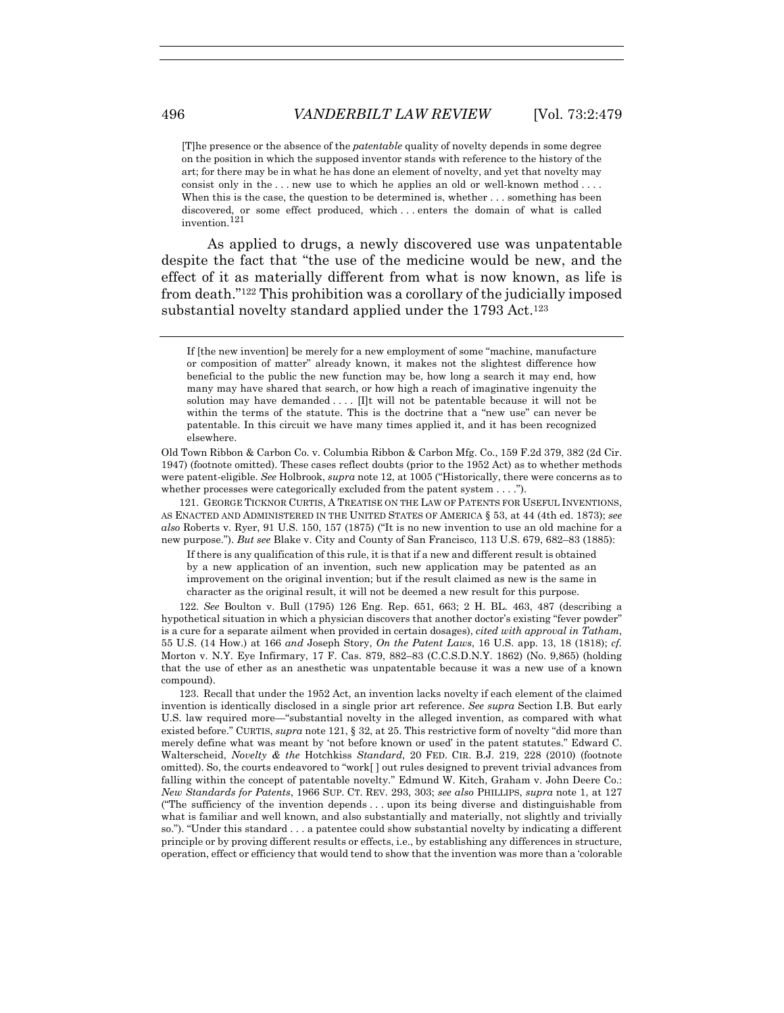[T]he presence or the absence of the *patentable* quality of novelty depends in some degree on the position in which the supposed inventor stands with reference to the history of the art; for there may be in what he has done an element of novelty, and yet that novelty may consist only in the . . . new use to which he applies an old or well-known method . . . . When this is the case, the question to be determined is, whether . . . something has been discovered, or some effect produced, which . . . enters the domain of what is called invention.<sup>121</sup>

As applied to drugs, a newly discovered use was unpatentable despite the fact that "the use of the medicine would be new, and the effect of it as materially different from what is now known, as life is from death."122 This prohibition was a corollary of the judicially imposed substantial novelty standard applied under the 1793 Act.<sup>123</sup>

Old Town Ribbon & Carbon Co. v. Columbia Ribbon & Carbon Mfg. Co., 159 F.2d 379, 382 (2d Cir. 1947) (footnote omitted). These cases reflect doubts (prior to the 1952 Act) as to whether methods were patent-eligible. *See* Holbrook, *supra* note 12, at 1005 ("Historically, there were concerns as to whether processes were categorically excluded from the patent system . . . .").

 121. GEORGE TICKNOR CURTIS, A TREATISE ON THE LAW OF PATENTS FOR USEFUL INVENTIONS, AS ENACTED AND ADMINISTERED IN THE UNITED STATES OF AMERICA § 53, at 44 (4th ed. 1873); *see also* Roberts v. Ryer, 91 U.S. 150, 157 (1875) ("It is no new invention to use an old machine for a new purpose."). *But see* Blake v. City and County of San Francisco, 113 U.S. 679, 682–83 (1885):

If there is any qualification of this rule, it is that if a new and different result is obtained by a new application of an invention, such new application may be patented as an improvement on the original invention; but if the result claimed as new is the same in character as the original result, it will not be deemed a new result for this purpose.

122*. See* Boulton v. Bull (1795) 126 Eng. Rep. 651, 663; 2 H. BL. 463, 487 (describing a hypothetical situation in which a physician discovers that another doctor's existing "fever powder" is a cure for a separate ailment when provided in certain dosages), *cited with approval in Tatham*, 55 U.S. (14 How.) at 166 *and* Joseph Story, *On the Patent Laws*, 16 U.S. app. 13, 18 (1818); *cf.* Morton v. N.Y. Eye Infirmary, 17 F. Cas. 879, 882–83 (C.C.S.D.N.Y. 1862) (No. 9,865) (holding that the use of ether as an anesthetic was unpatentable because it was a new use of a known compound).

 123. Recall that under the 1952 Act, an invention lacks novelty if each element of the claimed invention is identically disclosed in a single prior art reference. *See supra* Section I.B. But early U.S. law required more—"substantial novelty in the alleged invention, as compared with what existed before." CURTIS, *supra* note 121, § 32, at 25. This restrictive form of novelty "did more than merely define what was meant by 'not before known or used' in the patent statutes." Edward C. Walterscheid, *Novelty & the* Hotchkiss *Standard*, 20 FED. CIR. B.J. 219, 228 (2010) (footnote omitted). So, the courts endeavored to "work[ ] out rules designed to prevent trivial advances from falling within the concept of patentable novelty." Edmund W. Kitch, Graham v. John Deere Co.: *New Standards for Patents*, 1966 SUP. CT. REV. 293, 303; *see also* PHILLIPS, *supra* note 1, at 127 ("The sufficiency of the invention depends . . . upon its being diverse and distinguishable from what is familiar and well known, and also substantially and materially, not slightly and trivially so."). "Under this standard . . . a patentee could show substantial novelty by indicating a different principle or by proving different results or effects, i.e., by establishing any differences in structure, operation, effect or efficiency that would tend to show that the invention was more than a 'colorable

If [the new invention] be merely for a new employment of some "machine, manufacture or composition of matter" already known, it makes not the slightest difference how beneficial to the public the new function may be, how long a search it may end, how many may have shared that search, or how high a reach of imaginative ingenuity the solution may have demanded  $\dots$ . If will not be patentable because it will not be within the terms of the statute. This is the doctrine that a "new use" can never be patentable. In this circuit we have many times applied it, and it has been recognized elsewhere.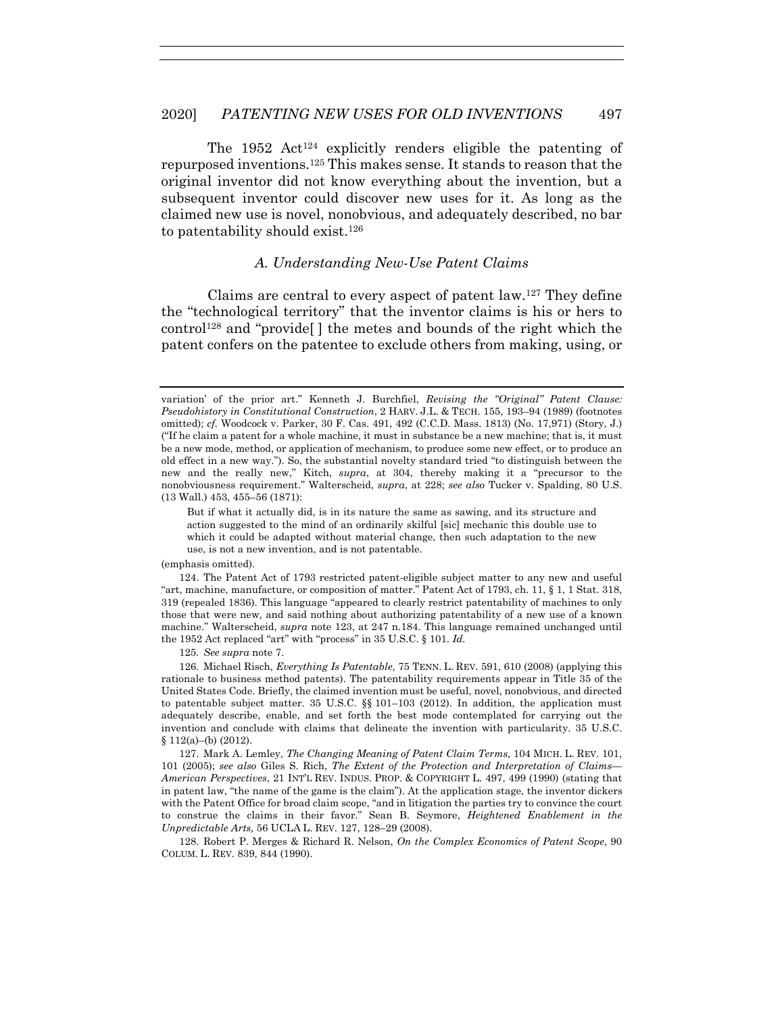The  $1952$  Act<sup>124</sup> explicitly renders eligible the patenting of repurposed inventions.125 This makes sense. It stands to reason that the original inventor did not know everything about the invention, but a subsequent inventor could discover new uses for it. As long as the claimed new use is novel, nonobvious, and adequately described, no bar to patentability should exist.126

## *A. Understanding New-Use Patent Claims*

Claims are central to every aspect of patent law.127 They define the "technological territory" that the inventor claims is his or hers to control<sup>128</sup> and "provide<sup>[]</sup> the metes and bounds of the right which the patent confers on the patentee to exclude others from making, using, or

But if what it actually did, is in its nature the same as sawing, and its structure and action suggested to the mind of an ordinarily skilful [sic] mechanic this double use to which it could be adapted without material change, then such adaptation to the new use, is not a new invention, and is not patentable.

(emphasis omitted).

 124. The Patent Act of 1793 restricted patent-eligible subject matter to any new and useful "art, machine, manufacture, or composition of matter." Patent Act of 1793, ch. 11, § 1, 1 Stat. 318, 319 (repealed 1836). This language "appeared to clearly restrict patentability of machines to only those that were new, and said nothing about authorizing patentability of a new use of a known machine." Walterscheid, *supra* note 123, at 247 n.184. This language remained unchanged until the 1952 Act replaced "art" with "process" in 35 U.S.C. § 101. *Id.*

125*. See supra* note 7.

 126. Michael Risch, *Everything Is Patentable*, 75 TENN. L. REV. 591, 610 (2008) (applying this rationale to business method patents). The patentability requirements appear in Title 35 of the United States Code. Briefly, the claimed invention must be useful, novel, nonobvious, and directed to patentable subject matter. 35 U.S.C.  $\S$  101–103 (2012). In addition, the application must adequately describe, enable, and set forth the best mode contemplated for carrying out the invention and conclude with claims that delineate the invention with particularity. 35 U.S.C. § 112(a)–(b) (2012).

 127. Mark A. Lemley, *The Changing Meaning of Patent Claim Terms*, 104 MICH. L. REV. 101, 101 (2005); *see also* Giles S. Rich, *The Extent of the Protection and Interpretation of Claims— American Perspectives*, 21 INT'L REV. INDUS. PROP. & COPYRIGHT L. 497, 499 (1990) (stating that in patent law, "the name of the game is the claim"). At the application stage, the inventor dickers with the Patent Office for broad claim scope, "and in litigation the parties try to convince the court to construe the claims in their favor." Sean B. Seymore, *Heightened Enablement in the Unpredictable Arts,* 56 UCLA L. REV. 127, 128−29 (2008).

 128. Robert P. Merges & Richard R. Nelson, *On the Complex Economics of Patent Scope*, 90 COLUM. L. REV. 839, 844 (1990).

variation' of the prior art." Kenneth J. Burchfiel, *Revising the "Original" Patent Clause: Pseudohistory in Constitutional Construction*, 2 HARV. J.L. & TECH. 155, 193–94 (1989) (footnotes omitted); *cf.* Woodcock v. Parker, 30 F. Cas. 491, 492 (C.C.D. Mass. 1813) (No. 17,971) (Story, J.) ("If he claim a patent for a whole machine, it must in substance be a new machine; that is, it must be a new mode, method, or application of mechanism, to produce some new effect, or to produce an old effect in a new way."). So, the substantial novelty standard tried "to distinguish between the new and the really new," Kitch, *supra*, at 304, thereby making it a "precursor to the nonobviousness requirement." Walterscheid, *supra*, at 228; *see also* Tucker v. Spalding, 80 U.S. (13 Wall.) 453, 455–56 (1871):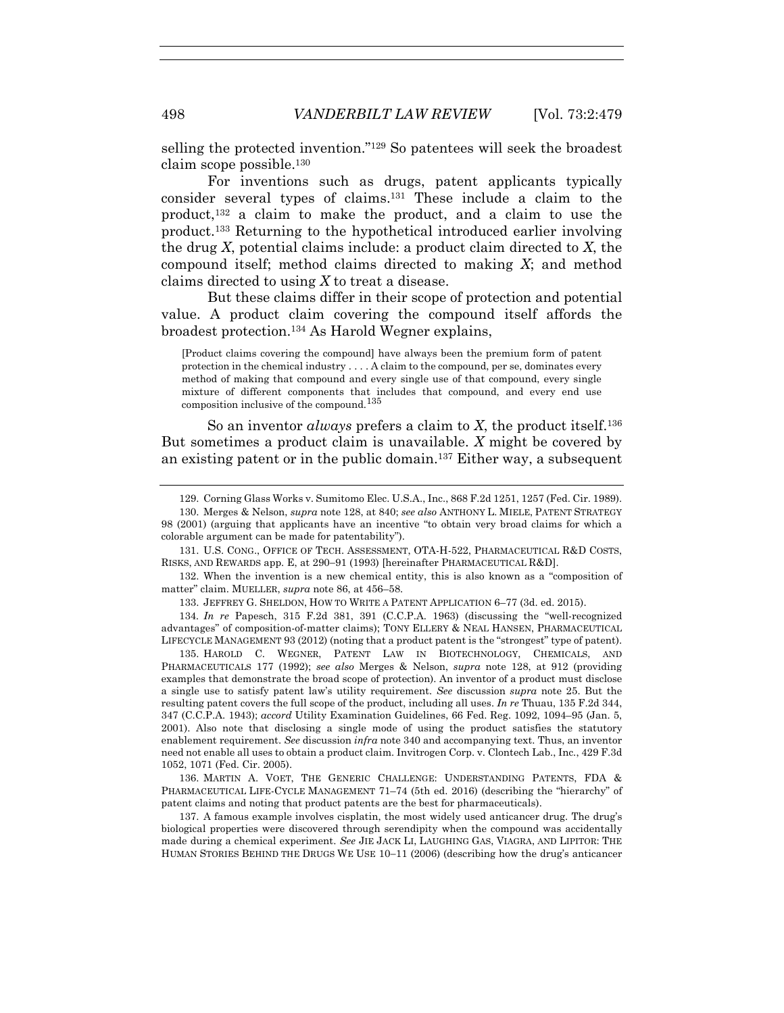selling the protected invention."129 So patentees will seek the broadest claim scope possible.130

For inventions such as drugs, patent applicants typically consider several types of claims.131 These include a claim to the product,<sup>132</sup> a claim to make the product, and a claim to use the product.133 Returning to the hypothetical introduced earlier involving the drug *X*, potential claims include: a product claim directed to *X*, the compound itself; method claims directed to making *X*; and method claims directed to using *X* to treat a disease.

But these claims differ in their scope of protection and potential value. A product claim covering the compound itself affords the broadest protection.134 As Harold Wegner explains,

[Product claims covering the compound] have always been the premium form of patent protection in the chemical industry . . . . A claim to the compound, per se, dominates every method of making that compound and every single use of that compound, every single mixture of different components that includes that compound, and every end use composition inclusive of the compound.<sup>135</sup>

So an inventor *always* prefers a claim to *X*, the product itself.136 But sometimes a product claim is unavailable. *X* might be covered by an existing patent or in the public domain.<sup>137</sup> Either way, a subsequent

134*. In re* Papesch, 315 F.2d 381, 391 (C.C.P.A. 1963) (discussing the "well-recognized advantages" of composition-of-matter claims); TONY ELLERY & NEAL HANSEN, PHARMACEUTICAL LIFECYCLE MANAGEMENT 93 (2012) (noting that a product patent is the "strongest" type of patent).

 135. HAROLD C. WEGNER, PATENT LAW IN BIOTECHNOLOGY, CHEMICALS, AND PHARMACEUTICALS 177 (1992); *see also* Merges & Nelson, *supra* note 128, at 912 (providing examples that demonstrate the broad scope of protection). An inventor of a product must disclose a single use to satisfy patent law's utility requirement. *See* discussion *supra* note 25. But the resulting patent covers the full scope of the product, including all uses. *In re* Thuau, 135 F.2d 344, 347 (C.C.P.A. 1943); *accord* Utility Examination Guidelines, 66 Fed. Reg. 1092, 1094–95 (Jan. 5, 2001). Also note that disclosing a single mode of using the product satisfies the statutory enablement requirement. *See* discussion *infra* note 340 and accompanying text. Thus, an inventor need not enable all uses to obtain a product claim. Invitrogen Corp. v. Clontech Lab., Inc., 429 F.3d 1052, 1071 (Fed. Cir. 2005).

 136. MARTIN A. VOET, THE GENERIC CHALLENGE: UNDERSTANDING PATENTS, FDA & PHARMACEUTICAL LIFE-CYCLE MANAGEMENT 71–74 (5th ed. 2016) (describing the "hierarchy" of patent claims and noting that product patents are the best for pharmaceuticals).

 137. A famous example involves cisplatin, the most widely used anticancer drug. The drug's biological properties were discovered through serendipity when the compound was accidentally made during a chemical experiment. *See* JIE JACK LI, LAUGHING GAS, VIAGRA, AND LIPITOR: THE HUMAN STORIES BEHIND THE DRUGS WE USE 10−11 (2006) (describing how the drug's anticancer

 <sup>129.</sup> Corning Glass Works v. Sumitomo Elec. U.S.A., Inc., 868 F.2d 1251, 1257 (Fed. Cir. 1989).

 <sup>130.</sup> Merges & Nelson, *supra* note 128, at 840; *see also* ANTHONY L. MIELE, PATENT STRATEGY 98 (2001) (arguing that applicants have an incentive "to obtain very broad claims for which a colorable argument can be made for patentability").

 <sup>131.</sup> U.S. CONG., OFFICE OF TECH. ASSESSMENT, OTA-H-522, PHARMACEUTICAL R&D COSTS, RISKS, AND REWARDS app. E, at 290−91 (1993) [hereinafter PHARMACEUTICAL R&D].

 <sup>132.</sup> When the invention is a new chemical entity, this is also known as a "composition of matter" claim. MUELLER, *supra* note 86, at 456–58.

 <sup>133.</sup> JEFFREY G. SHELDON, HOW TO WRITE A PATENT APPLICATION 6–77 (3d. ed. 2015).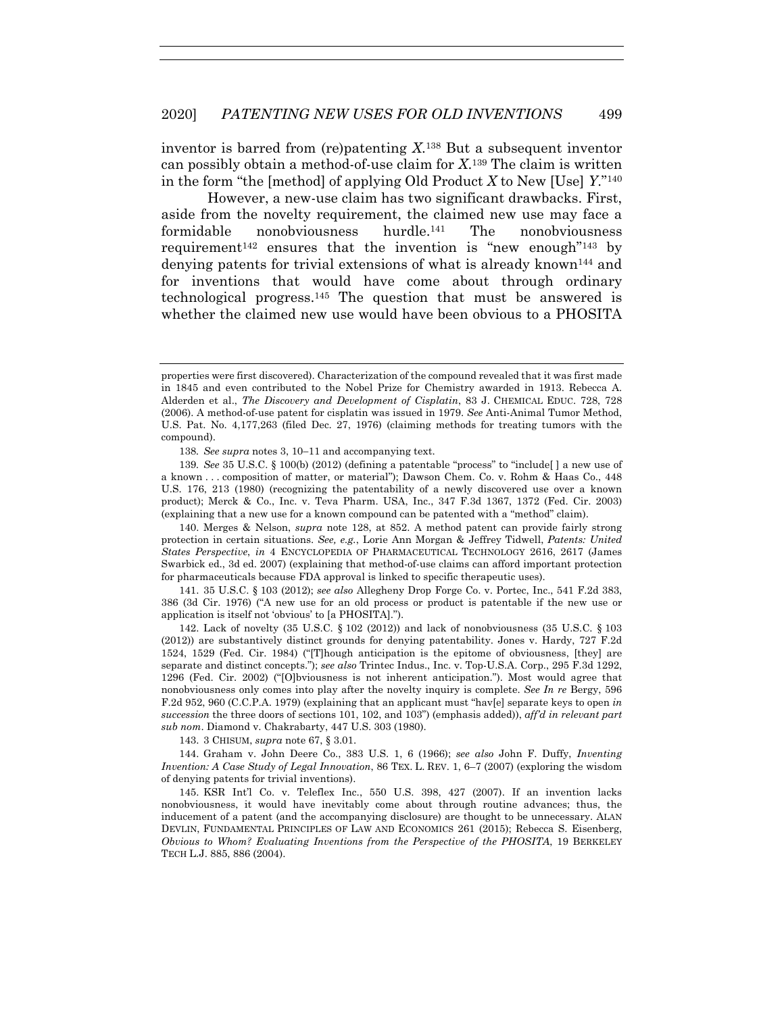inventor is barred from (re)patenting *X*.138 But a subsequent inventor can possibly obtain a method-of-use claim for *X*.139 The claim is written in the form "the [method] of applying Old Product *X* to New [Use] *Y*."140

However, a new-use claim has two significant drawbacks. First, aside from the novelty requirement, the claimed new use may face a formidable nonobviousness hurdle.141 The nonobviousness requirement<sup>142</sup> ensures that the invention is "new enough"<sup>143</sup> by denying patents for trivial extensions of what is already known144 and for inventions that would have come about through ordinary technological progress.145 The question that must be answered is whether the claimed new use would have been obvious to a PHOSITA

138*. See supra* notes 3, 10−11 and accompanying text.

139*. See* 35 U.S.C. § 100(b) (2012) (defining a patentable "process" to "include[ ] a new use of a known . . . composition of matter, or material"); Dawson Chem. Co. v. Rohm & Haas Co., 448 U.S. 176, 213 (1980) (recognizing the patentability of a newly discovered use over a known product); Merck & Co., Inc. v. Teva Pharm. USA, Inc., 347 F.3d 1367, 1372 (Fed. Cir. 2003) (explaining that a new use for a known compound can be patented with a "method" claim).

 140. Merges & Nelson, *supra* note 128, at 852. A method patent can provide fairly strong protection in certain situations. *See, e.g.*, Lorie Ann Morgan & Jeffrey Tidwell, *Patents: United States Perspective*, *in* 4 ENCYCLOPEDIA OF PHARMACEUTICAL TECHNOLOGY 2616, 2617 (James Swarbick ed., 3d ed. 2007) (explaining that method-of-use claims can afford important protection for pharmaceuticals because FDA approval is linked to specific therapeutic uses).

 141. 35 U.S.C. § 103 (2012); *see also* Allegheny Drop Forge Co. v. Portec, Inc., 541 F.2d 383, 386 (3d Cir. 1976) ("A new use for an old process or product is patentable if the new use or application is itself not 'obvious' to [a PHOSITA].").

 142. Lack of novelty (35 U.S.C. § 102 (2012)) and lack of nonobviousness (35 U.S.C. § 103 (2012)) are substantively distinct grounds for denying patentability. Jones v. Hardy, 727 F.2d 1524, 1529 (Fed. Cir. 1984) ("[T]hough anticipation is the epitome of obviousness, [they] are separate and distinct concepts."); *see also* Trintec Indus., Inc. v. Top-U.S.A. Corp., 295 F.3d 1292, 1296 (Fed. Cir. 2002) ("[O]bviousness is not inherent anticipation."). Most would agree that nonobviousness only comes into play after the novelty inquiry is complete. *See In re* Bergy, 596 F.2d 952, 960 (C.C.P.A. 1979) (explaining that an applicant must "hav[e] separate keys to open *in succession* the three doors of sections 101, 102, and 103") (emphasis added)), *aff'd in relevant part sub nom*. Diamond v. Chakrabarty, 447 U.S. 303 (1980).

143. 3 CHISUM, *supra* note 67, § 3.01.

 144. Graham v. John Deere Co., 383 U.S. 1, 6 (1966); *see also* John F. Duffy, *Inventing Invention: A Case Study of Legal Innovation*, 86 TEX. L. REV. 1, 6–7 (2007) (exploring the wisdom of denying patents for trivial inventions).

 145. KSR Int'l Co. v. Teleflex Inc., 550 U.S. 398, 427 (2007). If an invention lacks nonobviousness, it would have inevitably come about through routine advances; thus, the inducement of a patent (and the accompanying disclosure) are thought to be unnecessary. ALAN DEVLIN, FUNDAMENTAL PRINCIPLES OF LAW AND ECONOMICS 261 (2015); Rebecca S. Eisenberg, *Obvious to Whom? Evaluating Inventions from the Perspective of the PHOSITA*, 19 BERKELEY TECH L.J. 885, 886 (2004).

properties were first discovered). Characterization of the compound revealed that it was first made in 1845 and even contributed to the Nobel Prize for Chemistry awarded in 1913. Rebecca A. Alderden et al., *The Discovery and Development of Cisplatin*, 83 J. CHEMICAL EDUC. 728, 728 (2006). A method-of-use patent for cisplatin was issued in 1979. *See* Anti-Animal Tumor Method, U.S. Pat. No. 4,177,263 (filed Dec. 27, 1976) (claiming methods for treating tumors with the compound).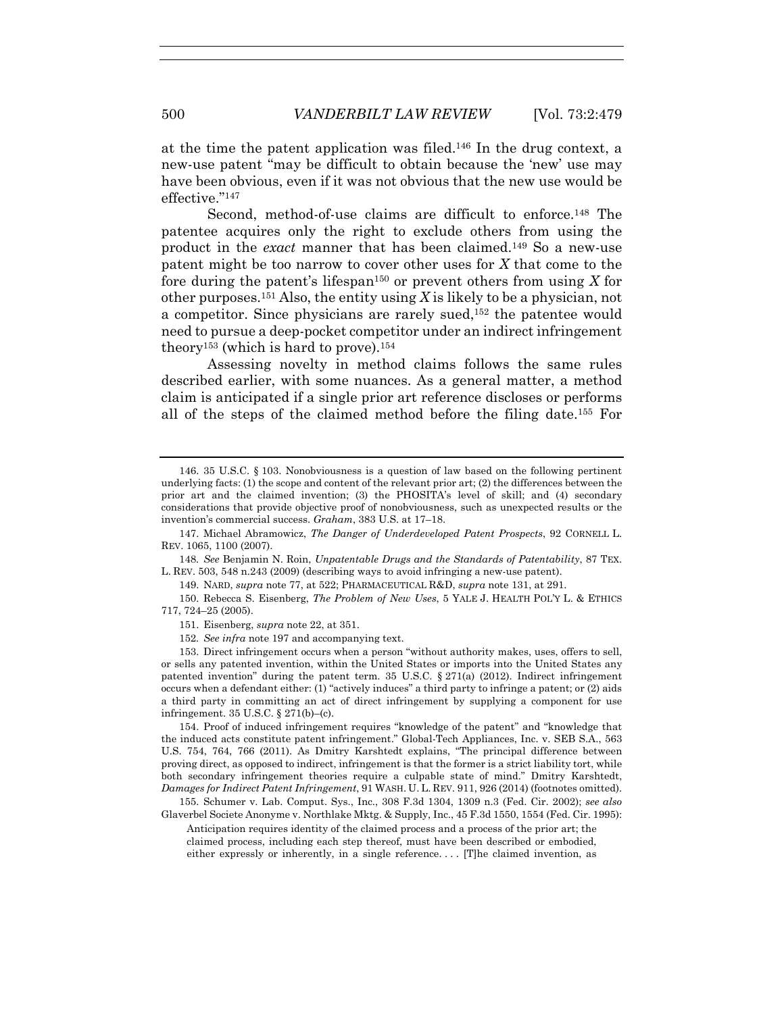at the time the patent application was filed.146 In the drug context, a new-use patent "may be difficult to obtain because the 'new' use may have been obvious, even if it was not obvious that the new use would be effective."147

Second, method-of-use claims are difficult to enforce.<sup>148</sup> The patentee acquires only the right to exclude others from using the product in the *exact* manner that has been claimed.149 So a new-use patent might be too narrow to cover other uses for *X* that come to the fore during the patent's lifespan150 or prevent others from using *X* for other purposes.<sup>151</sup> Also, the entity using X is likely to be a physician, not a competitor. Since physicians are rarely sued,152 the patentee would need to pursue a deep-pocket competitor under an indirect infringement theory<sup>153</sup> (which is hard to prove).<sup>154</sup>

Assessing novelty in method claims follows the same rules described earlier, with some nuances. As a general matter, a method claim is anticipated if a single prior art reference discloses or performs all of the steps of the claimed method before the filing date.155 For

148*. See* Benjamin N. Roin, *Unpatentable Drugs and the Standards of Patentability*, 87 TEX. L. REV. 503, 548 n.243 (2009) (describing ways to avoid infringing a new-use patent).

149. NARD, *supra* note 77, at 522; PHARMACEUTICAL R&D, *supra* note 131, at 291.

 150. Rebecca S. Eisenberg, *The Problem of New Uses*, 5 YALE J. HEALTH POL'Y L. & ETHICS 717, 724–25 (2005).

 <sup>146. 35</sup> U.S.C. § 103. Nonobviousness is a question of law based on the following pertinent underlying facts: (1) the scope and content of the relevant prior art; (2) the differences between the prior art and the claimed invention; (3) the PHOSITA's level of skill; and (4) secondary considerations that provide objective proof of nonobviousness, such as unexpected results or the invention's commercial success. *Graham*, 383 U.S. at 17–18.

 <sup>147.</sup> Michael Abramowicz, *The Danger of Underdeveloped Patent Prospects*, 92 CORNELL L. REV. 1065, 1100 (2007).

 <sup>151.</sup> Eisenberg, *supra* note 22, at 351.

<sup>152</sup>*. See infra* note 197 and accompanying text.

 <sup>153.</sup> Direct infringement occurs when a person "without authority makes, uses, offers to sell, or sells any patented invention, within the United States or imports into the United States any patented invention" during the patent term. 35 U.S.C. § 271(a) (2012). Indirect infringement occurs when a defendant either: (1) "actively induces" a third party to infringe a patent; or (2) aids a third party in committing an act of direct infringement by supplying a component for use infringement. 35 U.S.C. § 271(b)–(c).

 <sup>154.</sup> Proof of induced infringement requires "knowledge of the patent" and "knowledge that the induced acts constitute patent infringement." Global-Tech Appliances, Inc. v. SEB S.A., 563 U.S. 754, 764, 766 (2011). As Dmitry Karshtedt explains, "The principal difference between proving direct, as opposed to indirect, infringement is that the former is a strict liability tort, while both secondary infringement theories require a culpable state of mind." Dmitry Karshtedt, *Damages for Indirect Patent Infringement*, 91 WASH. U. L. REV. 911, 926 (2014) (footnotes omitted).

 <sup>155.</sup> Schumer v. Lab. Comput. Sys., Inc., 308 F.3d 1304, 1309 n.3 (Fed. Cir. 2002); *see also* Glaverbel Societe Anonyme v. Northlake Mktg. & Supply, Inc., 45 F.3d 1550, 1554 (Fed. Cir. 1995):

Anticipation requires identity of the claimed process and a process of the prior art; the claimed process, including each step thereof, must have been described or embodied, either expressly or inherently, in a single reference.... [T]he claimed invention, as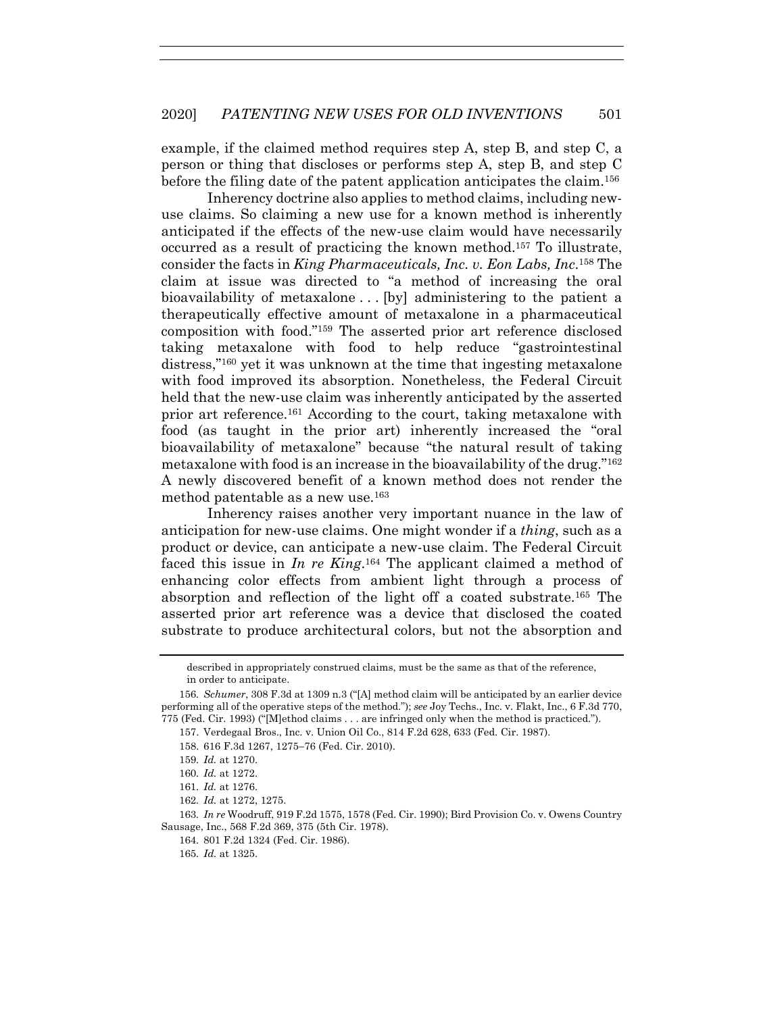example, if the claimed method requires step A, step B, and step C, a person or thing that discloses or performs step A, step B, and step C before the filing date of the patent application anticipates the claim.156

Inherency doctrine also applies to method claims, including newuse claims. So claiming a new use for a known method is inherently anticipated if the effects of the new-use claim would have necessarily occurred as a result of practicing the known method.157 To illustrate, consider the facts in *King Pharmaceuticals, Inc. v. Eon Labs, Inc*.158 The claim at issue was directed to "a method of increasing the oral bioavailability of metaxalone . . . [by] administering to the patient a therapeutically effective amount of metaxalone in a pharmaceutical composition with food."159 The asserted prior art reference disclosed taking metaxalone with food to help reduce "gastrointestinal distress,"160 yet it was unknown at the time that ingesting metaxalone with food improved its absorption. Nonetheless, the Federal Circuit held that the new-use claim was inherently anticipated by the asserted prior art reference.161 According to the court, taking metaxalone with food (as taught in the prior art) inherently increased the "oral bioavailability of metaxalone" because "the natural result of taking metaxalone with food is an increase in the bioavailability of the drug."162 A newly discovered benefit of a known method does not render the method patentable as a new use.163

Inherency raises another very important nuance in the law of anticipation for new-use claims. One might wonder if a *thing*, such as a product or device, can anticipate a new-use claim. The Federal Circuit faced this issue in *In re King*.164 The applicant claimed a method of enhancing color effects from ambient light through a process of absorption and reflection of the light off a coated substrate.165 The asserted prior art reference was a device that disclosed the coated substrate to produce architectural colors, but not the absorption and

162*. Id.* at 1272, 1275.

165*. Id.* at 1325.

described in appropriately construed claims, must be the same as that of the reference, in order to anticipate.

<sup>156</sup>*. Schumer*, 308 F.3d at 1309 n.3 ("[A] method claim will be anticipated by an earlier device performing all of the operative steps of the method."); *see* Joy Techs., Inc. v. Flakt, Inc., 6 F.3d 770, 775 (Fed. Cir. 1993) ("[M]ethod claims . . . are infringed only when the method is practiced.").

 <sup>157.</sup> Verdegaal Bros., Inc. v. Union Oil Co., 814 F.2d 628, 633 (Fed. Cir. 1987).

 <sup>158. 616</sup> F.3d 1267, 1275−76 (Fed. Cir. 2010).

<sup>159</sup>*. Id.* at 1270.

<sup>160</sup>*. Id.* at 1272.

<sup>161</sup>*. Id.* at 1276.

<sup>163</sup>*. In re* Woodruff, 919 F.2d 1575, 1578 (Fed. Cir. 1990); Bird Provision Co. v. Owens Country Sausage, Inc., 568 F.2d 369, 375 (5th Cir. 1978).

<sup>164</sup>*.* 801 F.2d 1324 (Fed. Cir. 1986).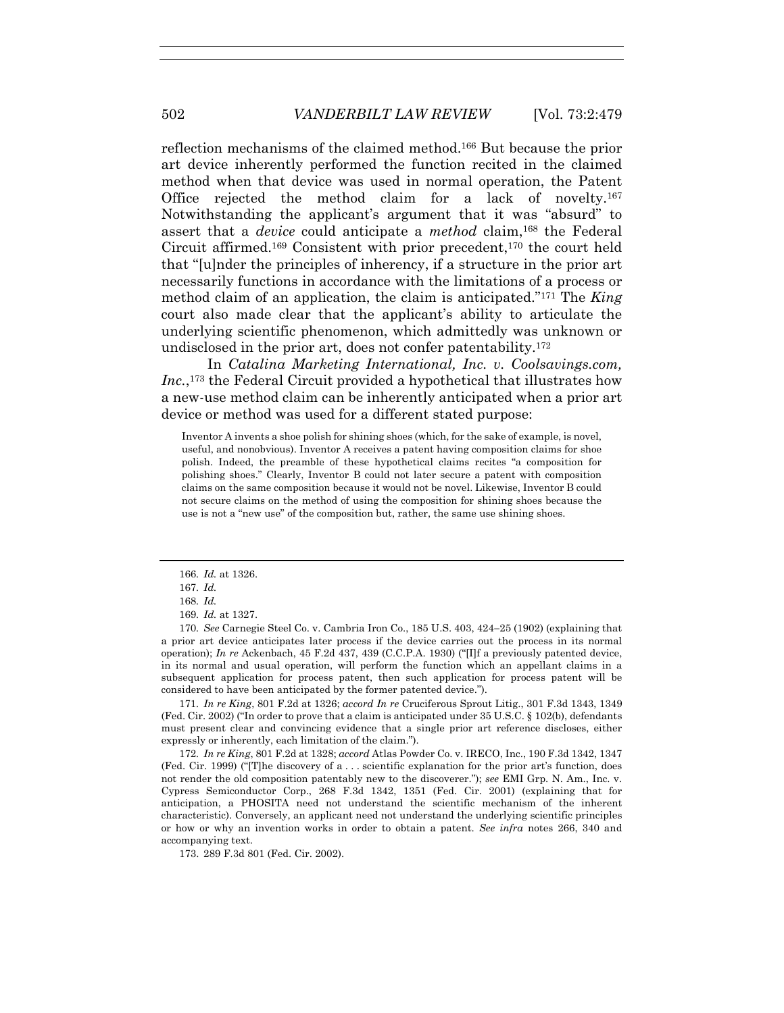reflection mechanisms of the claimed method.166 But because the prior art device inherently performed the function recited in the claimed method when that device was used in normal operation, the Patent Office rejected the method claim for a lack of novelty.167 Notwithstanding the applicant's argument that it was "absurd" to assert that a *device* could anticipate a *method* claim,168 the Federal Circuit affirmed.169 Consistent with prior precedent,170 the court held that "[u]nder the principles of inherency, if a structure in the prior art necessarily functions in accordance with the limitations of a process or method claim of an application, the claim is anticipated."171 The *King* court also made clear that the applicant's ability to articulate the underlying scientific phenomenon, which admittedly was unknown or undisclosed in the prior art, does not confer patentability.172

In *Catalina Marketing International, Inc. v. Coolsavings.com,*  Inc.,<sup>173</sup> the Federal Circuit provided a hypothetical that illustrates how a new-use method claim can be inherently anticipated when a prior art device or method was used for a different stated purpose:

Inventor A invents a shoe polish for shining shoes (which, for the sake of example, is novel, useful, and nonobvious). Inventor A receives a patent having composition claims for shoe polish. Indeed, the preamble of these hypothetical claims recites "a composition for polishing shoes." Clearly, Inventor B could not later secure a patent with composition claims on the same composition because it would not be novel. Likewise, Inventor B could not secure claims on the method of using the composition for shining shoes because the use is not a "new use" of the composition but, rather, the same use shining shoes.

170*. See* Carnegie Steel Co. v. Cambria Iron Co., 185 U.S. 403, 424−25 (1902) (explaining that a prior art device anticipates later process if the device carries out the process in its normal operation); *In re* Ackenbach, 45 F.2d 437, 439 (C.C.P.A. 1930) ("[I]f a previously patented device, in its normal and usual operation, will perform the function which an appellant claims in a subsequent application for process patent, then such application for process patent will be considered to have been anticipated by the former patented device.").

171*. In re King*, 801 F.2d at 1326; *accord In re* Cruciferous Sprout Litig., 301 F.3d 1343, 1349 (Fed. Cir. 2002) ("In order to prove that a claim is anticipated under 35 U.S.C. § 102(b), defendants must present clear and convincing evidence that a single prior art reference discloses, either expressly or inherently, each limitation of the claim.").

172*. In re King*, 801 F.2d at 1328; *accord* Atlas Powder Co. v. IRECO, Inc., 190 F.3d 1342, 1347 (Fed. Cir. 1999) ("[T]he discovery of a . . . scientific explanation for the prior art's function, does not render the old composition patentably new to the discoverer."); *see* EMI Grp. N. Am., Inc. v. Cypress Semiconductor Corp., 268 F.3d 1342, 1351 (Fed. Cir. 2001) (explaining that for anticipation, a PHOSITA need not understand the scientific mechanism of the inherent characteristic). Conversely, an applicant need not understand the underlying scientific principles or how or why an invention works in order to obtain a patent. *See infra* notes 266, 340 and accompanying text.

173. 289 F.3d 801 (Fed. Cir. 2002).

<sup>166</sup>*. Id.* at 1326.

<sup>167</sup>*. Id.*

<sup>168</sup>*. Id.*

<sup>169</sup>*. Id.* at 1327.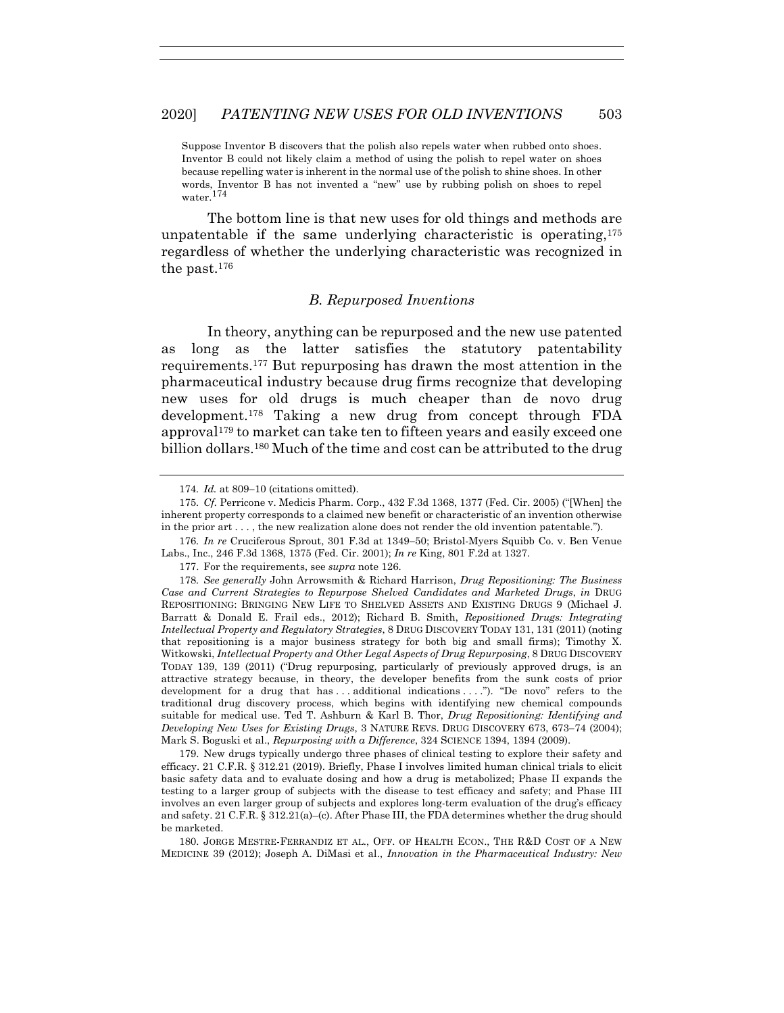Suppose Inventor B discovers that the polish also repels water when rubbed onto shoes. Inventor B could not likely claim a method of using the polish to repel water on shoes because repelling water is inherent in the normal use of the polish to shine shoes. In other words, Inventor B has not invented a "new" use by rubbing polish on shoes to repel water.<sup>174</sup>

The bottom line is that new uses for old things and methods are unpatentable if the same underlying characteristic is operating,  $175$ regardless of whether the underlying characteristic was recognized in the past.176

## *B. Repurposed Inventions*

In theory, anything can be repurposed and the new use patented as long as the latter satisfies the statutory patentability requirements.177 But repurposing has drawn the most attention in the pharmaceutical industry because drug firms recognize that developing new uses for old drugs is much cheaper than de novo drug development.178 Taking a new drug from concept through FDA approval179 to market can take ten to fifteen years and easily exceed one billion dollars.<sup>180</sup> Much of the time and cost can be attributed to the drug

 179. New drugs typically undergo three phases of clinical testing to explore their safety and efficacy. 21 C.F.R. § 312.21 (2019). Briefly, Phase I involves limited human clinical trials to elicit basic safety data and to evaluate dosing and how a drug is metabolized; Phase II expands the testing to a larger group of subjects with the disease to test efficacy and safety; and Phase III involves an even larger group of subjects and explores long-term evaluation of the drug's efficacy and safety. 21 C.F.R. § 312.21(a)–(c). After Phase III, the FDA determines whether the drug should be marketed.

 180. JORGE MESTRE-FERRANDIZ ET AL., OFF. OF HEALTH ECON., THE R&D COST OF A NEW MEDICINE 39 (2012); Joseph A. DiMasi et al., *Innovation in the Pharmaceutical Industry: New* 

<sup>174</sup>*. Id.* at 809−10 (citations omitted).

<sup>175</sup>*. Cf.* Perricone v. Medicis Pharm. Corp., 432 F.3d 1368, 1377 (Fed. Cir. 2005) ("[When] the inherent property corresponds to a claimed new benefit or characteristic of an invention otherwise in the prior art . . . , the new realization alone does not render the old invention patentable.").

<sup>176</sup>*. In re* Cruciferous Sprout, 301 F.3d at 1349−50; Bristol-Myers Squibb Co. v. Ben Venue Labs., Inc., 246 F.3d 1368, 1375 (Fed. Cir. 2001); *In re* King, 801 F.2d at 1327.

 <sup>177.</sup> For the requirements, see *supra* note 126.

<sup>178</sup>*. See generally* John Arrowsmith & Richard Harrison, *Drug Repositioning: The Business Case and Current Strategies to Repurpose Shelved Candidates and Marketed Drugs*, *in* DRUG REPOSITIONING: BRINGING NEW LIFE TO SHELVED ASSETS AND EXISTING DRUGS 9 (Michael J. Barratt & Donald E. Frail eds., 2012); Richard B. Smith, *Repositioned Drugs: Integrating Intellectual Property and Regulatory Strategies*, 8 DRUG DISCOVERY TODAY 131, 131 (2011) (noting that repositioning is a major business strategy for both big and small firms); Timothy X. Witkowski, *Intellectual Property and Other Legal Aspects of Drug Repurposing*, 8 DRUG DISCOVERY TODAY 139, 139 (2011) ("Drug repurposing, particularly of previously approved drugs, is an attractive strategy because, in theory, the developer benefits from the sunk costs of prior development for a drug that has . . . additional indications . . . ."). "De novo" refers to the traditional drug discovery process, which begins with identifying new chemical compounds suitable for medical use. Ted T. Ashburn & Karl B. Thor, *Drug Repositioning: Identifying and Developing New Uses for Existing Drugs*, 3 NATURE REVS. DRUG DISCOVERY 673, 673−74 (2004); Mark S. Boguski et al., *Repurposing with a Difference*, 324 SCIENCE 1394, 1394 (2009).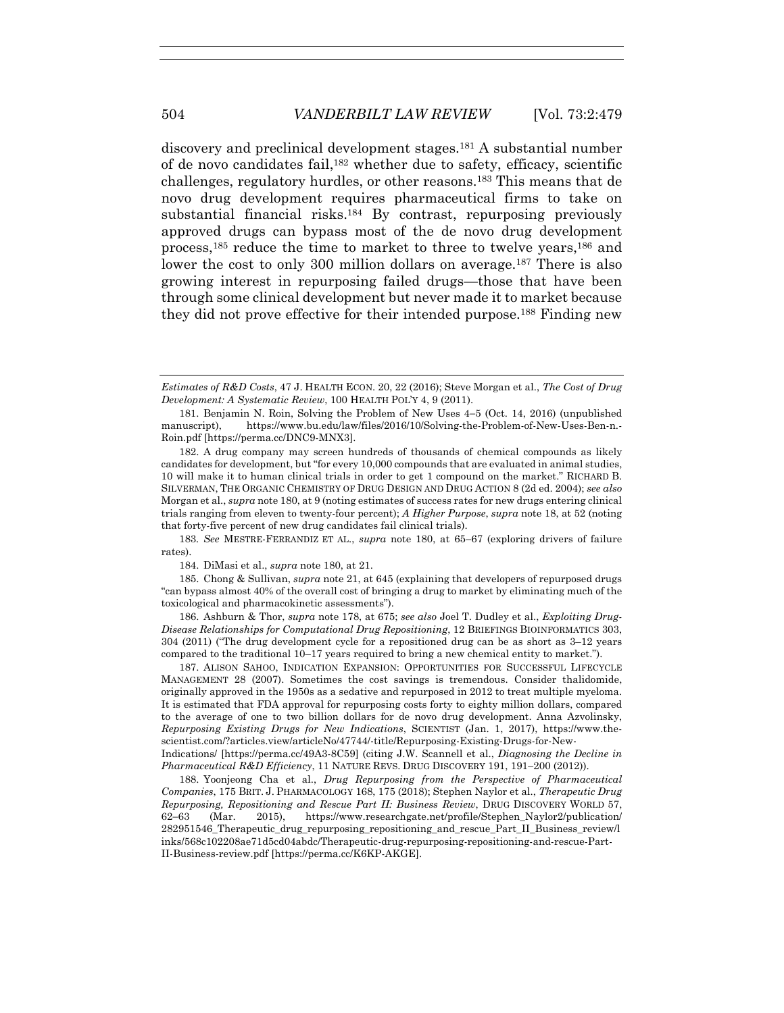discovery and preclinical development stages.181 A substantial number of de novo candidates fail,182 whether due to safety, efficacy, scientific challenges, regulatory hurdles, or other reasons.183 This means that de novo drug development requires pharmaceutical firms to take on substantial financial risks.184 By contrast, repurposing previously approved drugs can bypass most of the de novo drug development process,185 reduce the time to market to three to twelve years,186 and lower the cost to only 300 million dollars on average.<sup>187</sup> There is also growing interest in repurposing failed drugs—those that have been through some clinical development but never made it to market because they did not prove effective for their intended purpose.188 Finding new

 182. A drug company may screen hundreds of thousands of chemical compounds as likely candidates for development, but "for every 10,000 compounds that are evaluated in animal studies, 10 will make it to human clinical trials in order to get 1 compound on the market." RICHARD B. SILVERMAN, THE ORGANIC CHEMISTRY OF DRUG DESIGN AND DRUG ACTION 8 (2d ed. 2004); *see also* Morgan et al., *supra* note 180, at 9 (noting estimates of success rates for new drugs entering clinical trials ranging from eleven to twenty-four percent); *A Higher Purpose*, *supra* note 18, at 52 (noting that forty-five percent of new drug candidates fail clinical trials).

183*. See* MESTRE-FERRANDIZ ET AL., *supra* note 180, at 65−67 (exploring drivers of failure rates).

184. DiMasi et al., *supra* note 180, at 21.

 185. Chong & Sullivan, *supra* note 21, at 645 (explaining that developers of repurposed drugs "can bypass almost 40% of the overall cost of bringing a drug to market by eliminating much of the toxicological and pharmacokinetic assessments").

 186. Ashburn & Thor, *supra* note 178, at 675; *see also* Joel T. Dudley et al., *Exploiting Drug-Disease Relationships for Computational Drug Repositioning*, 12 BRIEFINGS BIOINFORMATICS 303, 304 (2011) ("The drug development cycle for a repositioned drug can be as short as 3–12 years compared to the traditional 10–17 years required to bring a new chemical entity to market.").

 187. ALISON SAHOO, INDICATION EXPANSION: OPPORTUNITIES FOR SUCCESSFUL LIFECYCLE MANAGEMENT 28 (2007). Sometimes the cost savings is tremendous. Consider thalidomide, originally approved in the 1950s as a sedative and repurposed in 2012 to treat multiple myeloma. It is estimated that FDA approval for repurposing costs forty to eighty million dollars, compared to the average of one to two billion dollars for de novo drug development. Anna Azvolinsky, *Repurposing Existing Drugs for New Indications*, SCIENTIST (Jan. 1, 2017), https://www.thescientist.com/?articles.view/articleNo/47744/-title/Repurposing-Existing-Drugs-for-New-

Indications/ [https://perma.cc/49A3-8C59] (citing J.W. Scannell et al., *Diagnosing the Decline in Pharmaceutical R&D Efficiency*, 11 NATURE REVS. DRUG DISCOVERY 191, 191−200 (2012)).

 188. Yoonjeong Cha et al., *Drug Repurposing from the Perspective of Pharmaceutical Companies*, 175 BRIT. J. PHARMACOLOGY 168, 175 (2018); Stephen Naylor et al., *Therapeutic Drug Repurposing, Repositioning and Rescue Part II: Business Review*, DRUG DISCOVERY WORLD 57, 62−63 (Mar. 2015), https://www.researchgate.net/profile/Stephen\_Naylor2/publication/ 282951546\_Therapeutic\_drug\_repurposing\_repositioning\_and\_rescue\_Part\_II\_Business\_review/l inks/568c102208ae71d5cd04abdc/Therapeutic-drug-repurposing-repositioning-and-rescue-Part-II-Business-review.pdf [https://perma.cc/K6KP-AKGE].

*Estimates of R&D Costs*, 47 J. HEALTH ECON. 20, 22 (2016); Steve Morgan et al., *The Cost of Drug Development: A Systematic Review*, 100 HEALTH POL'Y 4, 9 (2011).

 <sup>181.</sup> Benjamin N. Roin, Solving the Problem of New Uses 4−5 (Oct. 14, 2016) (unpublished manuscript), https://www.bu.edu/law/files/2016/10/Solving-the-Problem-of-New-Uses-Ben-n.- Roin.pdf [https://perma.cc/DNC9-MNX3].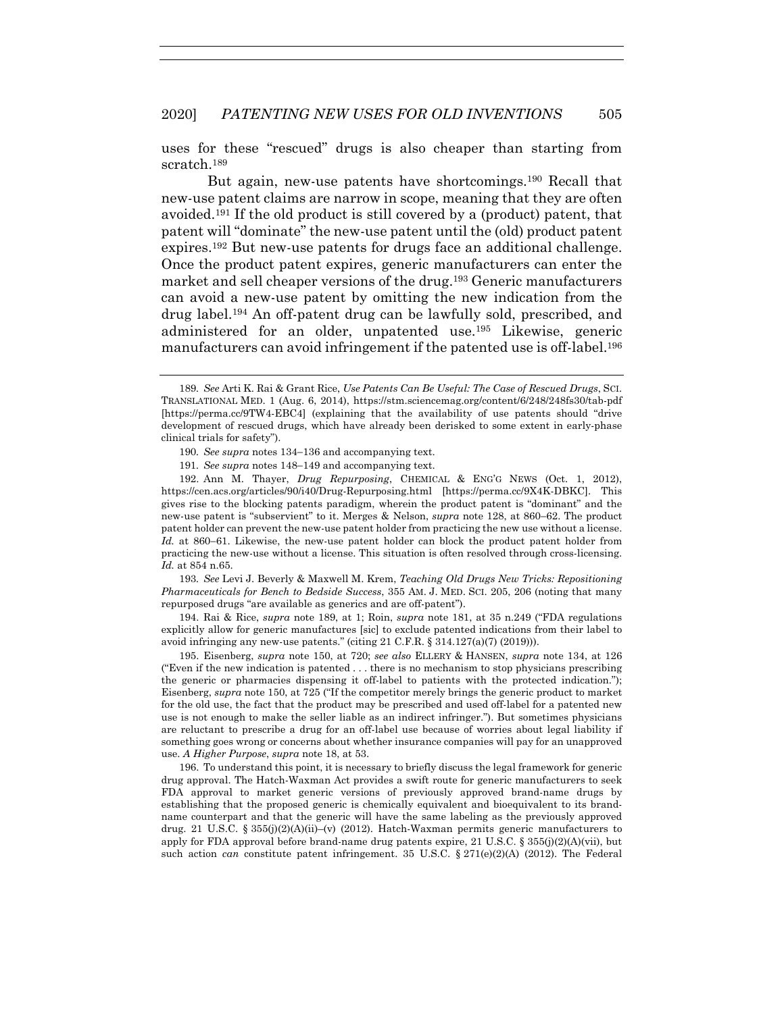uses for these "rescued" drugs is also cheaper than starting from scratch.189

But again, new-use patents have shortcomings.190 Recall that new-use patent claims are narrow in scope, meaning that they are often avoided.191 If the old product is still covered by a (product) patent, that patent will "dominate" the new-use patent until the (old) product patent expires.192 But new-use patents for drugs face an additional challenge. Once the product patent expires, generic manufacturers can enter the market and sell cheaper versions of the drug.193 Generic manufacturers can avoid a new-use patent by omitting the new indication from the drug label.194 An off-patent drug can be lawfully sold, prescribed, and administered for an older, unpatented use.195 Likewise, generic manufacturers can avoid infringement if the patented use is off-label.196

 192. Ann M. Thayer, *Drug Repurposing*, CHEMICAL & ENG'G NEWS (Oct. 1, 2012), https://cen.acs.org/articles/90/i40/Drug-Repurposing.html [https://perma.cc/9X4K-DBKC]. This gives rise to the blocking patents paradigm, wherein the product patent is "dominant" and the new-use patent is "subservient" to it. Merges & Nelson, *supra* note 128, at 860−62. The product patent holder can prevent the new-use patent holder from practicing the new use without a license. *Id.* at 860−61. Likewise, the new-use patent holder can block the product patent holder from practicing the new-use without a license. This situation is often resolved through cross-licensing. *Id.* at 854 n.65.

193*. See* Levi J. Beverly & Maxwell M. Krem, *Teaching Old Drugs New Tricks: Repositioning Pharmaceuticals for Bench to Bedside Success*, 355 AM. J. MED. SCI. 205, 206 (noting that many repurposed drugs "are available as generics and are off-patent").

 194. Rai & Rice, *supra* note 189, at 1; Roin, *supra* note 181, at 35 n.249 ("FDA regulations explicitly allow for generic manufactures [sic] to exclude patented indications from their label to avoid infringing any new-use patents." (citing 21 C.F.R. § 314.127(a)(7) (2019))).

 195. Eisenberg, *supra* note 150, at 720; *see also* ELLERY & HANSEN, *supra* note 134, at 126 ("Even if the new indication is patented . . . there is no mechanism to stop physicians prescribing the generic or pharmacies dispensing it off-label to patients with the protected indication."); Eisenberg, *supra* note 150, at 725 ("If the competitor merely brings the generic product to market for the old use, the fact that the product may be prescribed and used off-label for a patented new use is not enough to make the seller liable as an indirect infringer."). But sometimes physicians are reluctant to prescribe a drug for an off-label use because of worries about legal liability if something goes wrong or concerns about whether insurance companies will pay for an unapproved use. *A Higher Purpose*, *supra* note 18, at 53.

 196. To understand this point, it is necessary to briefly discuss the legal framework for generic drug approval. The Hatch-Waxman Act provides a swift route for generic manufacturers to seek FDA approval to market generic versions of previously approved brand-name drugs by establishing that the proposed generic is chemically equivalent and bioequivalent to its brandname counterpart and that the generic will have the same labeling as the previously approved drug. 21 U.S.C. § 355 $(j)(2)(A)(ii)$ –(v) (2012). Hatch-Waxman permits generic manufacturers to apply for FDA approval before brand-name drug patents expire, 21 U.S.C. § 355(j)(2)(A)(vii), but such action *can* constitute patent infringement. 35 U.S.C.  $\S 271(e)(2)(A)$  (2012). The Federal

<sup>189</sup>*. See* Arti K. Rai & Grant Rice, *Use Patents Can Be Useful: The Case of Rescued Drugs*, SCI. TRANSLATIONAL MED. 1 (Aug. 6, 2014), https://stm.sciencemag.org/content/6/248/248fs30/tab-pdf [https://perma.cc/9TW4-EBC4] (explaining that the availability of use patents should "drive development of rescued drugs, which have already been derisked to some extent in early-phase clinical trials for safety").

<sup>190</sup>*. See supra* notes 134−136 and accompanying text.

<sup>191</sup>*. See supra* notes 148−149 and accompanying text.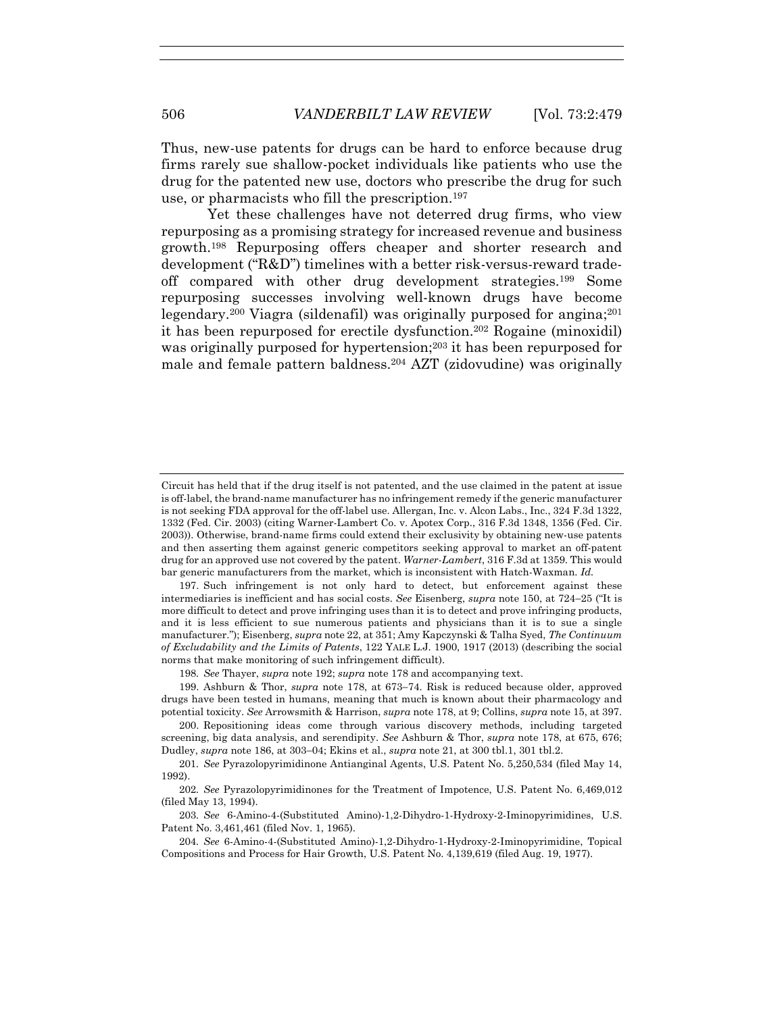Thus, new-use patents for drugs can be hard to enforce because drug firms rarely sue shallow-pocket individuals like patients who use the drug for the patented new use, doctors who prescribe the drug for such use, or pharmacists who fill the prescription.197

Yet these challenges have not deterred drug firms, who view repurposing as a promising strategy for increased revenue and business growth.198 Repurposing offers cheaper and shorter research and development ("R&D") timelines with a better risk-versus-reward tradeoff compared with other drug development strategies.199 Some repurposing successes involving well-known drugs have become legendary.200 Viagra (sildenafil) was originally purposed for angina;201 it has been repurposed for erectile dysfunction.202 Rogaine (minoxidil) was originally purposed for hypertension;<sup>203</sup> it has been repurposed for male and female pattern baldness.204 AZT (zidovudine) was originally

 197. Such infringement is not only hard to detect, but enforcement against these intermediaries is inefficient and has social costs. *See* Eisenberg, *supra* note 150, at 724−25 ("It is more difficult to detect and prove infringing uses than it is to detect and prove infringing products, and it is less efficient to sue numerous patients and physicians than it is to sue a single manufacturer."); Eisenberg, *supra* note 22, at 351; Amy Kapczynski & Talha Syed, *The Continuum of Excludability and the Limits of Patents*, 122 YALE L.J. 1900, 1917 (2013) (describing the social norms that make monitoring of such infringement difficult).

Circuit has held that if the drug itself is not patented, and the use claimed in the patent at issue is off-label, the brand-name manufacturer has no infringement remedy if the generic manufacturer is not seeking FDA approval for the off-label use. Allergan, Inc. v. Alcon Labs., Inc., 324 F.3d 1322, 1332 (Fed. Cir. 2003) (citing Warner-Lambert Co. v. Apotex Corp., 316 F.3d 1348, 1356 (Fed. Cir. 2003)). Otherwise, brand-name firms could extend their exclusivity by obtaining new-use patents and then asserting them against generic competitors seeking approval to market an off-patent drug for an approved use not covered by the patent. *Warner-Lambert*, 316 F.3d at 1359. This would bar generic manufacturers from the market, which is inconsistent with Hatch-Waxman. *Id.*

<sup>198</sup>*. See* Thayer, *supra* note 192; *supra* note 178 and accompanying text.

 <sup>199.</sup> Ashburn & Thor, *supra* note 178, at 673−74. Risk is reduced because older, approved drugs have been tested in humans, meaning that much is known about their pharmacology and potential toxicity. *See* Arrowsmith & Harrison, *supra* note 178, at 9; Collins, *supra* note 15, at 397.

 <sup>200.</sup> Repositioning ideas come through various discovery methods, including targeted screening, big data analysis, and serendipity. *See* Ashburn & Thor, *supra* note 178, at 675, 676; Dudley, *supra* note 186, at 303−04; Ekins et al., *supra* note 21, at 300 tbl.1, 301 tbl.2.

<sup>201</sup>*. See* Pyrazolopyrimidinone Antianginal Agents, U.S. Patent No. 5,250,534 (filed May 14, 1992).

<sup>202</sup>*. See* Pyrazolopyrimidinones for the Treatment of Impotence, U.S. Patent No. 6,469,012 (filed May 13, 1994).

<sup>203</sup>*. See* 6-Amino-4-(Substituted Amino)-1,2-Dihydro-1-Hydroxy-2-Iminopyrimidines, U.S. Patent No. 3,461,461 (filed Nov. 1, 1965).

<sup>204</sup>*. See* 6-Amino-4-(Substituted Amino)-1,2-Dihydro-1-Hydroxy-2-Iminopyrimidine, Topical Compositions and Process for Hair Growth, U.S. Patent No. 4,139,619 (filed Aug. 19, 1977).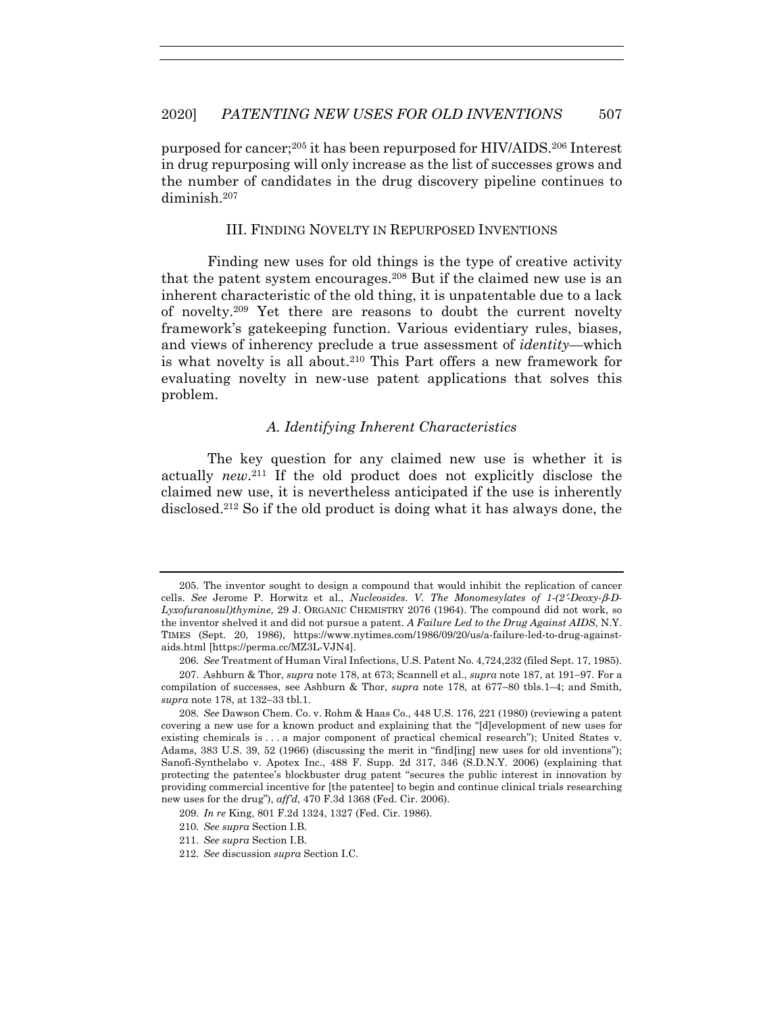purposed for cancer;205 it has been repurposed for HIV/AIDS.206 Interest in drug repurposing will only increase as the list of successes grows and the number of candidates in the drug discovery pipeline continues to diminish.207

#### III. FINDING NOVELTY IN REPURPOSED INVENTIONS

Finding new uses for old things is the type of creative activity that the patent system encourages.208 But if the claimed new use is an inherent characteristic of the old thing, it is unpatentable due to a lack of novelty.209 Yet there are reasons to doubt the current novelty framework's gatekeeping function. Various evidentiary rules, biases, and views of inherency preclude a true assessment of *identity*—which is what novelty is all about.<sup>210</sup> This Part offers a new framework for evaluating novelty in new-use patent applications that solves this problem.

#### *A. Identifying Inherent Characteristics*

The key question for any claimed new use is whether it is actually *new*.211 If the old product does not explicitly disclose the claimed new use, it is nevertheless anticipated if the use is inherently disclosed.212 So if the old product is doing what it has always done, the

 <sup>205.</sup> The inventor sought to design a compound that would inhibit the replication of cancer cells. *See* Jerome P. Horwitz et al., *Nucleosides. V. The Monomesylates of 1-(2*′*-Deoxy-*β*-D-Lyxofuranosul)thymine*, 29 J. ORGANIC CHEMISTRY 2076 (1964). The compound did not work, so the inventor shelved it and did not pursue a patent. *A Failure Led to the Drug Against AIDS*, N.Y. TIMES (Sept. 20, 1986), https://www.nytimes.com/1986/09/20/us/a-failure-led-to-drug-againstaids.html [https://perma.cc/MZ3L-VJN4].

<sup>206</sup>*. See* Treatment of Human Viral Infections, U.S. Patent No. 4,724,232 (filed Sept. 17, 1985).

 <sup>207.</sup> Ashburn & Thor, *supra* note 178, at 673; Scannell et al., *supra* note 187, at 191−97. For a compilation of successes, see Ashburn & Thor, *supra* note 178, at 677−80 tbls.1–4; and Smith, *supra* note 178, at 132−33 tbl.1.

<sup>208</sup>*. See* Dawson Chem. Co. v. Rohm & Haas Co., 448 U.S. 176, 221 (1980) (reviewing a patent covering a new use for a known product and explaining that the "[d]evelopment of new uses for existing chemicals is . . . a major component of practical chemical research"); United States v. Adams, 383 U.S. 39, 52 (1966) (discussing the merit in "find[ing] new uses for old inventions"); Sanofi-Synthelabo v. Apotex Inc., 488 F. Supp. 2d 317, 346 (S.D.N.Y. 2006) (explaining that protecting the patentee's blockbuster drug patent "secures the public interest in innovation by providing commercial incentive for [the patentee] to begin and continue clinical trials researching new uses for the drug"), *aff'd*, 470 F.3d 1368 (Fed. Cir. 2006).

<sup>209</sup>*. In re* King, 801 F.2d 1324, 1327 (Fed. Cir. 1986).

<sup>210</sup>*. See supra* Section I.B.

<sup>211</sup>*. See supra* Section I.B.

<sup>212</sup>*. See* discussion *supra* Section I.C.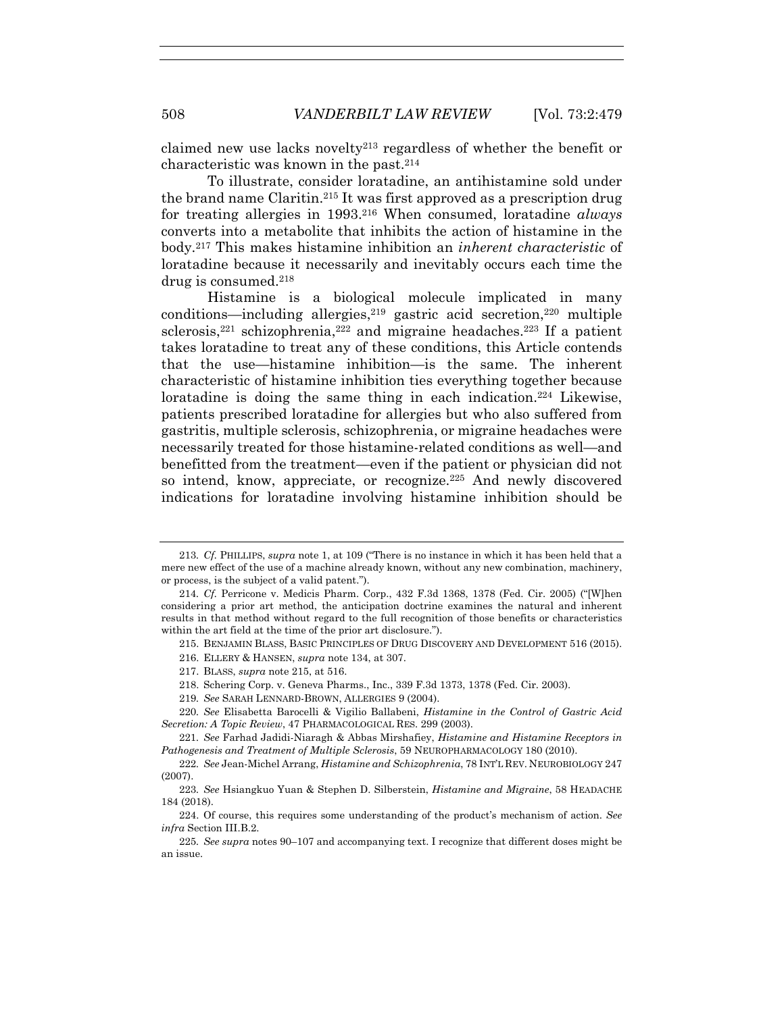claimed new use lacks novelty<sup>213</sup> regardless of whether the benefit or characteristic was known in the past.214

To illustrate, consider loratadine, an antihistamine sold under the brand name Claritin.215 It was first approved as a prescription drug for treating allergies in 1993.216 When consumed, loratadine *always* converts into a metabolite that inhibits the action of histamine in the body.217 This makes histamine inhibition an *inherent characteristic* of loratadine because it necessarily and inevitably occurs each time the drug is consumed.218

Histamine is a biological molecule implicated in many conditions—including allergies,  $2^{19}$  gastric acid secretion,  $2^{20}$  multiple sclerosis,<sup>221</sup> schizophrenia,<sup>222</sup> and migraine headaches.<sup>223</sup> If a patient takes loratadine to treat any of these conditions, this Article contends that the use—histamine inhibition—is the same. The inherent characteristic of histamine inhibition ties everything together because loratadine is doing the same thing in each indication.<sup>224</sup> Likewise, patients prescribed loratadine for allergies but who also suffered from gastritis, multiple sclerosis, schizophrenia, or migraine headaches were necessarily treated for those histamine-related conditions as well—and benefitted from the treatment—even if the patient or physician did not so intend, know, appreciate, or recognize.225 And newly discovered indications for loratadine involving histamine inhibition should be

<sup>213</sup>*. Cf.* PHILLIPS, *supra* note 1, at 109 ("There is no instance in which it has been held that a mere new effect of the use of a machine already known, without any new combination, machinery, or process, is the subject of a valid patent.").

<sup>214</sup>*. Cf.* Perricone v. Medicis Pharm. Corp., 432 F.3d 1368, 1378 (Fed. Cir. 2005) ("[W]hen considering a prior art method, the anticipation doctrine examines the natural and inherent results in that method without regard to the full recognition of those benefits or characteristics within the art field at the time of the prior art disclosure.").

 <sup>215.</sup> BENJAMIN BLASS, BASIC PRINCIPLES OF DRUG DISCOVERY AND DEVELOPMENT 516 (2015).

 <sup>216.</sup> ELLERY & HANSEN, *supra* note 134, at 307.

 <sup>217.</sup> BLASS, *supra* note 215, at 516.

 <sup>218.</sup> Schering Corp. v. Geneva Pharms., Inc., 339 F.3d 1373, 1378 (Fed. Cir. 2003).

<sup>219</sup>*. See* SARAH LENNARD-BROWN, ALLERGIES 9 (2004).

<sup>220</sup>*. See* Elisabetta Barocelli & Vigilio Ballabeni, *Histamine in the Control of Gastric Acid Secretion: A Topic Review*, 47 PHARMACOLOGICAL RES. 299 (2003).

<sup>221</sup>*. See* Farhad Jadidi-Niaragh & Abbas Mirshafiey, *Histamine and Histamine Receptors in Pathogenesis and Treatment of Multiple Sclerosis*, 59 NEUROPHARMACOLOGY 180 (2010).

<sup>222</sup>*. See* Jean-Michel Arrang, *Histamine and Schizophrenia*, 78 INT'L REV. NEUROBIOLOGY 247 (2007).

<sup>223</sup>*. See* Hsiangkuo Yuan & Stephen D. Silberstein, *Histamine and Migraine*, 58 HEADACHE 184 (2018).

 <sup>224.</sup> Of course, this requires some understanding of the product's mechanism of action. *See infra* Section III.B.2.

<sup>225</sup>*. See supra* notes 90–107 and accompanying text. I recognize that different doses might be an issue.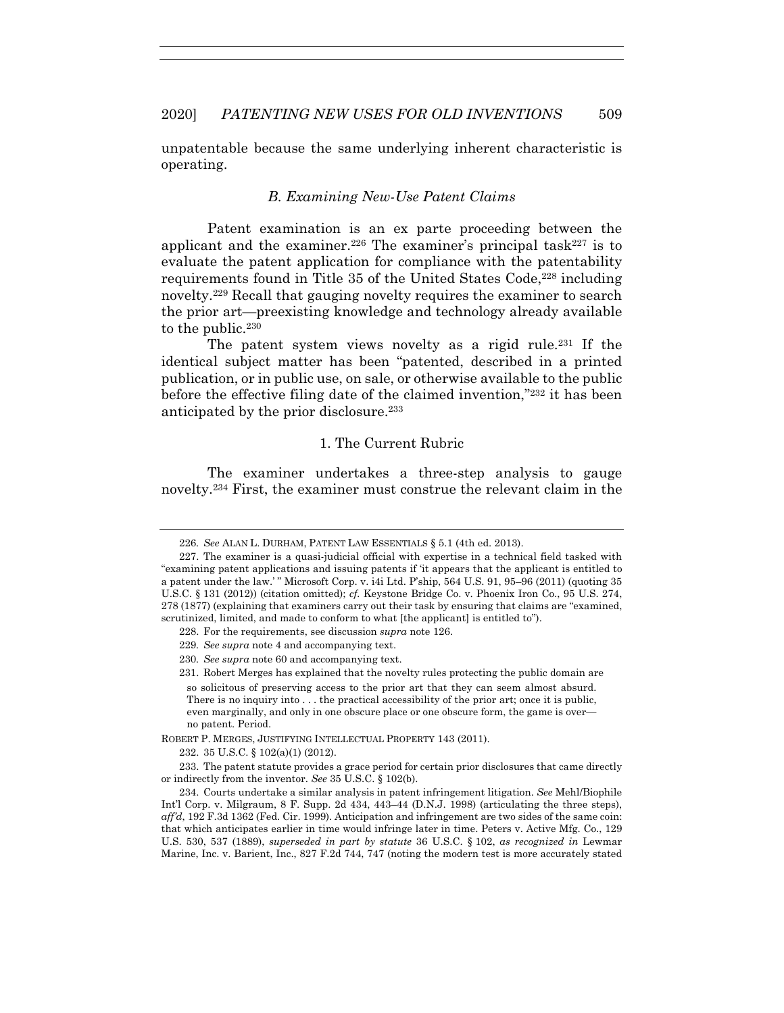unpatentable because the same underlying inherent characteristic is operating.

# *B. Examining New-Use Patent Claims*

Patent examination is an ex parte proceeding between the applicant and the examiner.<sup>226</sup> The examiner's principal task<sup>227</sup> is to evaluate the patent application for compliance with the patentability requirements found in Title 35 of the United States Code,<sup>228</sup> including novelty.229 Recall that gauging novelty requires the examiner to search the prior art—preexisting knowledge and technology already available to the public.<sup>230</sup>

The patent system views novelty as a rigid rule.231 If the identical subject matter has been "patented, described in a printed publication, or in public use, on sale, or otherwise available to the public before the effective filing date of the claimed invention,"232 it has been anticipated by the prior disclosure.233

# 1. The Current Rubric

The examiner undertakes a three-step analysis to gauge novelty.234 First, the examiner must construe the relevant claim in the

229*. See supra* note 4 and accompanying text.

232. 35 U.S.C. § 102(a)(1) (2012).

 233. The patent statute provides a grace period for certain prior disclosures that came directly or indirectly from the inventor. *See* 35 U.S.C. § 102(b).

<sup>226</sup>*. See* ALAN L. DURHAM, PATENT LAW ESSENTIALS § 5.1 (4th ed. 2013).

 <sup>227.</sup> The examiner is a quasi-judicial official with expertise in a technical field tasked with "examining patent applications and issuing patents if 'it appears that the applicant is entitled to a patent under the law.' " Microsoft Corp. v. i4i Ltd. P'ship, 564 U.S. 91, 95–96 (2011) (quoting 35 U.S.C. § 131 (2012)) (citation omitted); *cf.* Keystone Bridge Co. v. Phoenix Iron Co., 95 U.S. 274, 278 (1877) (explaining that examiners carry out their task by ensuring that claims are "examined, scrutinized, limited, and made to conform to what [the applicant] is entitled to").

 <sup>228.</sup> For the requirements, see discussion *supra* note 126.

<sup>230</sup>*. See supra* note 60 and accompanying text.

 <sup>231.</sup> Robert Merges has explained that the novelty rules protecting the public domain are so solicitous of preserving access to the prior art that they can seem almost absurd. There is no inquiry into . . . the practical accessibility of the prior art; once it is public, even marginally, and only in one obscure place or one obscure form, the game is over no patent. Period.

ROBERT P. MERGES, JUSTIFYING INTELLECTUAL PROPERTY 143 (2011).

 <sup>234.</sup> Courts undertake a similar analysis in patent infringement litigation. *See* Mehl/Biophile Int'l Corp. v. Milgraum, 8 F. Supp. 2d 434, 443–44 (D.N.J. 1998) (articulating the three steps), *aff'd*, 192 F.3d 1362 (Fed. Cir. 1999). Anticipation and infringement are two sides of the same coin: that which anticipates earlier in time would infringe later in time. Peters v. Active Mfg. Co., 129 U.S. 530, 537 (1889), *superseded in part by statute* 36 U.S.C. § 102, *as recognized in* Lewmar Marine, Inc. v. Barient, Inc., 827 F.2d 744, 747 (noting the modern test is more accurately stated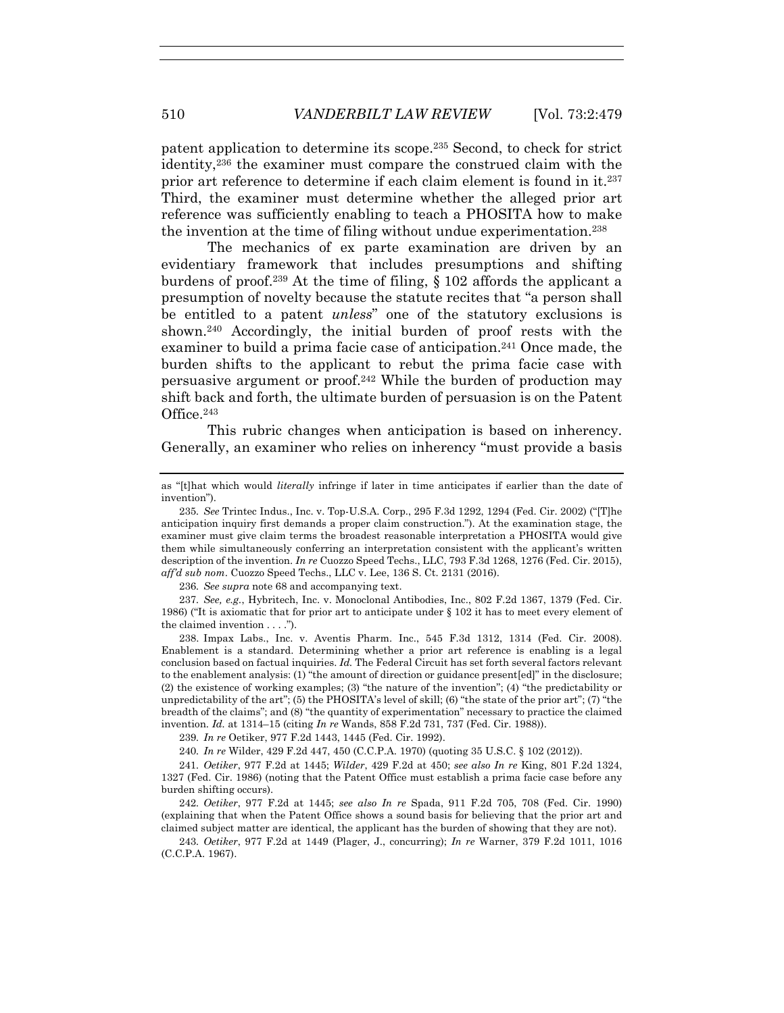patent application to determine its scope.235 Second, to check for strict identity,236 the examiner must compare the construed claim with the prior art reference to determine if each claim element is found in it.237 Third, the examiner must determine whether the alleged prior art reference was sufficiently enabling to teach a PHOSITA how to make the invention at the time of filing without undue experimentation.238

The mechanics of ex parte examination are driven by an evidentiary framework that includes presumptions and shifting burdens of proof.<sup>239</sup> At the time of filing,  $\S$  102 affords the applicant a presumption of novelty because the statute recites that "a person shall be entitled to a patent *unless*" one of the statutory exclusions is shown.240 Accordingly, the initial burden of proof rests with the examiner to build a prima facie case of anticipation.<sup>241</sup> Once made, the burden shifts to the applicant to rebut the prima facie case with persuasive argument or proof.242 While the burden of production may shift back and forth, the ultimate burden of persuasion is on the Patent Office.243

This rubric changes when anticipation is based on inherency. Generally, an examiner who relies on inherency "must provide a basis

236*. See supra* note 68 and accompanying text.

237*. See, e.g.*, Hybritech, Inc. v. Monoclonal Antibodies, Inc., 802 F.2d 1367, 1379 (Fed. Cir. 1986) ("It is axiomatic that for prior art to anticipate under § 102 it has to meet every element of the claimed invention . . . .").

 238. Impax Labs., Inc. v. Aventis Pharm. Inc., 545 F.3d 1312, 1314 (Fed. Cir. 2008). Enablement is a standard. Determining whether a prior art reference is enabling is a legal conclusion based on factual inquiries. *Id.* The Federal Circuit has set forth several factors relevant to the enablement analysis: (1) "the amount of direction or guidance present[ed]" in the disclosure; (2) the existence of working examples; (3) "the nature of the invention"; (4) "the predictability or unpredictability of the art"; (5) the PHOSITA's level of skill; (6) "the state of the prior art"; (7) "the breadth of the claims"; and (8) "the quantity of experimentation" necessary to practice the claimed invention. *Id.* at 1314–15 (citing *In re* Wands, 858 F.2d 731, 737 (Fed. Cir. 1988)).

239*. In re* Oetiker, 977 F.2d 1443, 1445 (Fed. Cir. 1992).

240*. In re* Wilder, 429 F.2d 447, 450 (C.C.P.A. 1970) (quoting 35 U.S.C. § 102 (2012)).

241*. Oetiker*, 977 F.2d at 1445; *Wilder*, 429 F.2d at 450; *see also In re* King, 801 F.2d 1324, 1327 (Fed. Cir. 1986) (noting that the Patent Office must establish a prima facie case before any burden shifting occurs).

242*. Oetiker*, 977 F.2d at 1445; *see also In re* Spada, 911 F.2d 705, 708 (Fed. Cir. 1990) (explaining that when the Patent Office shows a sound basis for believing that the prior art and claimed subject matter are identical, the applicant has the burden of showing that they are not).

243*. Oetiker*, 977 F.2d at 1449 (Plager, J., concurring); *In re* Warner, 379 F.2d 1011, 1016 (C.C.P.A. 1967).

as "[t]hat which would *literally* infringe if later in time anticipates if earlier than the date of invention").

<sup>235</sup>*. See* Trintec Indus., Inc. v. Top-U.S.A. Corp., 295 F.3d 1292, 1294 (Fed. Cir. 2002) ("[T]he anticipation inquiry first demands a proper claim construction."). At the examination stage, the examiner must give claim terms the broadest reasonable interpretation a PHOSITA would give them while simultaneously conferring an interpretation consistent with the applicant's written description of the invention. *In re* Cuozzo Speed Techs., LLC, 793 F.3d 1268, 1276 (Fed. Cir. 2015), *aff'd sub nom*. Cuozzo Speed Techs., LLC v. Lee, 136 S. Ct. 2131 (2016).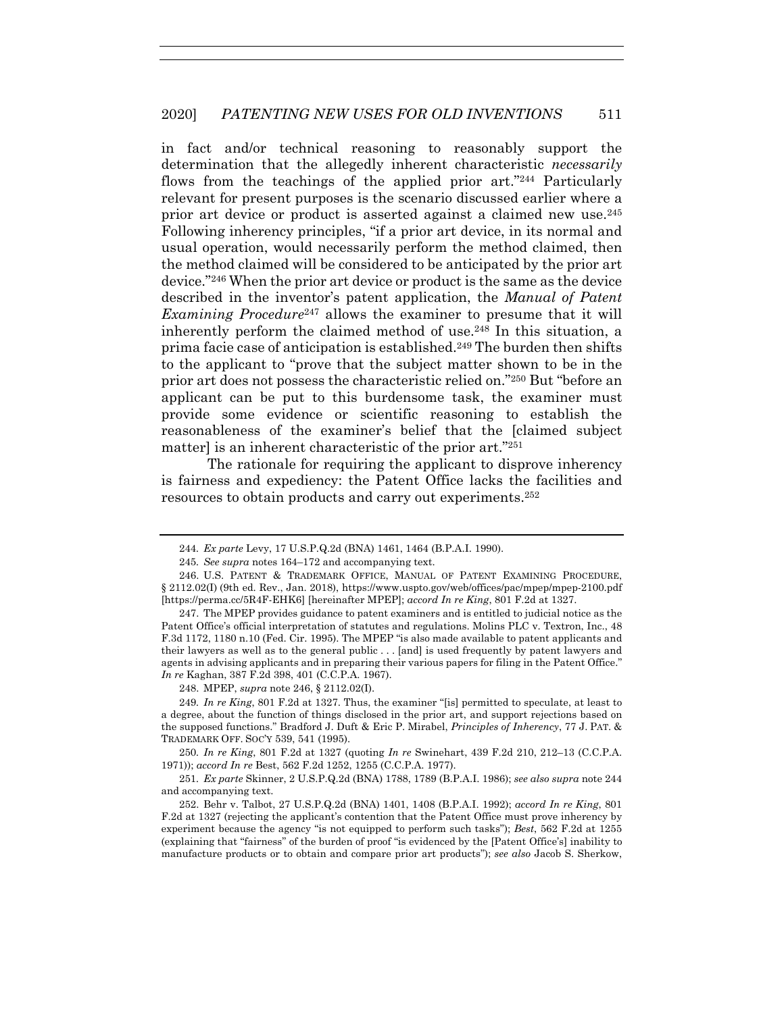in fact and/or technical reasoning to reasonably support the determination that the allegedly inherent characteristic *necessarily* flows from the teachings of the applied prior art."244 Particularly relevant for present purposes is the scenario discussed earlier where a prior art device or product is asserted against a claimed new use.<sup>245</sup> Following inherency principles, "if a prior art device, in its normal and usual operation, would necessarily perform the method claimed, then the method claimed will be considered to be anticipated by the prior art device."246 When the prior art device or product is the same as the device described in the inventor's patent application, the *Manual of Patent Examining Procedure*247 allows the examiner to presume that it will inherently perform the claimed method of use.<sup>248</sup> In this situation, a prima facie case of anticipation is established.249 The burden then shifts to the applicant to "prove that the subject matter shown to be in the prior art does not possess the characteristic relied on."250 But "before an applicant can be put to this burdensome task, the examiner must provide some evidence or scientific reasoning to establish the reasonableness of the examiner's belief that the [claimed subject matter] is an inherent characteristic of the prior art."251

The rationale for requiring the applicant to disprove inherency is fairness and expediency: the Patent Office lacks the facilities and resources to obtain products and carry out experiments.252

 247. The MPEP provides guidance to patent examiners and is entitled to judicial notice as the Patent Office's official interpretation of statutes and regulations. Molins PLC v. Textron, Inc., 48 F.3d 1172, 1180 n.10 (Fed. Cir. 1995). The MPEP "is also made available to patent applicants and their lawyers as well as to the general public . . . [and] is used frequently by patent lawyers and agents in advising applicants and in preparing their various papers for filing in the Patent Office." *In re* Kaghan, 387 F.2d 398, 401 (C.C.P.A. 1967).

248. MPEP, *supra* note 246, § 2112.02(I).

250*. In re King*, 801 F.2d at 1327 (quoting *In re* Swinehart, 439 F.2d 210, 212–13 (C.C.P.A. 1971)); *accord In re* Best, 562 F.2d 1252, 1255 (C.C.P.A. 1977).

251*. Ex parte* Skinner, 2 U.S.P.Q.2d (BNA) 1788, 1789 (B.P.A.I. 1986); *see also supra* note 244 and accompanying text.

<sup>244</sup>*. Ex parte* Levy, 17 U.S.P.Q.2d (BNA) 1461, 1464 (B.P.A.I. 1990).

<sup>245</sup>*. See supra* notes 164–172 and accompanying text.

 <sup>246.</sup> U.S. PATENT & TRADEMARK OFFICE, MANUAL OF PATENT EXAMINING PROCEDURE, § 2112.02(I) (9th ed. Rev., Jan. 2018), https://www.uspto.gov/web/offices/pac/mpep/mpep-2100.pdf [https://perma.cc/5R4F-EHK6] [hereinafter MPEP]; *accord In re King*, 801 F.2d at 1327.

<sup>249</sup>*. In re King*, 801 F.2d at 1327. Thus, the examiner "[is] permitted to speculate, at least to a degree, about the function of things disclosed in the prior art, and support rejections based on the supposed functions." Bradford J. Duft & Eric P. Mirabel, *Principles of Inherency*, 77 J. PAT. & TRADEMARK OFF. SOC'Y 539, 541 (1995).

 <sup>252.</sup> Behr v. Talbot, 27 U.S.P.Q.2d (BNA) 1401, 1408 (B.P.A.I. 1992); *accord In re King*, 801 F.2d at 1327 (rejecting the applicant's contention that the Patent Office must prove inherency by experiment because the agency "is not equipped to perform such tasks"); *Best*, 562 F.2d at 1255 (explaining that "fairness" of the burden of proof "is evidenced by the [Patent Office's] inability to manufacture products or to obtain and compare prior art products"); *see also* Jacob S. Sherkow,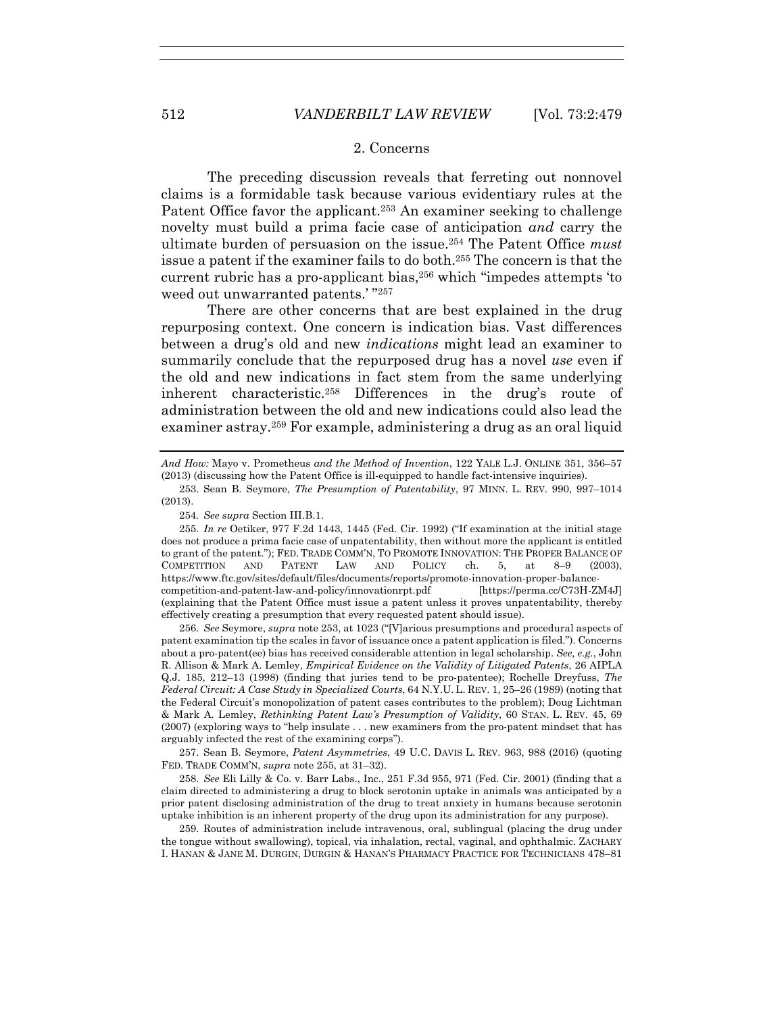#### 2. Concerns

The preceding discussion reveals that ferreting out nonnovel claims is a formidable task because various evidentiary rules at the Patent Office favor the applicant.<sup>253</sup> An examiner seeking to challenge novelty must build a prima facie case of anticipation *and* carry the ultimate burden of persuasion on the issue.254 The Patent Office *must* issue a patent if the examiner fails to do both.255 The concern is that the current rubric has a pro-applicant bias,256 which "impedes attempts 'to weed out unwarranted patents.' "257

There are other concerns that are best explained in the drug repurposing context. One concern is indication bias. Vast differences between a drug's old and new *indications* might lead an examiner to summarily conclude that the repurposed drug has a novel *use* even if the old and new indications in fact stem from the same underlying inherent characteristic.258 Differences in the drug's route of administration between the old and new indications could also lead the examiner astray.259 For example, administering a drug as an oral liquid

*And How:* Mayo v. Prometheus *and the Method of Invention*, 122 YALE L.J. ONLINE 351, 356–57 (2013) (discussing how the Patent Office is ill-equipped to handle fact-intensive inquiries).

254*. See supra* Section III.B.1.

256*. See* Seymore, *supra* note 253, at 1023 ("[V]arious presumptions and procedural aspects of patent examination tip the scales in favor of issuance once a patent application is filed."). Concerns about a pro-patent(ee) bias has received considerable attention in legal scholarship. *See, e.g.*, John R. Allison & Mark A. Lemley, *Empirical Evidence on the Validity of Litigated Patents*, 26 AIPLA Q.J. 185, 212–13 (1998) (finding that juries tend to be pro-patentee); Rochelle Dreyfuss, *The Federal Circuit: A Case Study in Specialized Courts*, 64 N.Y.U. L. REV. 1, 25–26 (1989) (noting that the Federal Circuit's monopolization of patent cases contributes to the problem); Doug Lichtman & Mark A. Lemley, *Rethinking Patent Law's Presumption of Validity*, 60 STAN. L. REV. 45, 69 (2007) (exploring ways to "help insulate . . . new examiners from the pro-patent mindset that has arguably infected the rest of the examining corps").

 257. Sean B. Seymore, *Patent Asymmetries*, 49 U.C. DAVIS L. REV. 963, 988 (2016) (quoting FED. TRADE COMM'N, *supra* note 255, at 31–32).

258*. See* Eli Lilly & Co. v. Barr Labs., Inc., 251 F.3d 955, 971 (Fed. Cir. 2001) (finding that a claim directed to administering a drug to block serotonin uptake in animals was anticipated by a prior patent disclosing administration of the drug to treat anxiety in humans because serotonin uptake inhibition is an inherent property of the drug upon its administration for any purpose).

 259. Routes of administration include intravenous, oral, sublingual (placing the drug under the tongue without swallowing), topical, via inhalation, rectal, vaginal, and ophthalmic. ZACHARY I. HANAN & JANE M. DURGIN, DURGIN & HANAN'S PHARMACY PRACTICE FOR TECHNICIANS 478–81

 <sup>253.</sup> Sean B. Seymore, *The Presumption of Patentability*, 97 MINN. L. REV. 990, 997–1014 (2013).

<sup>255</sup>*. In re* Oetiker, 977 F.2d 1443, 1445 (Fed. Cir. 1992) ("If examination at the initial stage does not produce a prima facie case of unpatentability, then without more the applicant is entitled to grant of the patent."); FED. TRADE COMM'N, TO PROMOTE INNOVATION: THE PROPER BALANCE OF COMPETITION AND PATENT LAW AND POLICY ch. 5, at 8–9 (2003), https://www.ftc.gov/sites/default/files/documents/reports/promote-innovation-proper-balancecompetition-and-patent-law-and-policy/innovationrpt.pdf [https://perma.cc/C73H-ZM4J] (explaining that the Patent Office must issue a patent unless it proves unpatentability, thereby effectively creating a presumption that every requested patent should issue).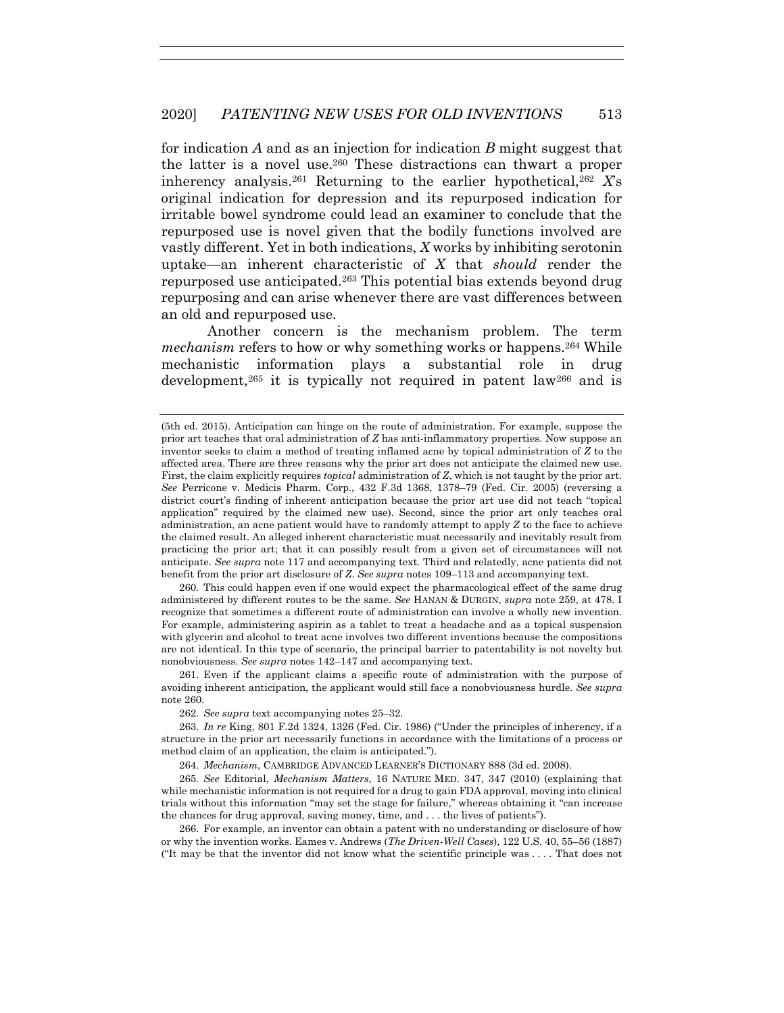for indication *A* and as an injection for indication *B* might suggest that the latter is a novel use.260 These distractions can thwart a proper inherency analysis.261 Returning to the earlier hypothetical,262 *X*'s original indication for depression and its repurposed indication for irritable bowel syndrome could lead an examiner to conclude that the repurposed use is novel given that the bodily functions involved are vastly different. Yet in both indications, *X* works by inhibiting serotonin uptake—an inherent characteristic of *X* that *should* render the repurposed use anticipated.263 This potential bias extends beyond drug repurposing and can arise whenever there are vast differences between an old and repurposed use.

Another concern is the mechanism problem. The term *mechanism* refers to how or why something works or happens.<sup>264</sup> While mechanistic information plays a substantial role in drug development,265 it is typically not required in patent law266 and is

 260. This could happen even if one would expect the pharmacological effect of the same drug administered by different routes to be the same. *See* HANAN & DURGIN, *supra* note 259, at 478. I recognize that sometimes a different route of administration can involve a wholly new invention. For example, administering aspirin as a tablet to treat a headache and as a topical suspension with glycerin and alcohol to treat acne involves two different inventions because the compositions are not identical. In this type of scenario, the principal barrier to patentability is not novelty but nonobviousness. *See supra* notes 142–147 and accompanying text.

 261. Even if the applicant claims a specific route of administration with the purpose of avoiding inherent anticipation, the applicant would still face a nonobviousness hurdle. *See supra* note 260.

262*. See supra* text accompanying notes 25–32.

263*. In re* King, 801 F.2d 1324, 1326 (Fed. Cir. 1986) ("Under the principles of inherency, if a structure in the prior art necessarily functions in accordance with the limitations of a process or method claim of an application, the claim is anticipated.").

264*. Mechanism*, CAMBRIDGE ADVANCED LEARNER'S DICTIONARY 888 (3d ed. 2008).

265*. See* Editorial, *Mechanism Matters*, 16 NATURE MED. 347, 347 (2010) (explaining that while mechanistic information is not required for a drug to gain FDA approval, moving into clinical trials without this information "may set the stage for failure," whereas obtaining it "can increase the chances for drug approval, saving money, time, and . . . the lives of patients").

 266. For example, an inventor can obtain a patent with no understanding or disclosure of how or why the invention works. Eames v. Andrews (*The Driven-Well Cases*), 122 U.S. 40, 55–56 (1887) ("It may be that the inventor did not know what the scientific principle was . . . . That does not

<sup>(5</sup>th ed. 2015). Anticipation can hinge on the route of administration. For example, suppose the prior art teaches that oral administration of *Z* has anti-inflammatory properties. Now suppose an inventor seeks to claim a method of treating inflamed acne by topical administration of *Z* to the affected area. There are three reasons why the prior art does not anticipate the claimed new use. First, the claim explicitly requires *topical* administration of *Z*, which is not taught by the prior art. *See* Perricone v. Medicis Pharm. Corp., 432 F.3d 1368, 1378–79 (Fed. Cir. 2005) (reversing a district court's finding of inherent anticipation because the prior art use did not teach "topical application" required by the claimed new use). Second, since the prior art only teaches oral administration, an acne patient would have to randomly attempt to apply *Z* to the face to achieve the claimed result. An alleged inherent characteristic must necessarily and inevitably result from practicing the prior art; that it can possibly result from a given set of circumstances will not anticipate. *See supra* note 117 and accompanying text. Third and relatedly, acne patients did not benefit from the prior art disclosure of *Z*. *See supra* notes 109–113 and accompanying text.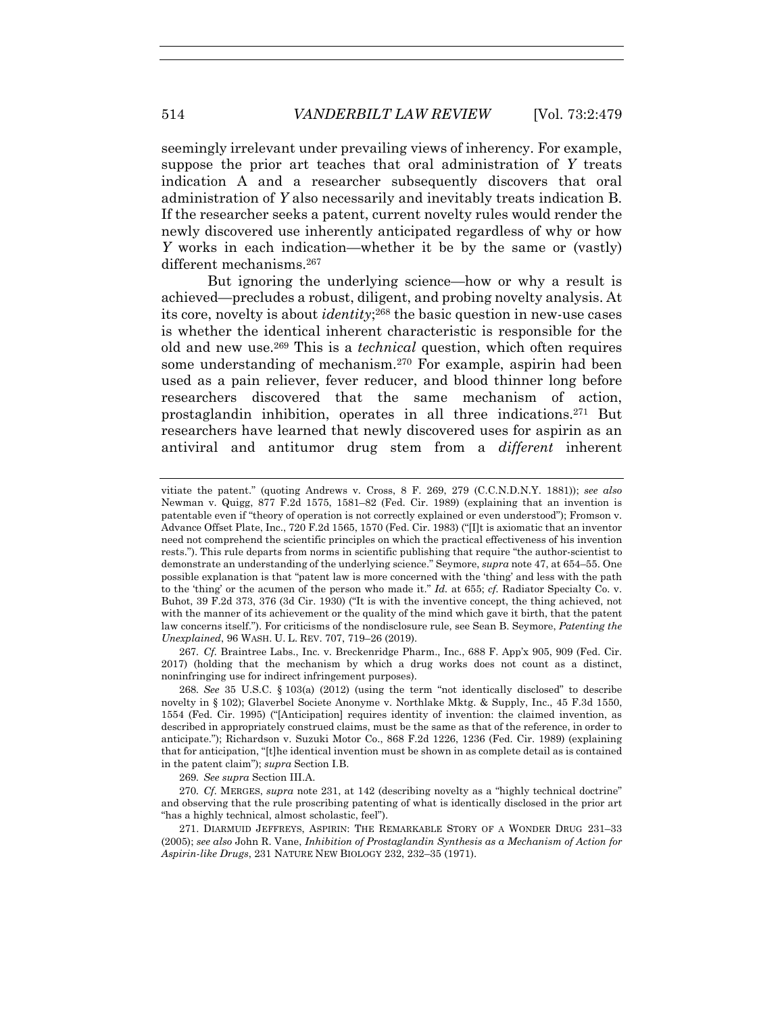seemingly irrelevant under prevailing views of inherency. For example, suppose the prior art teaches that oral administration of *Y* treats indication A and a researcher subsequently discovers that oral administration of *Y* also necessarily and inevitably treats indication B. If the researcher seeks a patent, current novelty rules would render the newly discovered use inherently anticipated regardless of why or how *Y* works in each indication—whether it be by the same or (vastly) different mechanisms.<sup>267</sup>

But ignoring the underlying science—how or why a result is achieved—precludes a robust, diligent, and probing novelty analysis. At its core, novelty is about *identity*;268 the basic question in new-use cases is whether the identical inherent characteristic is responsible for the old and new use.269 This is a *technical* question, which often requires some understanding of mechanism.270 For example, aspirin had been used as a pain reliever, fever reducer, and blood thinner long before researchers discovered that the same mechanism of action, prostaglandin inhibition, operates in all three indications.271 But researchers have learned that newly discovered uses for aspirin as an antiviral and antitumor drug stem from a *different* inherent

267*. Cf.* Braintree Labs., Inc. v. Breckenridge Pharm., Inc., 688 F. App'x 905, 909 (Fed. Cir. 2017) (holding that the mechanism by which a drug works does not count as a distinct, noninfringing use for indirect infringement purposes).

268*. See* 35 U.S.C. § 103(a) (2012) (using the term "not identically disclosed" to describe novelty in § 102); Glaverbel Societe Anonyme v. Northlake Mktg. & Supply, Inc., 45 F.3d 1550, 1554 (Fed. Cir. 1995) ("[Anticipation] requires identity of invention: the claimed invention, as described in appropriately construed claims, must be the same as that of the reference, in order to anticipate."); Richardson v. Suzuki Motor Co., 868 F.2d 1226, 1236 (Fed. Cir. 1989) (explaining that for anticipation, "[t]he identical invention must be shown in as complete detail as is contained in the patent claim"); *supra* Section I.B.

269*. See supra* Section III.A.

270*. Cf.* MERGES, *supra* note 231, at 142 (describing novelty as a "highly technical doctrine" and observing that the rule proscribing patenting of what is identically disclosed in the prior art "has a highly technical, almost scholastic, feel").

 271. DIARMUID JEFFREYS, ASPIRIN: THE REMARKABLE STORY OF A WONDER DRUG 231–33 (2005); *see also* John R. Vane, *Inhibition of Prostaglandin Synthesis as a Mechanism of Action for Aspirin-like Drugs*, 231 NATURE NEW BIOLOGY 232, 232–35 (1971).

vitiate the patent." (quoting Andrews v. Cross, 8 F. 269, 279 (C.C.N.D.N.Y. 1881)); *see also* Newman v. Quigg, 877 F.2d 1575, 1581–82 (Fed. Cir. 1989) (explaining that an invention is patentable even if "theory of operation is not correctly explained or even understood"); Fromson v. Advance Offset Plate, Inc., 720 F.2d 1565, 1570 (Fed. Cir. 1983) ("[I]t is axiomatic that an inventor need not comprehend the scientific principles on which the practical effectiveness of his invention rests."). This rule departs from norms in scientific publishing that require "the author-scientist to demonstrate an understanding of the underlying science." Seymore, *supra* note 47, at 654–55. One possible explanation is that "patent law is more concerned with the 'thing' and less with the path to the 'thing' or the acumen of the person who made it." *Id.* at 655; *cf.* Radiator Specialty Co. v. Buhot, 39 F.2d 373, 376 (3d Cir. 1930) ("It is with the inventive concept, the thing achieved, not with the manner of its achievement or the quality of the mind which gave it birth, that the patent law concerns itself."). For criticisms of the nondisclosure rule, see Sean B. Seymore, *Patenting the Unexplained*, 96 WASH. U. L. REV. 707, 719–26 (2019).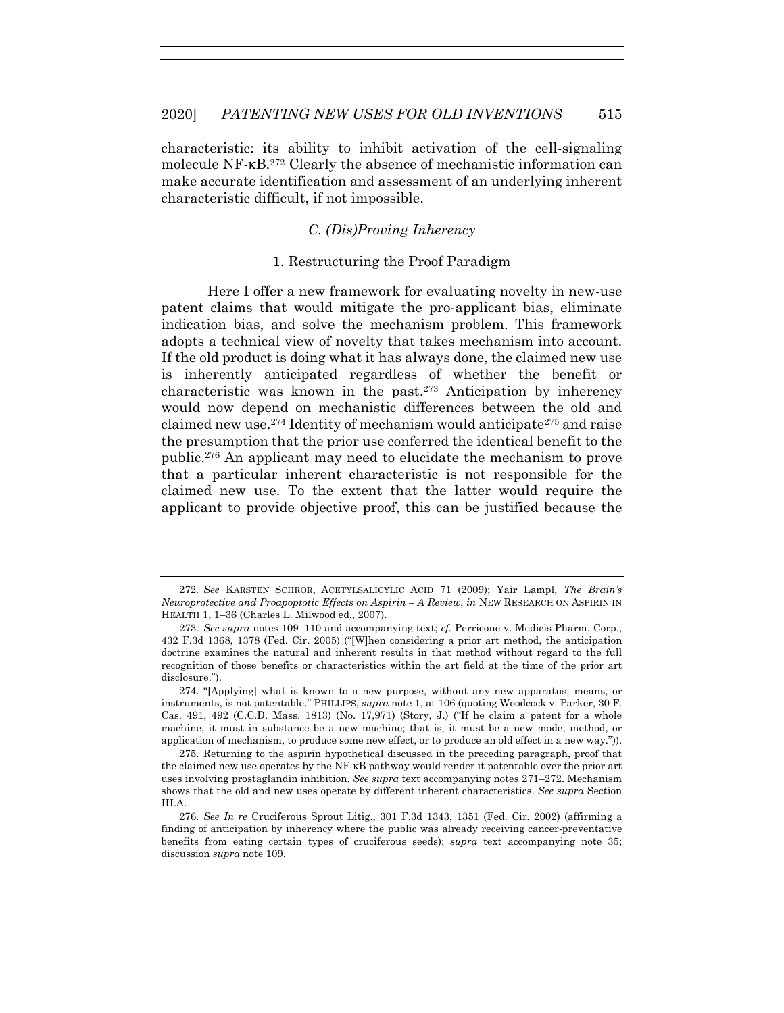characteristic: its ability to inhibit activation of the cell-signaling molecule NF-κB<sup>272</sup> Clearly the absence of mechanistic information can make accurate identification and assessment of an underlying inherent characteristic difficult, if not impossible.

# *C. (Dis)Proving Inherency*

#### 1. Restructuring the Proof Paradigm

Here I offer a new framework for evaluating novelty in new-use patent claims that would mitigate the pro-applicant bias, eliminate indication bias, and solve the mechanism problem. This framework adopts a technical view of novelty that takes mechanism into account. If the old product is doing what it has always done, the claimed new use is inherently anticipated regardless of whether the benefit or characteristic was known in the past.273 Anticipation by inherency would now depend on mechanistic differences between the old and claimed new use.274 Identity of mechanism would anticipate275 and raise the presumption that the prior use conferred the identical benefit to the public.276 An applicant may need to elucidate the mechanism to prove that a particular inherent characteristic is not responsible for the claimed new use. To the extent that the latter would require the applicant to provide objective proof, this can be justified because the

<sup>272</sup>*. See* KARSTEN SCHRÖR, ACETYLSALICYLIC ACID 71 (2009); Yair Lampl, *The Brain's Neuroprotective and Proapoptotic Effects on Aspirin – A Review*, *in* NEW RESEARCH ON ASPIRIN IN HEALTH 1, 1–36 (Charles L. Milwood ed., 2007).

<sup>273</sup>*. See supra* notes 109–110 and accompanying text; *cf.* Perricone v. Medicis Pharm. Corp., 432 F.3d 1368, 1378 (Fed. Cir. 2005) ("[W]hen considering a prior art method, the anticipation doctrine examines the natural and inherent results in that method without regard to the full recognition of those benefits or characteristics within the art field at the time of the prior art disclosure.").

 <sup>274. &</sup>quot;[Applying] what is known to a new purpose, without any new apparatus, means, or instruments, is not patentable." PHILLIPS, *supra* note 1, at 106 (quoting Woodcock v. Parker, 30 F. Cas. 491, 492 (C.C.D. Mass. 1813) (No. 17,971) (Story, J.) ("If he claim a patent for a whole machine, it must in substance be a new machine; that is, it must be a new mode, method, or application of mechanism, to produce some new effect, or to produce an old effect in a new way.")).

 <sup>275.</sup> Returning to the aspirin hypothetical discussed in the preceding paragraph, proof that the claimed new use operates by the NF-κB pathway would render it patentable over the prior art uses involving prostaglandin inhibition. *See supra* text accompanying notes 271–272. Mechanism shows that the old and new uses operate by different inherent characteristics. *See supra* Section III.A.

<sup>276</sup>*. See In re* Cruciferous Sprout Litig., 301 F.3d 1343, 1351 (Fed. Cir. 2002) (affirming a finding of anticipation by inherency where the public was already receiving cancer-preventative benefits from eating certain types of cruciferous seeds); *supra* text accompanying note 35; discussion *supra* note 109.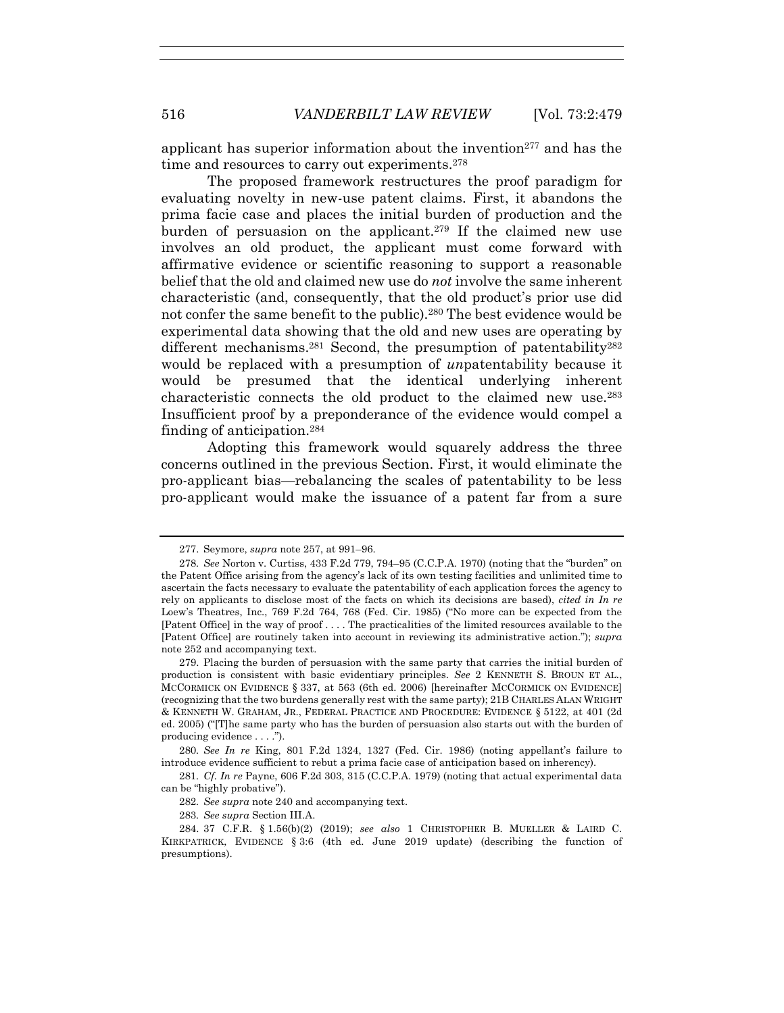applicant has superior information about the invention<sup>277</sup> and has the time and resources to carry out experiments.<sup>278</sup>

The proposed framework restructures the proof paradigm for evaluating novelty in new-use patent claims. First, it abandons the prima facie case and places the initial burden of production and the burden of persuasion on the applicant.279 If the claimed new use involves an old product, the applicant must come forward with affirmative evidence or scientific reasoning to support a reasonable belief that the old and claimed new use do *not* involve the same inherent characteristic (and, consequently, that the old product's prior use did not confer the same benefit to the public).280 The best evidence would be experimental data showing that the old and new uses are operating by different mechanisms.<sup>281</sup> Second, the presumption of patentability<sup>282</sup> would be replaced with a presumption of *un*patentability because it would be presumed that the identical underlying inherent characteristic connects the old product to the claimed new use.283 Insufficient proof by a preponderance of the evidence would compel a finding of anticipation.284

Adopting this framework would squarely address the three concerns outlined in the previous Section. First, it would eliminate the pro-applicant bias—rebalancing the scales of patentability to be less pro-applicant would make the issuance of a patent far from a sure

283*. See supra* Section III.A.

 <sup>277.</sup> Seymore, *supra* note 257, at 991–96.

<sup>278</sup>*. See* Norton v. Curtiss, 433 F.2d 779, 794–95 (C.C.P.A. 1970) (noting that the "burden" on the Patent Office arising from the agency's lack of its own testing facilities and unlimited time to ascertain the facts necessary to evaluate the patentability of each application forces the agency to rely on applicants to disclose most of the facts on which its decisions are based), *cited in In re* Loew's Theatres, Inc., 769 F.2d 764, 768 (Fed. Cir. 1985) ("No more can be expected from the [Patent Office] in the way of proof . . . . The practicalities of the limited resources available to the [Patent Office] are routinely taken into account in reviewing its administrative action."); *supra* note 252 and accompanying text.

 <sup>279.</sup> Placing the burden of persuasion with the same party that carries the initial burden of production is consistent with basic evidentiary principles. *See* 2 KENNETH S. BROUN ET AL., MCCORMICK ON EVIDENCE § 337, at 563 (6th ed. 2006) [hereinafter MCCORMICK ON EVIDENCE] (recognizing that the two burdens generally rest with the same party); 21B CHARLES ALAN WRIGHT & KENNETH W. GRAHAM, JR., FEDERAL PRACTICE AND PROCEDURE: EVIDENCE § 5122, at 401 (2d ed. 2005) ("[T]he same party who has the burden of persuasion also starts out with the burden of producing evidence . . . .").

<sup>280</sup>*. See In re* King, 801 F.2d 1324, 1327 (Fed. Cir. 1986) (noting appellant's failure to introduce evidence sufficient to rebut a prima facie case of anticipation based on inherency).

<sup>281</sup>*. Cf. In re* Payne, 606 F.2d 303, 315 (C.C.P.A. 1979) (noting that actual experimental data can be "highly probative").

<sup>282</sup>*. See supra* note 240 and accompanying text.

 <sup>284. 37</sup> C.F.R. § 1.56(b)(2) (2019); *see also* 1 CHRISTOPHER B. MUELLER & LAIRD C. KIRKPATRICK, EVIDENCE § 3:6 (4th ed. June 2019 update) (describing the function of presumptions).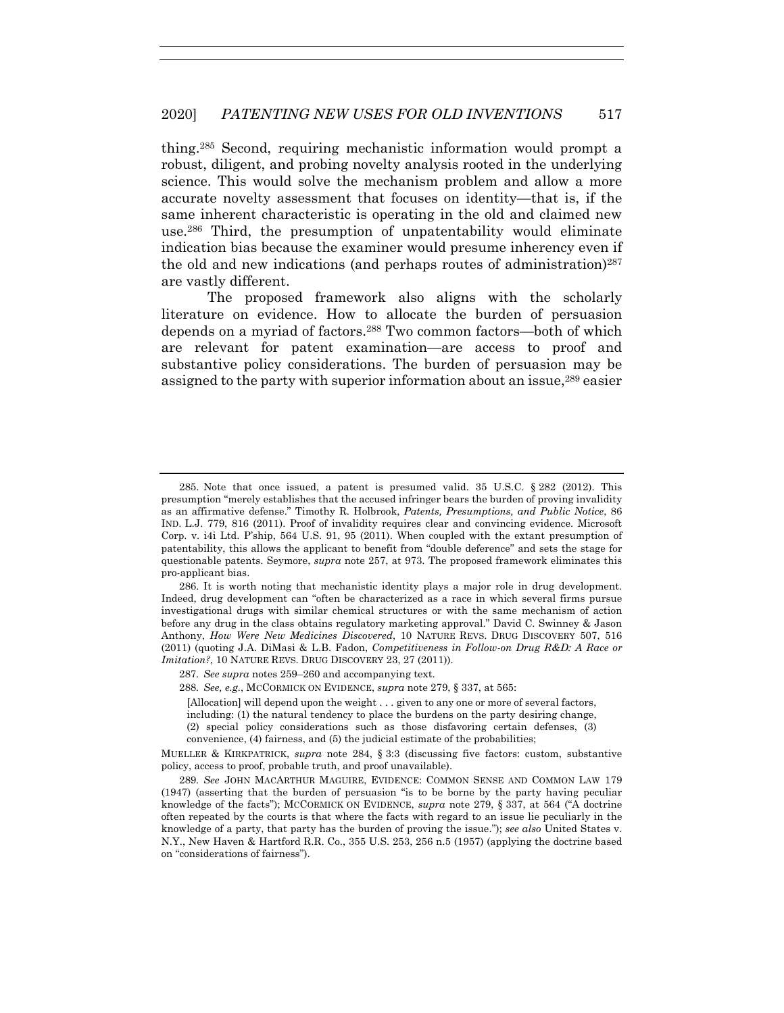thing.285 Second, requiring mechanistic information would prompt a robust, diligent, and probing novelty analysis rooted in the underlying science. This would solve the mechanism problem and allow a more accurate novelty assessment that focuses on identity—that is, if the same inherent characteristic is operating in the old and claimed new use.286 Third, the presumption of unpatentability would eliminate indication bias because the examiner would presume inherency even if the old and new indications (and perhaps routes of administration)287 are vastly different.

The proposed framework also aligns with the scholarly literature on evidence. How to allocate the burden of persuasion depends on a myriad of factors.288 Two common factors—both of which are relevant for patent examination—are access to proof and substantive policy considerations. The burden of persuasion may be assigned to the party with superior information about an issue,289 easier

 <sup>285.</sup> Note that once issued, a patent is presumed valid. 35 U.S.C. § 282 (2012). This presumption "merely establishes that the accused infringer bears the burden of proving invalidity as an affirmative defense." Timothy R. Holbrook, *Patents, Presumptions, and Public Notice*, 86 IND. L.J. 779, 816 (2011). Proof of invalidity requires clear and convincing evidence. Microsoft Corp. v. i4i Ltd. P'ship, 564 U.S. 91, 95 (2011). When coupled with the extant presumption of patentability, this allows the applicant to benefit from "double deference" and sets the stage for questionable patents. Seymore, *supra* note 257, at 973. The proposed framework eliminates this pro-applicant bias.

 <sup>286.</sup> It is worth noting that mechanistic identity plays a major role in drug development. Indeed, drug development can "often be characterized as a race in which several firms pursue investigational drugs with similar chemical structures or with the same mechanism of action before any drug in the class obtains regulatory marketing approval." David C. Swinney & Jason Anthony, *How Were New Medicines Discovered*, 10 NATURE REVS. DRUG DISCOVERY 507, 516 (2011) (quoting J.A. DiMasi & L.B. Fadon, *Competitiveness in Follow-on Drug R&D: A Race or Imitation?*, 10 NATURE REVS. DRUG DISCOVERY 23, 27 (2011)).

<sup>287</sup>*. See supra* notes 259–260 and accompanying text.

<sup>288</sup>*. See, e.g.*, MCCORMICK ON EVIDENCE, *supra* note 279, § 337, at 565:

<sup>[</sup>Allocation] will depend upon the weight . . . given to any one or more of several factors, including: (1) the natural tendency to place the burdens on the party desiring change, (2) special policy considerations such as those disfavoring certain defenses, (3) convenience, (4) fairness, and (5) the judicial estimate of the probabilities;

MUELLER & KIRKPATRICK, *supra* note 284, § 3:3 (discussing five factors: custom, substantive policy, access to proof, probable truth, and proof unavailable).

<sup>289</sup>*. See* JOHN MACARTHUR MAGUIRE, EVIDENCE: COMMON SENSE AND COMMON LAW 179 (1947) (asserting that the burden of persuasion "is to be borne by the party having peculiar knowledge of the facts"); MCCORMICK ON EVIDENCE, *supra* note 279, § 337, at 564 ("A doctrine often repeated by the courts is that where the facts with regard to an issue lie peculiarly in the knowledge of a party, that party has the burden of proving the issue."); *see also* United States v. N.Y., New Haven & Hartford R.R. Co., 355 U.S. 253, 256 n.5 (1957) (applying the doctrine based on "considerations of fairness").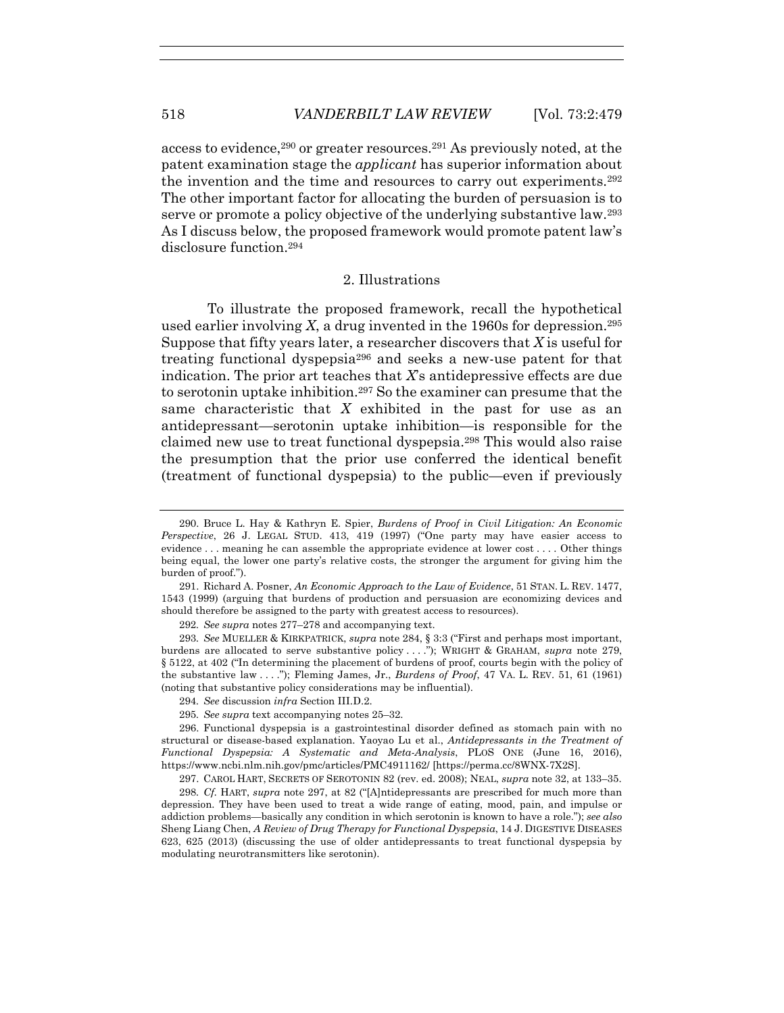access to evidence,290 or greater resources.291 As previously noted, at the patent examination stage the *applicant* has superior information about the invention and the time and resources to carry out experiments.292 The other important factor for allocating the burden of persuasion is to serve or promote a policy objective of the underlying substantive law.293 As I discuss below, the proposed framework would promote patent law's disclosure function  $294$ 

#### 2. Illustrations

To illustrate the proposed framework, recall the hypothetical used earlier involving *X*, a drug invented in the 1960s for depression.295 Suppose that fifty years later, a researcher discovers that *X* is useful for treating functional dyspepsia296 and seeks a new-use patent for that indication. The prior art teaches that *X*'s antidepressive effects are due to serotonin uptake inhibition.297 So the examiner can presume that the same characteristic that *X* exhibited in the past for use as an antidepressant—serotonin uptake inhibition—is responsible for the claimed new use to treat functional dyspepsia.298 This would also raise the presumption that the prior use conferred the identical benefit (treatment of functional dyspepsia) to the public—even if previously

295*. See supra* text accompanying notes 25–32.

 <sup>290.</sup> Bruce L. Hay & Kathryn E. Spier, *Burdens of Proof in Civil Litigation: An Economic Perspective*, 26 J. LEGAL STUD. 413, 419 (1997) ("One party may have easier access to evidence . . . meaning he can assemble the appropriate evidence at lower cost . . . . Other things being equal, the lower one party's relative costs, the stronger the argument for giving him the burden of proof.").

 <sup>291.</sup> Richard A. Posner, *An Economic Approach to the Law of Evidence*, 51 STAN. L. REV. 1477, 1543 (1999) (arguing that burdens of production and persuasion are economizing devices and should therefore be assigned to the party with greatest access to resources).

<sup>292</sup>*. See supra* notes 277–278 and accompanying text.

<sup>293</sup>*. See* MUELLER & KIRKPATRICK, *supra* note 284, § 3:3 ("First and perhaps most important, burdens are allocated to serve substantive policy . . . ."); WRIGHT & GRAHAM, *supra* note 279, § 5122, at 402 ("In determining the placement of burdens of proof, courts begin with the policy of the substantive law . . . ."); Fleming James, Jr., *Burdens of Proof*, 47 VA. L. REV. 51, 61 (1961) (noting that substantive policy considerations may be influential).

<sup>294</sup>*. See* discussion *infra* Section III.D.2.

 <sup>296.</sup> Functional dyspepsia is a gastrointestinal disorder defined as stomach pain with no structural or disease-based explanation. Yaoyao Lu et al., *Antidepressants in the Treatment of Functional Dyspepsia: A Systematic and Meta-Analysis*, PLOS ONE (June 16, 2016), https://www.ncbi.nlm.nih.gov/pmc/articles/PMC4911162/ [https://perma.cc/8WNX-7X2S].

 <sup>297.</sup> CAROL HART, SECRETS OF SEROTONIN 82 (rev. ed. 2008); NEAL, *supra* note 32, at 133–35.

<sup>298</sup>*. Cf.* HART, *supra* note 297, at 82 ("[A]ntidepressants are prescribed for much more than depression. They have been used to treat a wide range of eating, mood, pain, and impulse or addiction problems—basically any condition in which serotonin is known to have a role."); *see also* Sheng Liang Chen, *A Review of Drug Therapy for Functional Dyspepsia*, 14 J. DIGESTIVE DISEASES 623, 625 (2013) (discussing the use of older antidepressants to treat functional dyspepsia by modulating neurotransmitters like serotonin).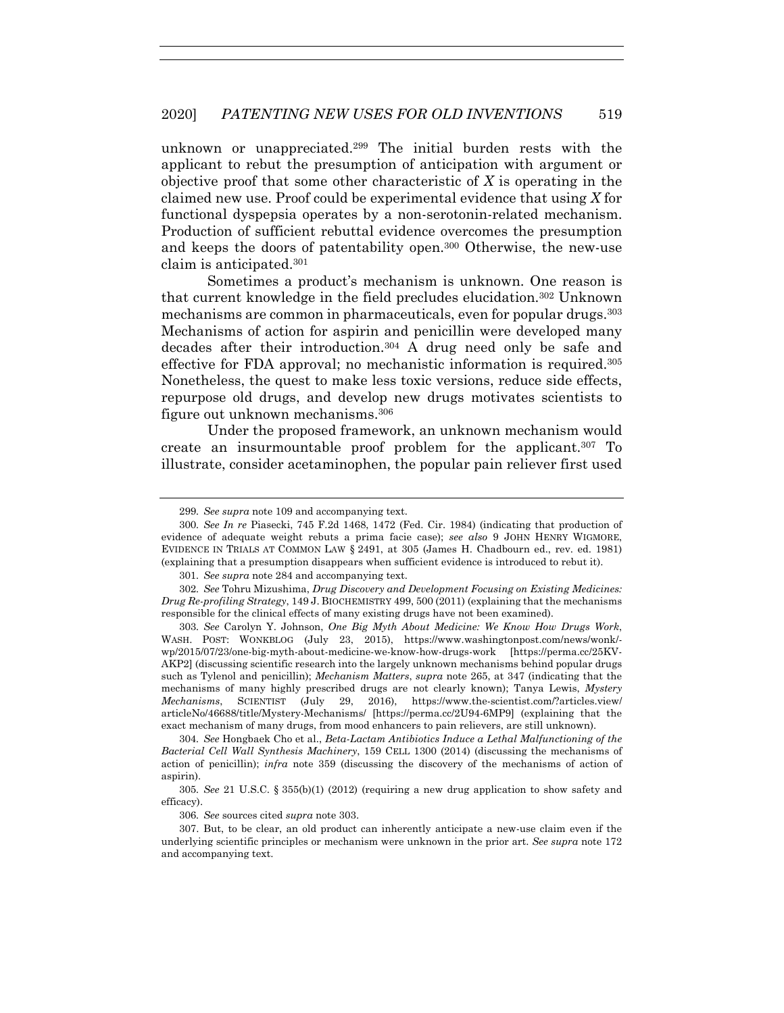unknown or unappreciated.299 The initial burden rests with the applicant to rebut the presumption of anticipation with argument or objective proof that some other characteristic of *X* is operating in the claimed new use. Proof could be experimental evidence that using *X* for functional dyspepsia operates by a non-serotonin-related mechanism. Production of sufficient rebuttal evidence overcomes the presumption and keeps the doors of patentability open.300 Otherwise, the new-use claim is anticipated.301

Sometimes a product's mechanism is unknown. One reason is that current knowledge in the field precludes elucidation.302 Unknown mechanisms are common in pharmaceuticals, even for popular drugs.303 Mechanisms of action for aspirin and penicillin were developed many decades after their introduction.304 A drug need only be safe and effective for FDA approval; no mechanistic information is required.305 Nonetheless, the quest to make less toxic versions, reduce side effects, repurpose old drugs, and develop new drugs motivates scientists to figure out unknown mechanisms.306

Under the proposed framework, an unknown mechanism would create an insurmountable proof problem for the applicant.307 To illustrate, consider acetaminophen, the popular pain reliever first used

<sup>299</sup>*. See supra* note 109 and accompanying text.

<sup>300</sup>*. See In re* Piasecki, 745 F.2d 1468, 1472 (Fed. Cir. 1984) (indicating that production of evidence of adequate weight rebuts a prima facie case); *see also* 9 JOHN HENRY WIGMORE, EVIDENCE IN TRIALS AT COMMON LAW § 2491, at 305 (James H. Chadbourn ed., rev. ed. 1981) (explaining that a presumption disappears when sufficient evidence is introduced to rebut it).

<sup>301</sup>*. See supra* note 284 and accompanying text.

<sup>302</sup>*. See* Tohru Mizushima, *Drug Discovery and Development Focusing on Existing Medicines: Drug Re-profiling Strategy*, 149 J. BIOCHEMISTRY 499, 500 (2011) (explaining that the mechanisms responsible for the clinical effects of many existing drugs have not been examined).

<sup>303</sup>*. See* Carolyn Y. Johnson, *One Big Myth About Medicine: We Know How Drugs Work*, WASH. POST: WONKBLOG (July 23, 2015), https://www.washingtonpost.com/news/wonk/ wp/2015/07/23/one-big-myth-about-medicine-we-know-how-drugs-work [https://perma.cc/25KV-AKP2] (discussing scientific research into the largely unknown mechanisms behind popular drugs such as Tylenol and penicillin); *Mechanism Matters*, *supra* note 265, at 347 (indicating that the mechanisms of many highly prescribed drugs are not clearly known); Tanya Lewis, *Mystery Mechanisms*, SCIENTIST (July 29, 2016), https://www.the-scientist.com/?articles.view/ articleNo/46688/title/Mystery-Mechanisms/ [https://perma.cc/2U94-6MP9] (explaining that the exact mechanism of many drugs, from mood enhancers to pain relievers, are still unknown).

<sup>304</sup>*. See* Hongbaek Cho et al., *Beta-Lactam Antibiotics Induce a Lethal Malfunctioning of the Bacterial Cell Wall Synthesis Machinery*, 159 CELL 1300 (2014) (discussing the mechanisms of action of penicillin); *infra* note 359 (discussing the discovery of the mechanisms of action of aspirin).

<sup>305</sup>*. See* 21 U.S.C. § 355(b)(1) (2012) (requiring a new drug application to show safety and efficacy).

<sup>306</sup>*. See* sources cited *supra* note 303.

 <sup>307.</sup> But, to be clear, an old product can inherently anticipate a new-use claim even if the underlying scientific principles or mechanism were unknown in the prior art. *See supra* note 172 and accompanying text.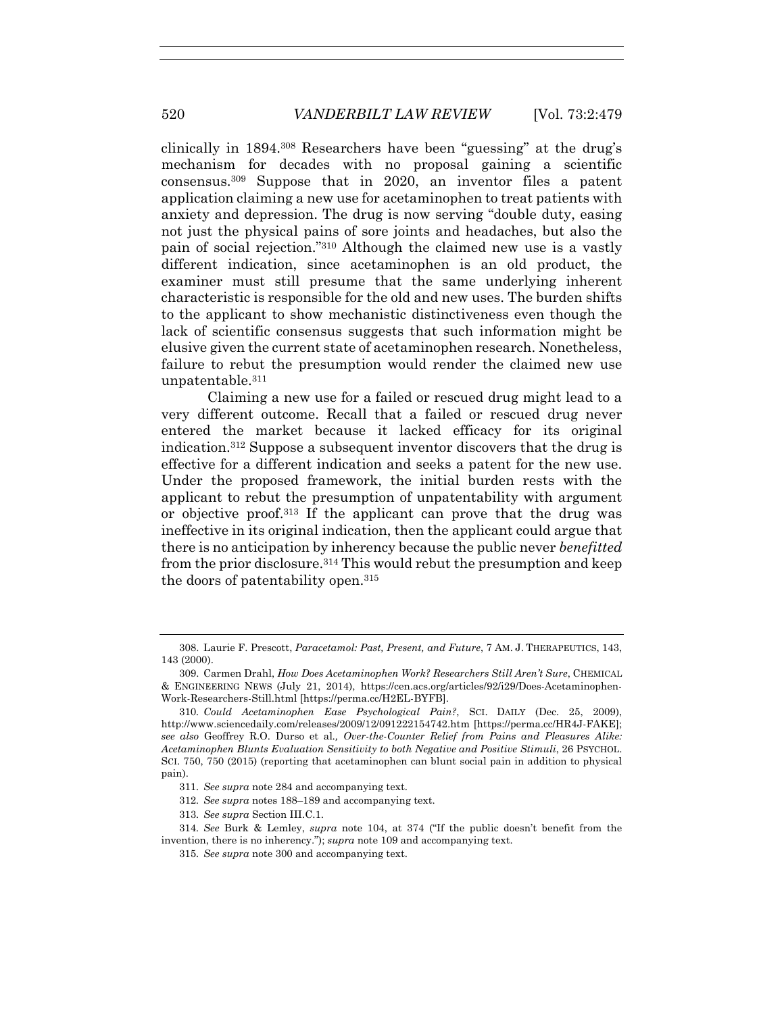clinically in 1894.308 Researchers have been "guessing" at the drug's mechanism for decades with no proposal gaining a scientific consensus.309 Suppose that in 2020, an inventor files a patent application claiming a new use for acetaminophen to treat patients with anxiety and depression. The drug is now serving "double duty, easing not just the physical pains of sore joints and headaches, but also the pain of social rejection."310 Although the claimed new use is a vastly different indication, since acetaminophen is an old product, the examiner must still presume that the same underlying inherent characteristic is responsible for the old and new uses. The burden shifts to the applicant to show mechanistic distinctiveness even though the lack of scientific consensus suggests that such information might be elusive given the current state of acetaminophen research. Nonetheless, failure to rebut the presumption would render the claimed new use unpatentable.311

Claiming a new use for a failed or rescued drug might lead to a very different outcome. Recall that a failed or rescued drug never entered the market because it lacked efficacy for its original indication.312 Suppose a subsequent inventor discovers that the drug is effective for a different indication and seeks a patent for the new use. Under the proposed framework, the initial burden rests with the applicant to rebut the presumption of unpatentability with argument or objective proof.313 If the applicant can prove that the drug was ineffective in its original indication, then the applicant could argue that there is no anticipation by inherency because the public never *benefitted* from the prior disclosure.314 This would rebut the presumption and keep the doors of patentability open.315

 <sup>308.</sup> Laurie F. Prescott, *Paracetamol: Past, Present, and Future*, 7 AM. J. THERAPEUTICS, 143, 143 (2000).

 <sup>309.</sup> Carmen Drahl, *How Does Acetaminophen Work? Researchers Still Aren't Sure*, CHEMICAL & ENGINEERING NEWS (July 21, 2014), https://cen.acs.org/articles/92/i29/Does-Acetaminophen-Work-Researchers-Still.html [https://perma.cc/H2EL-BYFB].

<sup>310</sup>*. Could Acetaminophen Ease Psychological Pain?*, SCI. DAILY (Dec. 25, 2009), http://www.sciencedaily.com/releases/2009/12/091222154742.htm [https://perma.cc/HR4J-FAKE]; *see also* Geoffrey R.O. Durso et al*., Over-the-Counter Relief from Pains and Pleasures Alike: Acetaminophen Blunts Evaluation Sensitivity to both Negative and Positive Stimuli*, 26 PSYCHOL. SCI. 750, 750 (2015) (reporting that acetaminophen can blunt social pain in addition to physical pain).

<sup>311</sup>*. See supra* note 284 and accompanying text.

<sup>312</sup>*. See supra* notes 188–189 and accompanying text.

<sup>313</sup>*. See supra* Section III.C.1.

<sup>314</sup>*. See* Burk & Lemley, *supra* note 104, at 374 ("If the public doesn't benefit from the invention, there is no inherency."); *supra* note 109 and accompanying text.

<sup>315</sup>*. See supra* note 300 and accompanying text.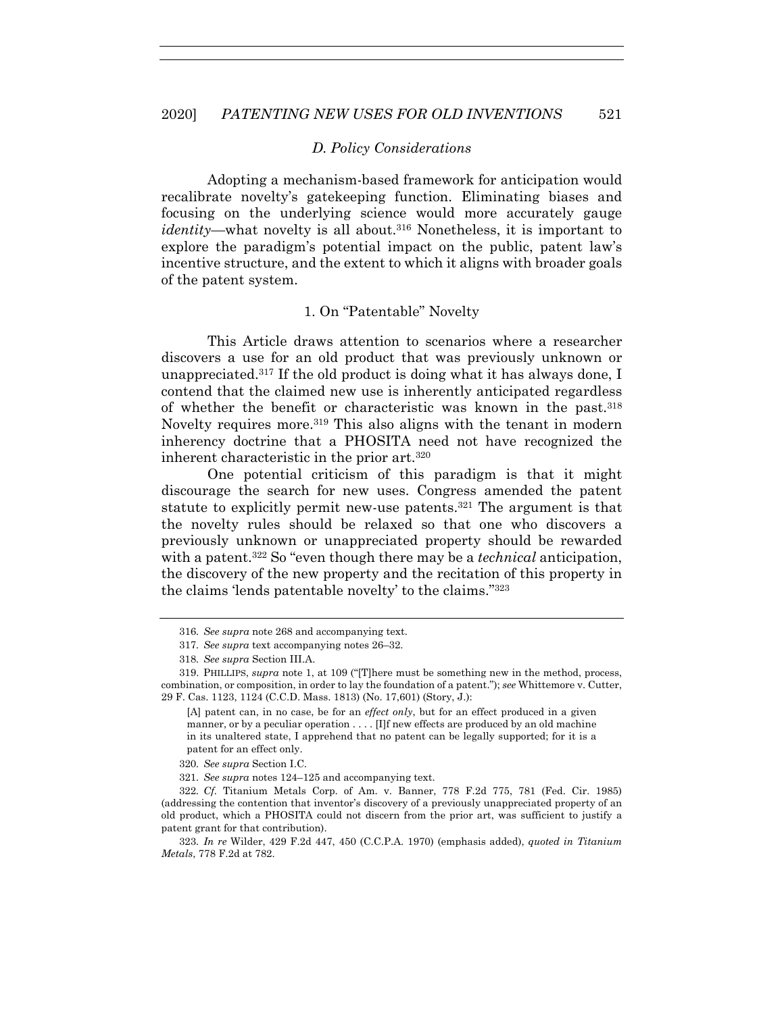#### *D. Policy Considerations*

Adopting a mechanism-based framework for anticipation would recalibrate novelty's gatekeeping function. Eliminating biases and focusing on the underlying science would more accurately gauge *identity*—what novelty is all about.316 Nonetheless, it is important to explore the paradigm's potential impact on the public, patent law's incentive structure, and the extent to which it aligns with broader goals of the patent system.

#### 1. On "Patentable" Novelty

This Article draws attention to scenarios where a researcher discovers a use for an old product that was previously unknown or unappreciated.<sup>317</sup> If the old product is doing what it has always done, I contend that the claimed new use is inherently anticipated regardless of whether the benefit or characteristic was known in the past.318 Novelty requires more.<sup>319</sup> This also aligns with the tenant in modern inherency doctrine that a PHOSITA need not have recognized the inherent characteristic in the prior art.320

One potential criticism of this paradigm is that it might discourage the search for new uses. Congress amended the patent statute to explicitly permit new-use patents.321 The argument is that the novelty rules should be relaxed so that one who discovers a previously unknown or unappreciated property should be rewarded with a patent.322 So "even though there may be a *technical* anticipation, the discovery of the new property and the recitation of this property in the claims 'lends patentable novelty' to the claims."323

<sup>316</sup>*. See supra* note 268 and accompanying text.

<sup>317</sup>*. See supra* text accompanying notes 26–32.

<sup>318</sup>*. See supra* Section III.A.

 <sup>319.</sup> PHILLIPS, *supra* note 1, at 109 ("[T]here must be something new in the method, process, combination, or composition, in order to lay the foundation of a patent."); *see* Whittemore v. Cutter, 29 F. Cas. 1123, 1124 (C.C.D. Mass. 1813) (No. 17,601) (Story, J.):

<sup>[</sup>A] patent can, in no case, be for an *effect only*, but for an effect produced in a given manner, or by a peculiar operation . . . . [I]f new effects are produced by an old machine in its unaltered state, I apprehend that no patent can be legally supported; for it is a patent for an effect only.

<sup>320</sup>*. See supra* Section I.C.

<sup>321</sup>*. See supra* notes 124–125 and accompanying text.

<sup>322</sup>*. Cf.* Titanium Metals Corp. of Am. v. Banner, 778 F.2d 775, 781 (Fed. Cir. 1985) (addressing the contention that inventor's discovery of a previously unappreciated property of an old product, which a PHOSITA could not discern from the prior art, was sufficient to justify a patent grant for that contribution).

<sup>323</sup>*. In re* Wilder, 429 F.2d 447, 450 (C.C.P.A. 1970) (emphasis added), *quoted in Titanium Metals*, 778 F.2d at 782.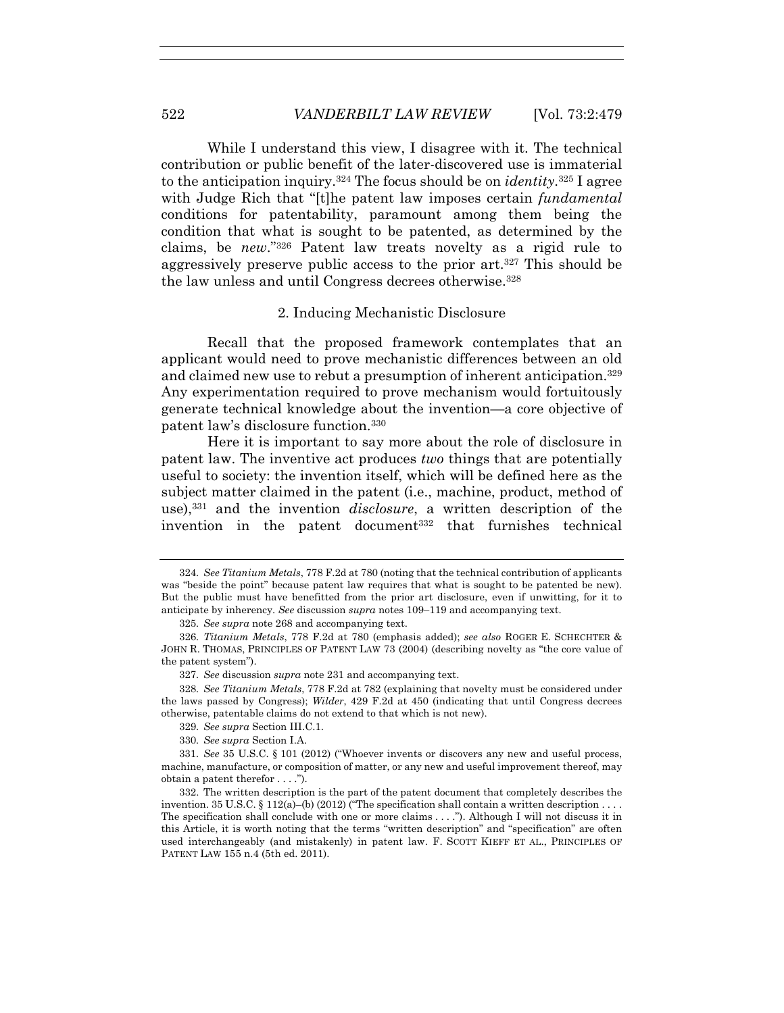While I understand this view, I disagree with it. The technical contribution or public benefit of the later-discovered use is immaterial to the anticipation inquiry.324 The focus should be on *identity*.325 I agree with Judge Rich that "[t]he patent law imposes certain *fundamental* conditions for patentability, paramount among them being the condition that what is sought to be patented, as determined by the claims, be *new*."326 Patent law treats novelty as a rigid rule to aggressively preserve public access to the prior art.327 This should be the law unless and until Congress decrees otherwise.328

## 2. Inducing Mechanistic Disclosure

Recall that the proposed framework contemplates that an applicant would need to prove mechanistic differences between an old and claimed new use to rebut a presumption of inherent anticipation.329 Any experimentation required to prove mechanism would fortuitously generate technical knowledge about the invention—a core objective of patent law's disclosure function.330

Here it is important to say more about the role of disclosure in patent law. The inventive act produces *two* things that are potentially useful to society: the invention itself, which will be defined here as the subject matter claimed in the patent (i.e., machine, product, method of use),331 and the invention *disclosure*, a written description of the invention in the patent document<sup>332</sup> that furnishes technical

<sup>324</sup>*. See Titanium Metals*, 778 F.2d at 780 (noting that the technical contribution of applicants was "beside the point" because patent law requires that what is sought to be patented be new). But the public must have benefitted from the prior art disclosure, even if unwitting, for it to anticipate by inherency. *See* discussion *supra* notes 109–119 and accompanying text.

<sup>325</sup>*. See supra* note 268 and accompanying text.

<sup>326</sup>*. Titanium Metals*, 778 F.2d at 780 (emphasis added); *see also* ROGER E. SCHECHTER & JOHN R. THOMAS, PRINCIPLES OF PATENT LAW 73 (2004) (describing novelty as "the core value of the patent system").

<sup>327</sup>*. See* discussion *supra* note 231 and accompanying text.

<sup>328</sup>*. See Titanium Metals*, 778 F.2d at 782 (explaining that novelty must be considered under the laws passed by Congress); *Wilder*, 429 F.2d at 450 (indicating that until Congress decrees otherwise, patentable claims do not extend to that which is not new).

<sup>329</sup>*. See supra* Section III.C.1.

<sup>330</sup>*. See supra* Section I.A.

<sup>331</sup>*. See* 35 U.S.C. § 101 (2012) ("Whoever invents or discovers any new and useful process, machine, manufacture, or composition of matter, or any new and useful improvement thereof, may obtain a patent therefor . . . .").

 <sup>332.</sup> The written description is the part of the patent document that completely describes the invention. 35 U.S.C.  $\S 112(a)$ –(b) (2012) ("The specification shall contain a written description ... The specification shall conclude with one or more claims . . . ."). Although I will not discuss it in this Article, it is worth noting that the terms "written description" and "specification" are often used interchangeably (and mistakenly) in patent law. F. SCOTT KIEFF ET AL., PRINCIPLES OF PATENT LAW 155 n.4 (5th ed. 2011).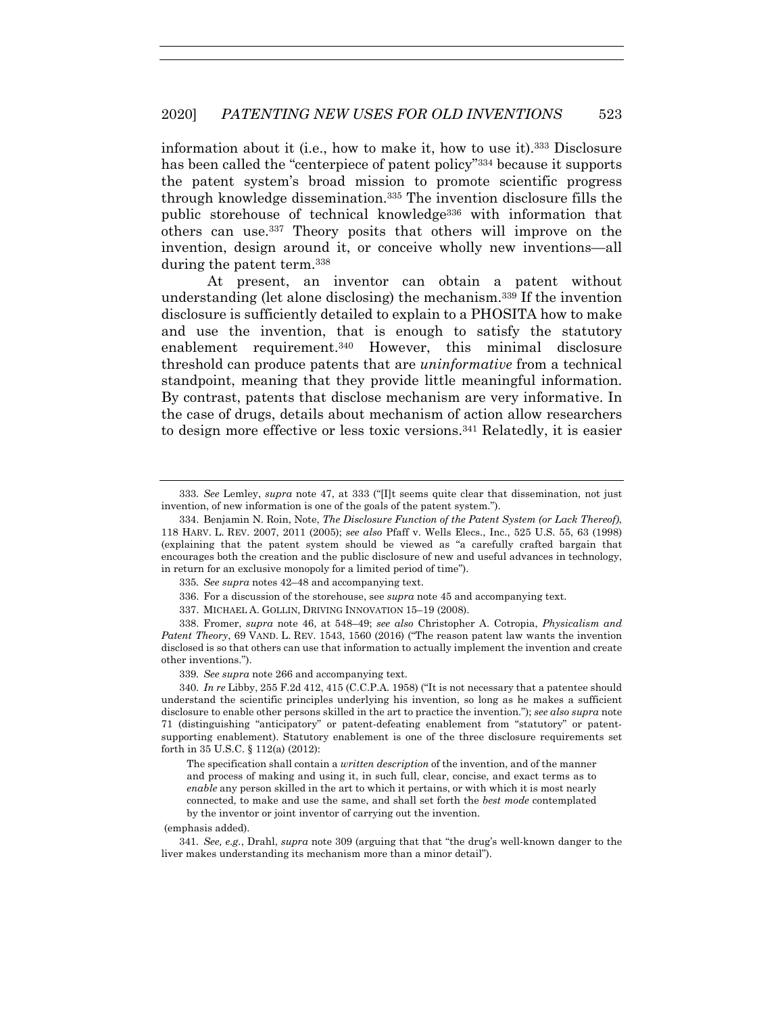information about it (i.e., how to make it, how to use it).333 Disclosure has been called the "centerpiece of patent policy"334 because it supports the patent system's broad mission to promote scientific progress through knowledge dissemination.335 The invention disclosure fills the public storehouse of technical knowledge336 with information that others can use.337 Theory posits that others will improve on the invention, design around it, or conceive wholly new inventions—all during the patent term.338

At present, an inventor can obtain a patent without understanding (let alone disclosing) the mechanism.339 If the invention disclosure is sufficiently detailed to explain to a PHOSITA how to make and use the invention, that is enough to satisfy the statutory enablement requirement.340 However, this minimal disclosure threshold can produce patents that are *uninformative* from a technical standpoint, meaning that they provide little meaningful information. By contrast, patents that disclose mechanism are very informative. In the case of drugs, details about mechanism of action allow researchers to design more effective or less toxic versions.341 Relatedly, it is easier

335*. See supra* notes 42–48 and accompanying text.

- 336. For a discussion of the storehouse, see *supra* note 45 and accompanying text.
- 337. MICHAEL A. GOLLIN, DRIVING INNOVATION 15–19 (2008).

 338. Fromer, *supra* note 46, at 548–49; *see also* Christopher A. Cotropia, *Physicalism and Patent Theory*, 69 VAND. L. REV. 1543, 1560 (2016) ("The reason patent law wants the invention disclosed is so that others can use that information to actually implement the invention and create other inventions.").

339*. See supra* note 266 and accompanying text.

340*. In re* Libby, 255 F.2d 412, 415 (C.C.P.A. 1958) ("It is not necessary that a patentee should understand the scientific principles underlying his invention, so long as he makes a sufficient disclosure to enable other persons skilled in the art to practice the invention."); *see also supra* note 71 (distinguishing "anticipatory" or patent-defeating enablement from "statutory" or patentsupporting enablement). Statutory enablement is one of the three disclosure requirements set forth in 35 U.S.C. § 112(a) (2012):

The specification shall contain a *written description* of the invention, and of the manner and process of making and using it, in such full, clear, concise, and exact terms as to *enable* any person skilled in the art to which it pertains, or with which it is most nearly connected, to make and use the same, and shall set forth the *best mode* contemplated by the inventor or joint inventor of carrying out the invention.

(emphasis added).

341*. See, e.g.*, Drahl, *supra* note 309 (arguing that that "the drug's well-known danger to the liver makes understanding its mechanism more than a minor detail").

<sup>333</sup>*. See* Lemley, *supra* note 47, at 333 ("[I]t seems quite clear that dissemination, not just invention, of new information is one of the goals of the patent system.").

 <sup>334.</sup> Benjamin N. Roin, Note, *The Disclosure Function of the Patent System (or Lack Thereof)*, 118 HARV. L. REV. 2007, 2011 (2005); *see also* Pfaff v. Wells Elecs., Inc., 525 U.S. 55, 63 (1998) (explaining that the patent system should be viewed as "a carefully crafted bargain that encourages both the creation and the public disclosure of new and useful advances in technology, in return for an exclusive monopoly for a limited period of time").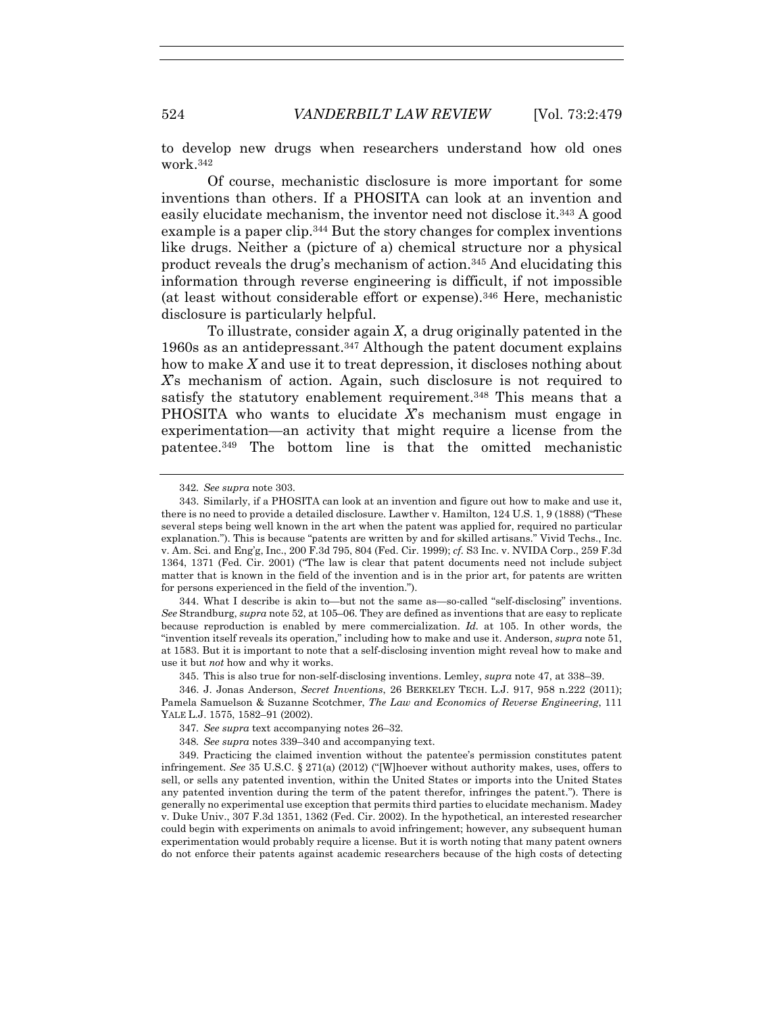to develop new drugs when researchers understand how old ones work.342

Of course, mechanistic disclosure is more important for some inventions than others. If a PHOSITA can look at an invention and easily elucidate mechanism, the inventor need not disclose it.343 A good example is a paper clip.344 But the story changes for complex inventions like drugs. Neither a (picture of a) chemical structure nor a physical product reveals the drug's mechanism of action.345 And elucidating this information through reverse engineering is difficult, if not impossible (at least without considerable effort or expense).346 Here, mechanistic disclosure is particularly helpful.

To illustrate, consider again *X*, a drug originally patented in the 1960s as an antidepressant.347 Although the patent document explains how to make *X* and use it to treat depression, it discloses nothing about *X*'s mechanism of action. Again, such disclosure is not required to satisfy the statutory enablement requirement.<sup>348</sup> This means that a PHOSITA who wants to elucidate *X*'s mechanism must engage in experimentation—an activity that might require a license from the patentee.349 The bottom line is that the omitted mechanistic

 344. What I describe is akin to—but not the same as—so-called "self-disclosing" inventions. *See* Strandburg, *supra* note 52, at 105–06. They are defined as inventions that are easy to replicate because reproduction is enabled by mere commercialization. *Id.* at 105. In other words, the "invention itself reveals its operation," including how to make and use it. Anderson, *supra* note 51, at 1583. But it is important to note that a self-disclosing invention might reveal how to make and use it but *not* how and why it works.

345. This is also true for non-self-disclosing inventions. Lemley, *supra* note 47, at 338–39.

 346. J. Jonas Anderson, *Secret Inventions*, 26 BERKELEY TECH. L.J. 917, 958 n.222 (2011); Pamela Samuelson & Suzanne Scotchmer, *The Law and Economics of Reverse Engineering*, 111 YALE L.J. 1575, 1582–91 (2002).

 349. Practicing the claimed invention without the patentee's permission constitutes patent infringement. *See* 35 U.S.C. § 271(a) (2012) ("[W]hoever without authority makes, uses, offers to sell, or sells any patented invention, within the United States or imports into the United States any patented invention during the term of the patent therefor, infringes the patent."). There is generally no experimental use exception that permits third parties to elucidate mechanism. Madey v. Duke Univ., 307 F.3d 1351, 1362 (Fed. Cir. 2002). In the hypothetical, an interested researcher could begin with experiments on animals to avoid infringement; however, any subsequent human experimentation would probably require a license. But it is worth noting that many patent owners do not enforce their patents against academic researchers because of the high costs of detecting

<sup>342</sup>*. See supra* note 303.

 <sup>343.</sup> Similarly, if a PHOSITA can look at an invention and figure out how to make and use it, there is no need to provide a detailed disclosure. Lawther v. Hamilton, 124 U.S. 1, 9 (1888) ("These several steps being well known in the art when the patent was applied for, required no particular explanation."). This is because "patents are written by and for skilled artisans." Vivid Techs., Inc. v. Am. Sci. and Eng'g, Inc., 200 F.3d 795, 804 (Fed. Cir. 1999); *cf.* S3 Inc. v. NVIDA Corp., 259 F.3d 1364, 1371 (Fed. Cir. 2001) ("The law is clear that patent documents need not include subject matter that is known in the field of the invention and is in the prior art, for patents are written for persons experienced in the field of the invention.").

<sup>347</sup>*. See supra* text accompanying notes 26–32.

<sup>348</sup>*. See supra* notes 339–340 and accompanying text.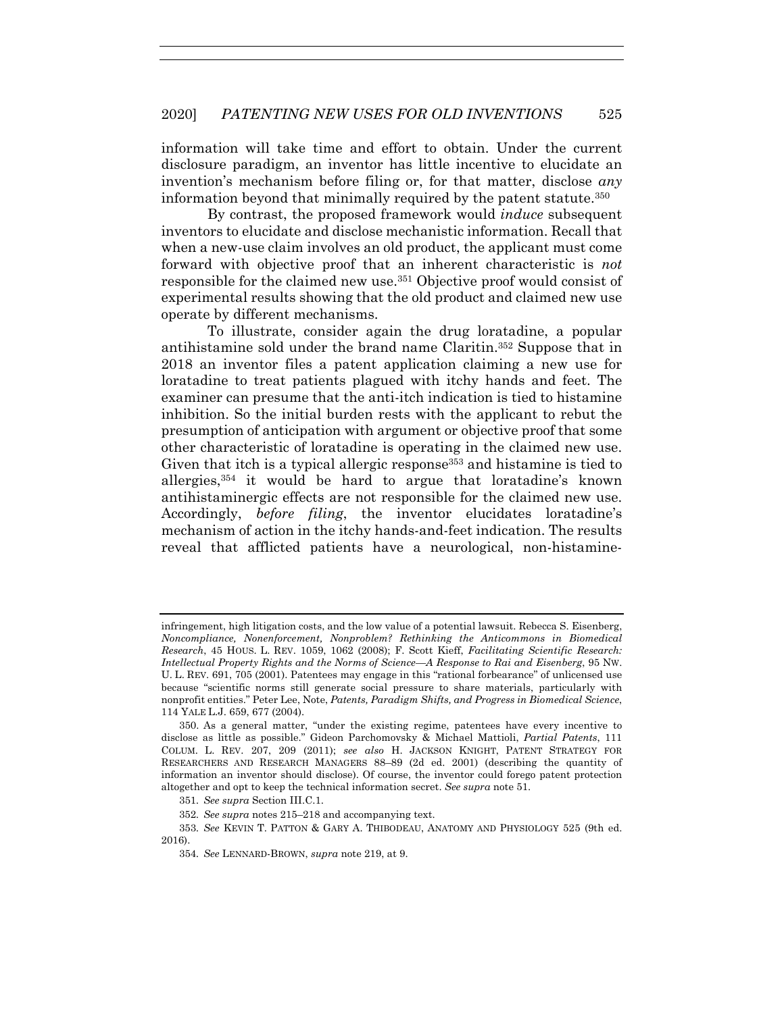information will take time and effort to obtain. Under the current disclosure paradigm, an inventor has little incentive to elucidate an invention's mechanism before filing or, for that matter, disclose *any* information beyond that minimally required by the patent statute.350

By contrast, the proposed framework would *induce* subsequent inventors to elucidate and disclose mechanistic information. Recall that when a new-use claim involves an old product, the applicant must come forward with objective proof that an inherent characteristic is *not* responsible for the claimed new use.351 Objective proof would consist of experimental results showing that the old product and claimed new use operate by different mechanisms.

To illustrate, consider again the drug loratadine, a popular antihistamine sold under the brand name Claritin.352 Suppose that in 2018 an inventor files a patent application claiming a new use for loratadine to treat patients plagued with itchy hands and feet. The examiner can presume that the anti-itch indication is tied to histamine inhibition. So the initial burden rests with the applicant to rebut the presumption of anticipation with argument or objective proof that some other characteristic of loratadine is operating in the claimed new use. Given that itch is a typical allergic response<sup>353</sup> and histamine is tied to allergies,354 it would be hard to argue that loratadine's known antihistaminergic effects are not responsible for the claimed new use. Accordingly, *before filing*, the inventor elucidates loratadine's mechanism of action in the itchy hands-and-feet indication. The results reveal that afflicted patients have a neurological, non-histamine-

infringement, high litigation costs, and the low value of a potential lawsuit. Rebecca S. Eisenberg, *Noncompliance, Nonenforcement, Nonproblem? Rethinking the Anticommons in Biomedical Research*, 45 HOUS. L. REV. 1059, 1062 (2008); F. Scott Kieff, *Facilitating Scientific Research: Intellectual Property Rights and the Norms of Science—A Response to Rai and Eisenberg*, 95 NW. U. L. REV. 691, 705 (2001). Patentees may engage in this "rational forbearance" of unlicensed use because "scientific norms still generate social pressure to share materials, particularly with nonprofit entities." Peter Lee, Note, *Patents, Paradigm Shifts, and Progress in Biomedical Science*, 114 YALE L.J. 659, 677 (2004).

 <sup>350.</sup> As a general matter, "under the existing regime, patentees have every incentive to disclose as little as possible." Gideon Parchomovsky & Michael Mattioli, *Partial Patents*, 111 COLUM. L. REV. 207, 209 (2011); *see also* H. JACKSON KNIGHT, PATENT STRATEGY FOR RESEARCHERS AND RESEARCH MANAGERS 88–89 (2d ed. 2001) (describing the quantity of information an inventor should disclose). Of course, the inventor could forego patent protection altogether and opt to keep the technical information secret. *See supra* note 51.

<sup>351</sup>*. See supra* Section III.C.1.

<sup>352</sup>*. See supra* notes 215–218 and accompanying text.

<sup>353</sup>*. See* KEVIN T. PATTON & GARY A. THIBODEAU, ANATOMY AND PHYSIOLOGY 525 (9th ed. 2016).

<sup>354</sup>*. See* LENNARD-BROWN, *supra* note 219, at 9.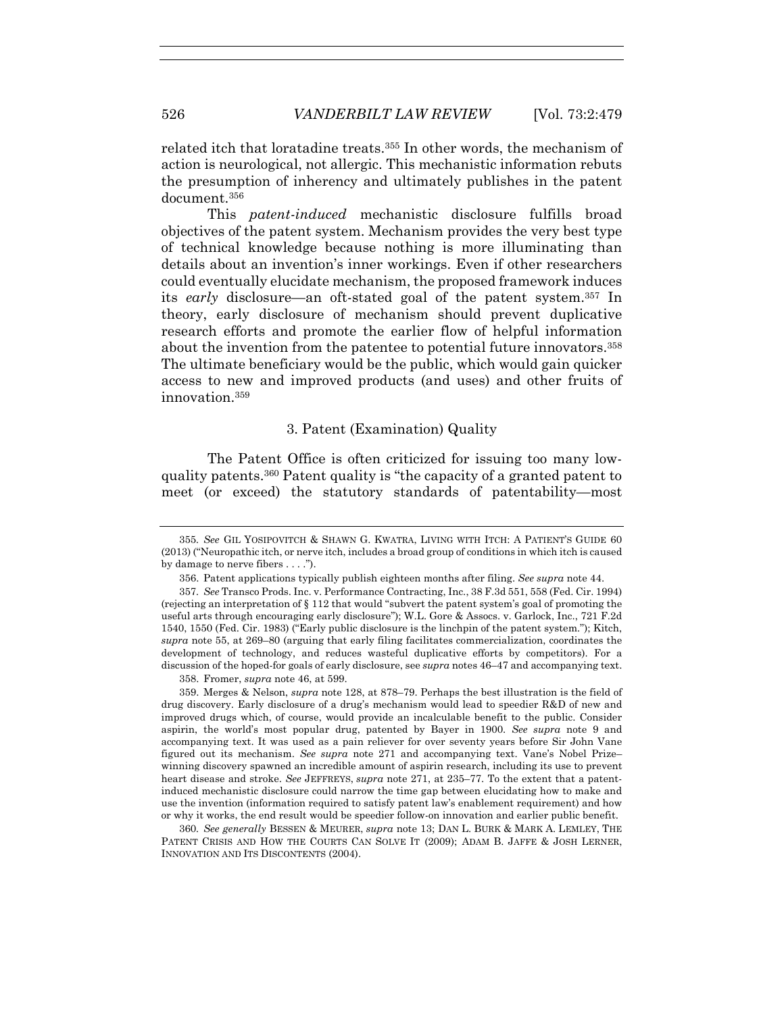related itch that loratadine treats.355 In other words, the mechanism of action is neurological, not allergic. This mechanistic information rebuts the presumption of inherency and ultimately publishes in the patent document.356

This *patent-induced* mechanistic disclosure fulfills broad objectives of the patent system. Mechanism provides the very best type of technical knowledge because nothing is more illuminating than details about an invention's inner workings. Even if other researchers could eventually elucidate mechanism, the proposed framework induces its *early* disclosure—an oft-stated goal of the patent system.357 In theory, early disclosure of mechanism should prevent duplicative research efforts and promote the earlier flow of helpful information about the invention from the patentee to potential future innovators.358 The ultimate beneficiary would be the public, which would gain quicker access to new and improved products (and uses) and other fruits of innovation.359

### 3. Patent (Examination) Quality

The Patent Office is often criticized for issuing too many lowquality patents.360 Patent quality is "the capacity of a granted patent to meet (or exceed) the statutory standards of patentability—most

358. Fromer, *supra* note 46, at 599.

 359. Merges & Nelson, *supra* note 128, at 878–79. Perhaps the best illustration is the field of drug discovery. Early disclosure of a drug's mechanism would lead to speedier R&D of new and improved drugs which, of course, would provide an incalculable benefit to the public. Consider aspirin, the world's most popular drug, patented by Bayer in 1900. *See supra* note 9 and accompanying text. It was used as a pain reliever for over seventy years before Sir John Vane figured out its mechanism. *See supra* note 271 and accompanying text. Vane's Nobel Prize– winning discovery spawned an incredible amount of aspirin research, including its use to prevent heart disease and stroke. *See* JEFFREYS, *supra* note 271, at 235–77. To the extent that a patentinduced mechanistic disclosure could narrow the time gap between elucidating how to make and use the invention (information required to satisfy patent law's enablement requirement) and how or why it works, the end result would be speedier follow-on innovation and earlier public benefit.

360*. See generally* BESSEN & MEURER, *supra* note 13; DAN L. BURK & MARK A. LEMLEY, THE PATENT CRISIS AND HOW THE COURTS CAN SOLVE IT (2009); ADAM B. JAFFE & JOSH LERNER, INNOVATION AND ITS DISCONTENTS (2004).

<sup>355</sup>*. See* GIL YOSIPOVITCH & SHAWN G. KWATRA, LIVING WITH ITCH: A PATIENT'S GUIDE 60 (2013) ("Neuropathic itch, or nerve itch, includes a broad group of conditions in which itch is caused by damage to nerve fibers . . . .").

 <sup>356.</sup> Patent applications typically publish eighteen months after filing. *See supra* note 44.

<sup>357</sup>*. See* Transco Prods. Inc. v. Performance Contracting, Inc., 38 F.3d 551, 558 (Fed. Cir. 1994) (rejecting an interpretation of § 112 that would "subvert the patent system's goal of promoting the useful arts through encouraging early disclosure"); W.L. Gore & Assocs. v. Garlock, Inc., 721 F.2d 1540, 1550 (Fed. Cir. 1983) ("Early public disclosure is the linchpin of the patent system."); Kitch, *supra* note 55, at 269–80 (arguing that early filing facilitates commercialization, coordinates the development of technology, and reduces wasteful duplicative efforts by competitors). For a discussion of the hoped-for goals of early disclosure, see *supra* notes 46–47 and accompanying text.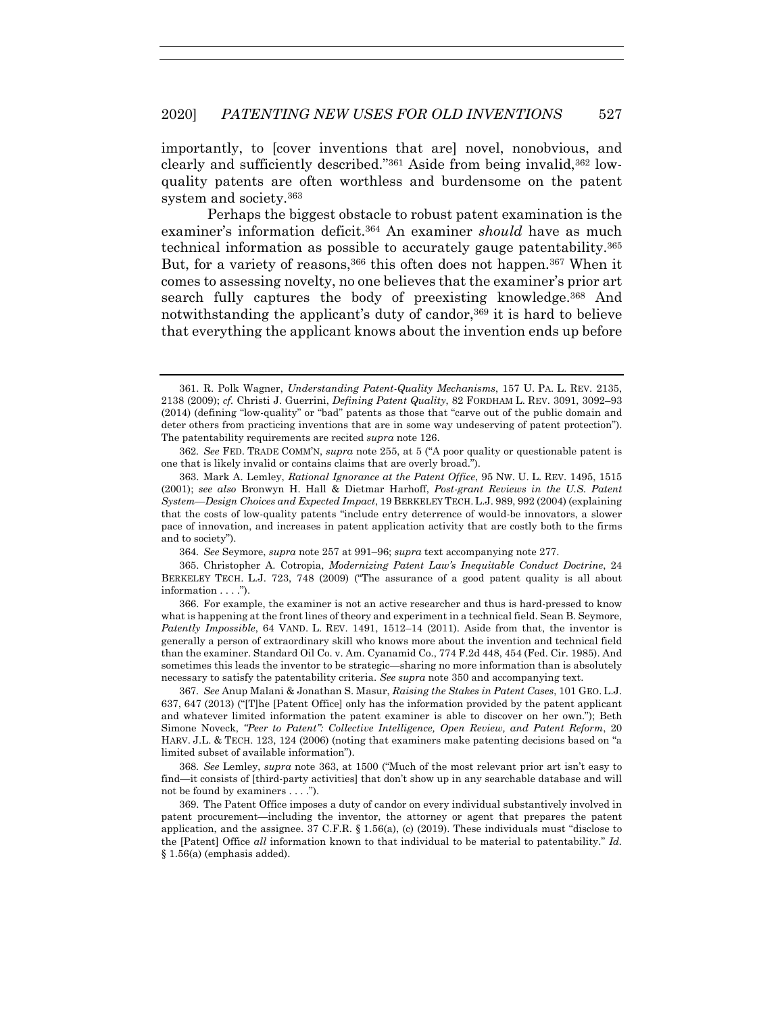importantly, to [cover inventions that are] novel, nonobvious, and clearly and sufficiently described."361 Aside from being invalid,362 lowquality patents are often worthless and burdensome on the patent system and society.363

Perhaps the biggest obstacle to robust patent examination is the examiner's information deficit.<sup>364</sup> An examiner *should* have as much technical information as possible to accurately gauge patentability.365 But, for a variety of reasons,<sup>366</sup> this often does not happen.<sup>367</sup> When it comes to assessing novelty, no one believes that the examiner's prior art search fully captures the body of preexisting knowledge.368 And notwithstanding the applicant's duty of candor,<sup>369</sup> it is hard to believe that everything the applicant knows about the invention ends up before

362*. See* FED. TRADE COMM'N, *supra* note 255, at 5 ("A poor quality or questionable patent is one that is likely invalid or contains claims that are overly broad.").

364*. See* Seymore, *supra* note 257 at 991–96; *supra* text accompanying note 277.

 365. Christopher A. Cotropia, *Modernizing Patent Law's Inequitable Conduct Doctrine*, 24 BERKELEY TECH. L.J. 723, 748 (2009) ("The assurance of a good patent quality is all about information . . . .").

 366. For example, the examiner is not an active researcher and thus is hard-pressed to know what is happening at the front lines of theory and experiment in a technical field. Sean B. Seymore, *Patently Impossible*, 64 VAND. L. REV. 1491, 1512–14 (2011). Aside from that, the inventor is generally a person of extraordinary skill who knows more about the invention and technical field than the examiner. Standard Oil Co. v. Am. Cyanamid Co., 774 F.2d 448, 454 (Fed. Cir. 1985). And sometimes this leads the inventor to be strategic—sharing no more information than is absolutely necessary to satisfy the patentability criteria. *See supra* note 350 and accompanying text.

367*. See* Anup Malani & Jonathan S. Masur, *Raising the Stakes in Patent Cases*, 101 GEO. L.J. 637, 647 (2013) ("[T]he [Patent Office] only has the information provided by the patent applicant and whatever limited information the patent examiner is able to discover on her own."); Beth Simone Noveck, *"Peer to Patent": Collective Intelligence, Open Review, and Patent Reform*, 20 HARV. J.L. & TECH. 123, 124 (2006) (noting that examiners make patenting decisions based on "a limited subset of available information").

368*. See* Lemley, *supra* note 363, at 1500 ("Much of the most relevant prior art isn't easy to find—it consists of [third-party activities] that don't show up in any searchable database and will not be found by examiners . . . .").

 369. The Patent Office imposes a duty of candor on every individual substantively involved in patent procurement—including the inventor, the attorney or agent that prepares the patent application, and the assignee.  $37 \text{ C.F.R.}$  §  $1.56(a)$ , (c) (2019). These individuals must "disclose to the [Patent] Office *all* information known to that individual to be material to patentability." *Id.* § 1.56(a) (emphasis added).

 <sup>361.</sup> R. Polk Wagner, *Understanding Patent-Quality Mechanisms*, 157 U. PA. L. REV. 2135, 2138 (2009); *cf.* Christi J. Guerrini, *Defining Patent Quality*, 82 FORDHAM L. REV. 3091, 3092–93 (2014) (defining "low-quality" or "bad" patents as those that "carve out of the public domain and deter others from practicing inventions that are in some way undeserving of patent protection"). The patentability requirements are recited *supra* note 126.

 <sup>363.</sup> Mark A. Lemley, *Rational Ignorance at the Patent Office*, 95 NW. U. L. REV. 1495, 1515 (2001); *see also* Bronwyn H. Hall & Dietmar Harhoff, *Post-grant Reviews in the U.S. Patent System—Design Choices and Expected Impact*, 19 BERKELEY TECH. L.J. 989, 992 (2004) (explaining that the costs of low-quality patents "include entry deterrence of would-be innovators, a slower pace of innovation, and increases in patent application activity that are costly both to the firms and to society").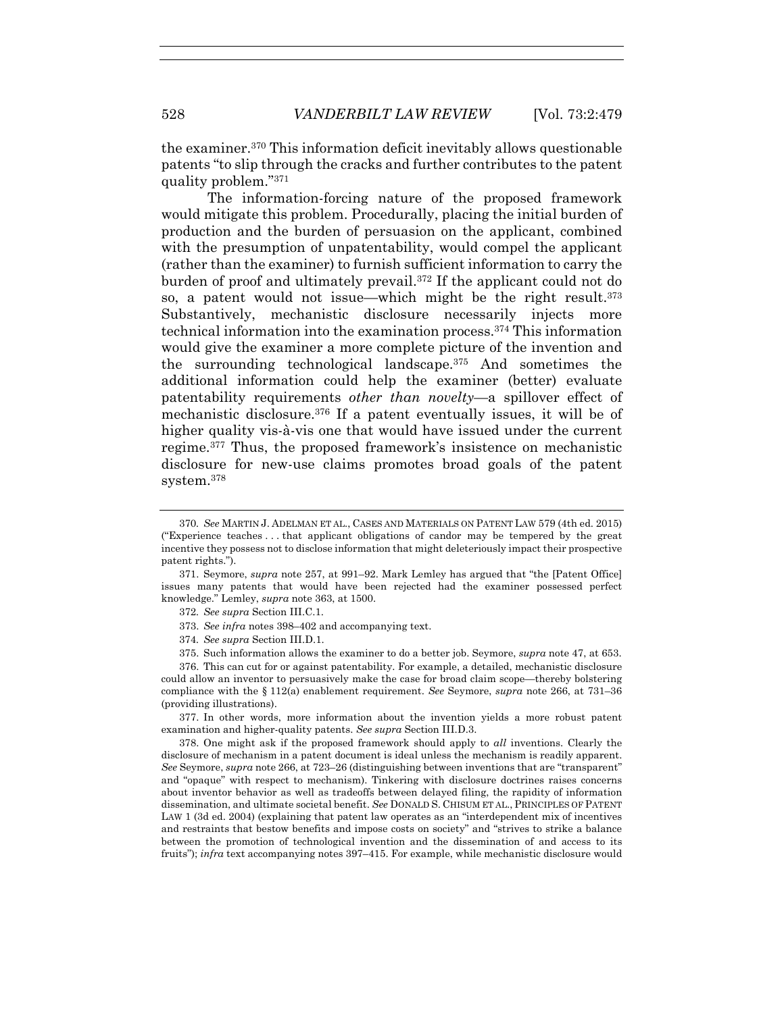the examiner.370 This information deficit inevitably allows questionable patents "to slip through the cracks and further contributes to the patent quality problem."371

The information-forcing nature of the proposed framework would mitigate this problem. Procedurally, placing the initial burden of production and the burden of persuasion on the applicant, combined with the presumption of unpatentability, would compel the applicant (rather than the examiner) to furnish sufficient information to carry the burden of proof and ultimately prevail.372 If the applicant could not do so, a patent would not issue—which might be the right result.373 Substantively, mechanistic disclosure necessarily injects more technical information into the examination process.374 This information would give the examiner a more complete picture of the invention and the surrounding technological landscape.375 And sometimes the additional information could help the examiner (better) evaluate patentability requirements *other than novelty*—a spillover effect of mechanistic disclosure.376 If a patent eventually issues, it will be of higher quality vis-à-vis one that would have issued under the current regime.377 Thus, the proposed framework's insistence on mechanistic disclosure for new-use claims promotes broad goals of the patent system.378

 376. This can cut for or against patentability. For example, a detailed, mechanistic disclosure could allow an inventor to persuasively make the case for broad claim scope—thereby bolstering compliance with the § 112(a) enablement requirement. *See* Seymore, *supra* note 266, at 731–36 (providing illustrations).

 377. In other words, more information about the invention yields a more robust patent examination and higher-quality patents. *See supra* Section III.D.3.

 378. One might ask if the proposed framework should apply to *all* inventions. Clearly the disclosure of mechanism in a patent document is ideal unless the mechanism is readily apparent. *See* Seymore, *supra* note 266, at 723–26 (distinguishing between inventions that are "transparent" and "opaque" with respect to mechanism). Tinkering with disclosure doctrines raises concerns about inventor behavior as well as tradeoffs between delayed filing, the rapidity of information dissemination, and ultimate societal benefit. *See* DONALD S. CHISUM ET AL., PRINCIPLES OF PATENT LAW 1 (3d ed. 2004) (explaining that patent law operates as an "interdependent mix of incentives and restraints that bestow benefits and impose costs on society" and "strives to strike a balance between the promotion of technological invention and the dissemination of and access to its fruits"); *infra* text accompanying notes 397–415. For example, while mechanistic disclosure would

<sup>370</sup>*. See* MARTIN J. ADELMAN ET AL., CASES AND MATERIALS ON PATENT LAW 579 (4th ed. 2015) ("Experience teaches . . . that applicant obligations of candor may be tempered by the great incentive they possess not to disclose information that might deleteriously impact their prospective patent rights.").

 <sup>371.</sup> Seymore, *supra* note 257, at 991–92. Mark Lemley has argued that "the [Patent Office] issues many patents that would have been rejected had the examiner possessed perfect knowledge." Lemley, *supra* note 363, at 1500.

<sup>372</sup>*. See supra* Section III.C.1.

 <sup>373.</sup> *See infra* notes 398–402 and accompanying text.

<sup>374</sup>*. See supra* Section III.D.1.

 <sup>375.</sup> Such information allows the examiner to do a better job. Seymore, *supra* note 47, at 653.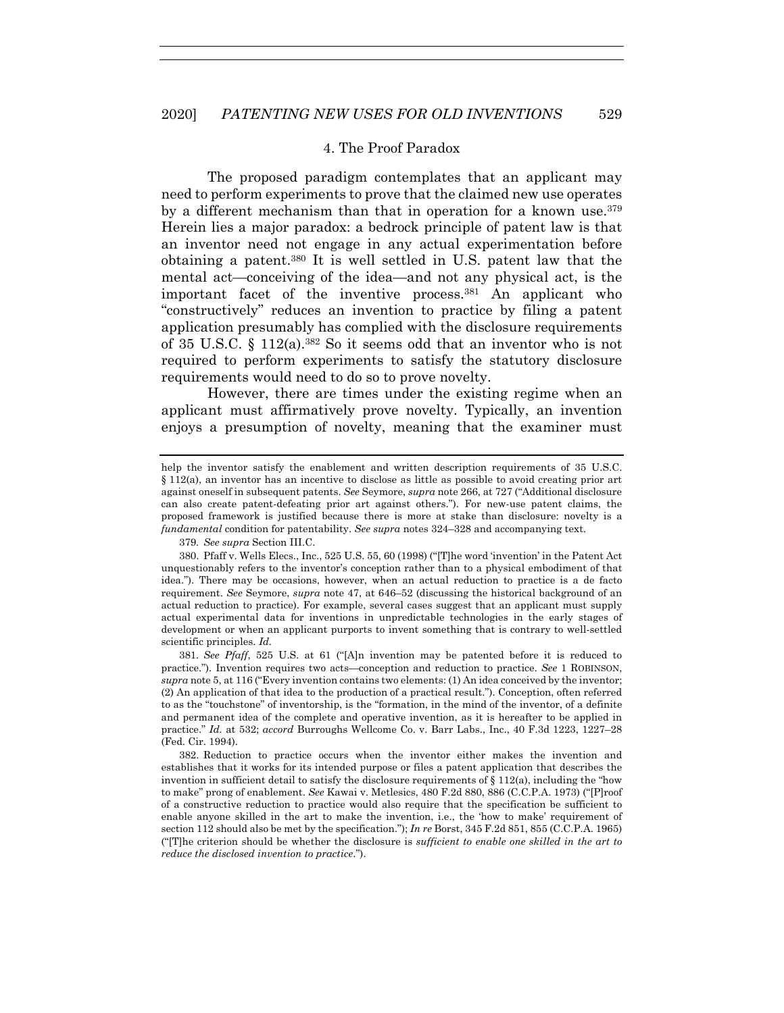## 4. The Proof Paradox

The proposed paradigm contemplates that an applicant may need to perform experiments to prove that the claimed new use operates by a different mechanism than that in operation for a known use.379 Herein lies a major paradox: a bedrock principle of patent law is that an inventor need not engage in any actual experimentation before obtaining a patent.380 It is well settled in U.S. patent law that the mental act—conceiving of the idea—and not any physical act, is the important facet of the inventive process.381 An applicant who "constructively" reduces an invention to practice by filing a patent application presumably has complied with the disclosure requirements of 35 U.S.C. § 112(a).382 So it seems odd that an inventor who is not required to perform experiments to satisfy the statutory disclosure requirements would need to do so to prove novelty.

However, there are times under the existing regime when an applicant must affirmatively prove novelty. Typically, an invention enjoys a presumption of novelty, meaning that the examiner must

379*. See supra* Section III.C.

381*. See Pfaff*, 525 U.S. at 61 ("[A]n invention may be patented before it is reduced to practice."). Invention requires two acts—conception and reduction to practice. *See* 1 ROBINSON, *supra* note 5, at 116 ("Every invention contains two elements: (1) An idea conceived by the inventor; (2) An application of that idea to the production of a practical result."). Conception, often referred to as the "touchstone" of inventorship, is the "formation, in the mind of the inventor, of a definite and permanent idea of the complete and operative invention, as it is hereafter to be applied in practice." *Id.* at 532; *accord* Burroughs Wellcome Co. v. Barr Labs., Inc., 40 F.3d 1223, 1227–28 (Fed. Cir. 1994).

 382. Reduction to practice occurs when the inventor either makes the invention and establishes that it works for its intended purpose or files a patent application that describes the invention in sufficient detail to satisfy the disclosure requirements of  $\S 112(a)$ , including the "how to make" prong of enablement. *See* Kawai v. Metlesics, 480 F.2d 880, 886 (C.C.P.A. 1973) ("[P]roof of a constructive reduction to practice would also require that the specification be sufficient to enable anyone skilled in the art to make the invention, i.e., the 'how to make' requirement of section 112 should also be met by the specification."); *In re* Borst, 345 F.2d 851, 855 (C.C.P.A. 1965) ("[T]he criterion should be whether the disclosure is *sufficient to enable one skilled in the art to reduce the disclosed invention to practice*.").

help the inventor satisfy the enablement and written description requirements of 35 U.S.C. § 112(a), an inventor has an incentive to disclose as little as possible to avoid creating prior art against oneself in subsequent patents. *See* Seymore, *supra* note 266, at 727 ("Additional disclosure can also create patent-defeating prior art against others."). For new-use patent claims, the proposed framework is justified because there is more at stake than disclosure: novelty is a *fundamental* condition for patentability. *See supra* notes 324–328 and accompanying text.

 <sup>380.</sup> Pfaff v. Wells Elecs., Inc., 525 U.S. 55, 60 (1998) ("[T]he word 'invention' in the Patent Act unquestionably refers to the inventor's conception rather than to a physical embodiment of that idea."). There may be occasions, however, when an actual reduction to practice is a de facto requirement. *See* Seymore, *supra* note 47, at 646–52 (discussing the historical background of an actual reduction to practice). For example, several cases suggest that an applicant must supply actual experimental data for inventions in unpredictable technologies in the early stages of development or when an applicant purports to invent something that is contrary to well-settled scientific principles. *Id.*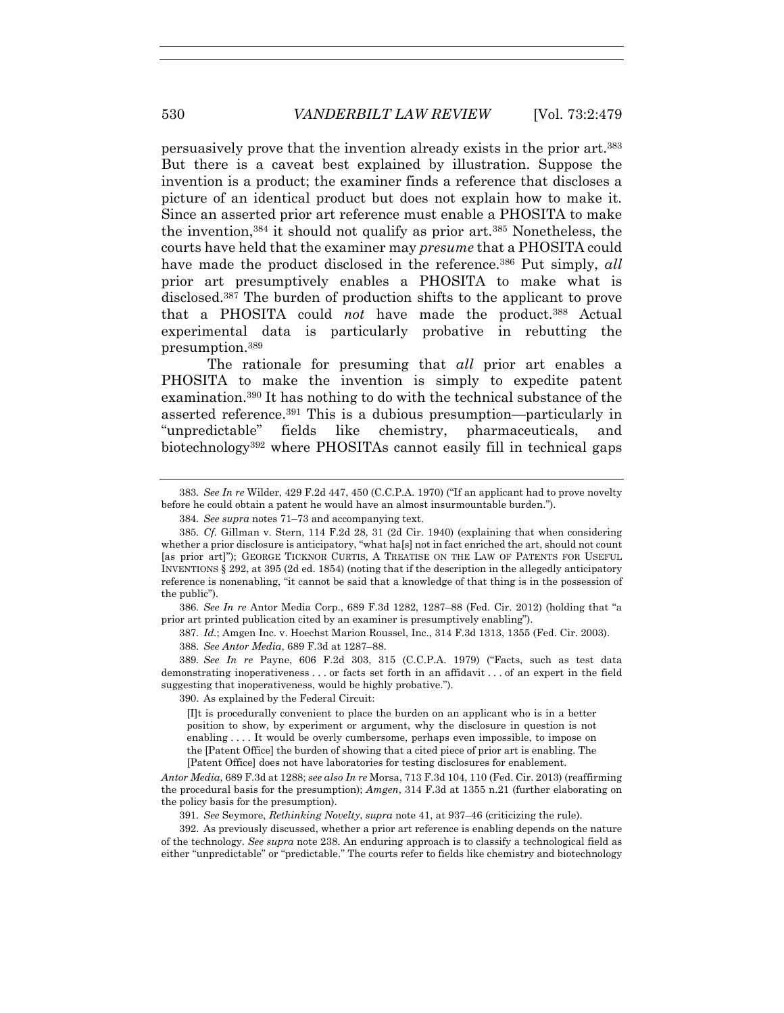persuasively prove that the invention already exists in the prior art.383 But there is a caveat best explained by illustration. Suppose the invention is a product; the examiner finds a reference that discloses a picture of an identical product but does not explain how to make it. Since an asserted prior art reference must enable a PHOSITA to make the invention,384 it should not qualify as prior art.385 Nonetheless, the courts have held that the examiner may *presume* that a PHOSITA could have made the product disclosed in the reference.<sup>386</sup> Put simply, *all* prior art presumptively enables a PHOSITA to make what is disclosed.387 The burden of production shifts to the applicant to prove that a PHOSITA could *not* have made the product.388 Actual experimental data is particularly probative in rebutting the presumption.389

The rationale for presuming that *all* prior art enables a PHOSITA to make the invention is simply to expedite patent examination.390 It has nothing to do with the technical substance of the asserted reference.391 This is a dubious presumption—particularly in "unpredictable" fields like chemistry, pharmaceuticals, and biotechnology392 where PHOSITAs cannot easily fill in technical gaps

386*. See In re* Antor Media Corp., 689 F.3d 1282, 1287–88 (Fed. Cir. 2012) (holding that "a prior art printed publication cited by an examiner is presumptively enabling").

387*. Id.*; Amgen Inc. v. Hoechst Marion Roussel, Inc., 314 F.3d 1313, 1355 (Fed. Cir. 2003). 388*. See Antor Media*, 689 F.3d at 1287–88.

389*. See In re* Payne, 606 F.2d 303, 315 (C.C.P.A. 1979) ("Facts, such as test data demonstrating inoperativeness . . . or facts set forth in an affidavit . . . of an expert in the field suggesting that inoperativeness, would be highly probative.").

390. As explained by the Federal Circuit:

[I]t is procedurally convenient to place the burden on an applicant who is in a better position to show, by experiment or argument, why the disclosure in question is not enabling . . . . It would be overly cumbersome, perhaps even impossible, to impose on the [Patent Office] the burden of showing that a cited piece of prior art is enabling. The [Patent Office] does not have laboratories for testing disclosures for enablement.

*Antor Media*, 689 F.3d at 1288; *see also In re* Morsa, 713 F.3d 104, 110 (Fed. Cir. 2013) (reaffirming the procedural basis for the presumption); *Amgen*, 314 F.3d at 1355 n.21 (further elaborating on the policy basis for the presumption).

391*. See* Seymore, *Rethinking Novelty*, *supra* note 41, at 937–46 (criticizing the rule).

 392. As previously discussed, whether a prior art reference is enabling depends on the nature of the technology. *See supra* note 238. An enduring approach is to classify a technological field as either "unpredictable" or "predictable." The courts refer to fields like chemistry and biotechnology

<sup>383</sup>*. See In re* Wilder, 429 F.2d 447, 450 (C.C.P.A. 1970) ("If an applicant had to prove novelty before he could obtain a patent he would have an almost insurmountable burden.").

<sup>384</sup>*. See supra* notes 71–73 and accompanying text.

<sup>385</sup>*. Cf.* Gillman v. Stern, 114 F.2d 28, 31 (2d Cir. 1940) (explaining that when considering whether a prior disclosure is anticipatory, "what ha[s] not in fact enriched the art, should not count [as prior art]"); GEORGE TICKNOR CURTIS, A TREATISE ON THE LAW OF PATENTS FOR USEFUL INVENTIONS § 292, at 395 (2d ed. 1854) (noting that if the description in the allegedly anticipatory reference is nonenabling, "it cannot be said that a knowledge of that thing is in the possession of the public").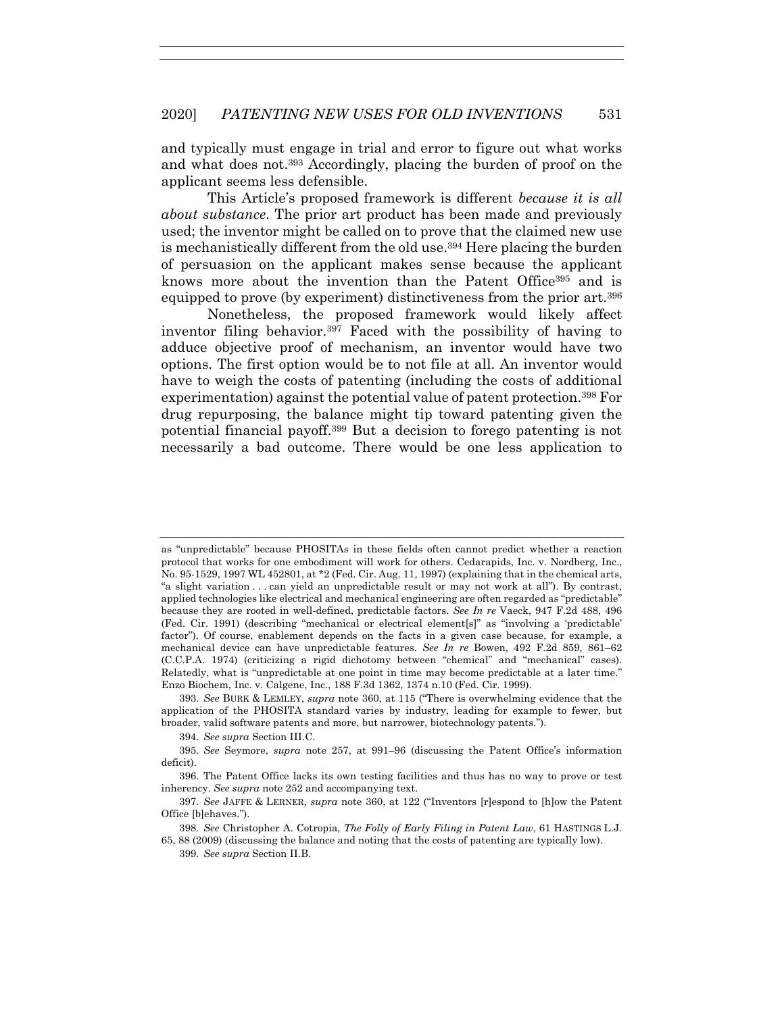and typically must engage in trial and error to figure out what works and what does not.393 Accordingly, placing the burden of proof on the applicant seems less defensible.

This Article's proposed framework is different *because it is all about substance*. The prior art product has been made and previously used; the inventor might be called on to prove that the claimed new use is mechanistically different from the old use.394 Here placing the burden of persuasion on the applicant makes sense because the applicant knows more about the invention than the Patent Office395 and is equipped to prove (by experiment) distinctiveness from the prior art.396

Nonetheless, the proposed framework would likely affect inventor filing behavior.397 Faced with the possibility of having to adduce objective proof of mechanism, an inventor would have two options. The first option would be to not file at all. An inventor would have to weigh the costs of patenting (including the costs of additional experimentation) against the potential value of patent protection.398 For drug repurposing, the balance might tip toward patenting given the potential financial payoff.399 But a decision to forego patenting is not necessarily a bad outcome. There would be one less application to

394*. See supra* Section III.C.

as "unpredictable" because PHOSITAs in these fields often cannot predict whether a reaction protocol that works for one embodiment will work for others. Cedarapids, Inc. v. Nordberg, Inc., No. 95-1529, 1997 WL 452801, at \*2 (Fed. Cir. Aug. 11, 1997) (explaining that in the chemical arts, "a slight variation . . . can yield an unpredictable result or may not work at all"). By contrast, applied technologies like electrical and mechanical engineering are often regarded as "predictable" because they are rooted in well-defined, predictable factors. *See In re* Vaeck, 947 F.2d 488, 496 (Fed. Cir. 1991) (describing "mechanical or electrical element[s]" as "involving a 'predictable' factor"). Of course, enablement depends on the facts in a given case because, for example, a mechanical device can have unpredictable features. *See In re* Bowen, 492 F.2d 859, 861–62 (C.C.P.A. 1974) (criticizing a rigid dichotomy between "chemical" and "mechanical" cases). Relatedly, what is "unpredictable at one point in time may become predictable at a later time." Enzo Biochem, Inc. v. Calgene, Inc., 188 F.3d 1362, 1374 n.10 (Fed. Cir. 1999).

<sup>393</sup>*. See* BURK & LEMLEY, *supra* note 360, at 115 ("There is overwhelming evidence that the application of the PHOSITA standard varies by industry, leading for example to fewer, but broader, valid software patents and more, but narrower, biotechnology patents.").

<sup>395</sup>*. See* Seymore, *supra* note 257, at 991–96 (discussing the Patent Office's information deficit).

 <sup>396.</sup> The Patent Office lacks its own testing facilities and thus has no way to prove or test inherency. *See supra* note 252 and accompanying text.

<sup>397</sup>*. See* JAFFE & LERNER, *supra* note 360, at 122 ("Inventors [r]espond to [h]ow the Patent Office [b]ehaves.").

<sup>398</sup>*. See* Christopher A. Cotropia, *The Folly of Early Filing in Patent Law*, 61 HASTINGS L.J. 65, 88 (2009) (discussing the balance and noting that the costs of patenting are typically low).

<sup>399</sup>*. See supra* Section II.B.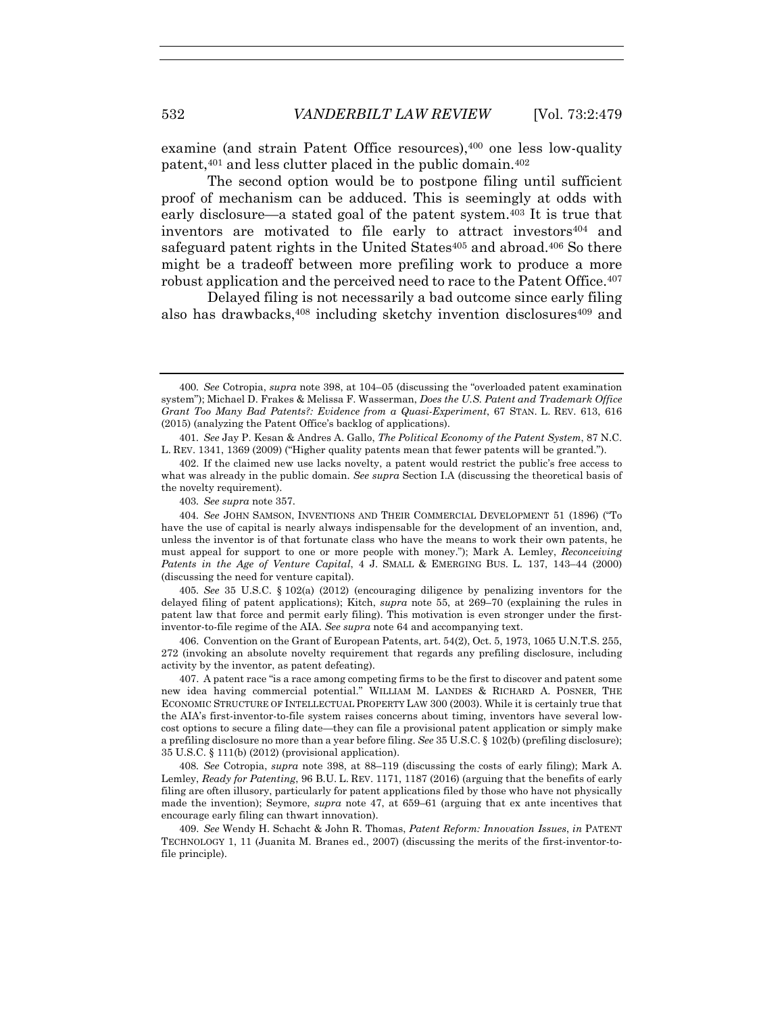examine (and strain Patent Office resources),400 one less low-quality patent,401 and less clutter placed in the public domain.402

The second option would be to postpone filing until sufficient proof of mechanism can be adduced. This is seemingly at odds with early disclosure—a stated goal of the patent system.403 It is true that inventors are motivated to file early to attract investors<sup>404</sup> and safeguard patent rights in the United States<sup>405</sup> and abroad.<sup>406</sup> So there might be a tradeoff between more prefiling work to produce a more robust application and the perceived need to race to the Patent Office.407

Delayed filing is not necessarily a bad outcome since early filing also has drawbacks, $408$  including sketchy invention disclosures  $409$  and

403*. See supra* note 357.

405*. See* 35 U.S.C. § 102(a) (2012) (encouraging diligence by penalizing inventors for the delayed filing of patent applications); Kitch, *supra* note 55, at 269–70 (explaining the rules in patent law that force and permit early filing). This motivation is even stronger under the firstinventor-to-file regime of the AIA. *See supra* note 64 and accompanying text.

 406. Convention on the Grant of European Patents, art. 54(2), Oct. 5, 1973, 1065 U.N.T.S. 255, 272 (invoking an absolute novelty requirement that regards any prefiling disclosure, including activity by the inventor, as patent defeating).

 407. A patent race "is a race among competing firms to be the first to discover and patent some new idea having commercial potential." WILLIAM M. LANDES & RICHARD A. POSNER, THE ECONOMIC STRUCTURE OF INTELLECTUAL PROPERTY LAW 300 (2003). While it is certainly true that the AIA's first-inventor-to-file system raises concerns about timing, inventors have several lowcost options to secure a filing date—they can file a provisional patent application or simply make a prefiling disclosure no more than a year before filing. *See* 35 U.S.C. § 102(b) (prefiling disclosure); 35 U.S.C. § 111(b) (2012) (provisional application).

408*. See* Cotropia, *supra* note 398, at 88–119 (discussing the costs of early filing); Mark A. Lemley, *Ready for Patenting*, 96 B.U. L. REV. 1171, 1187 (2016) (arguing that the benefits of early filing are often illusory, particularly for patent applications filed by those who have not physically made the invention); Seymore, *supra* note 47, at 659–61 (arguing that ex ante incentives that encourage early filing can thwart innovation).

 409. *See* Wendy H. Schacht & John R. Thomas, *Patent Reform: Innovation Issues*, *in* PATENT TECHNOLOGY 1, 11 (Juanita M. Branes ed., 2007) (discussing the merits of the first-inventor-tofile principle).

<sup>400</sup>*. See* Cotropia, *supra* note 398, at 104–05 (discussing the "overloaded patent examination system"); Michael D. Frakes & Melissa F. Wasserman, *Does the U.S. Patent and Trademark Office Grant Too Many Bad Patents?: Evidence from a Quasi-Experiment*, 67 STAN. L. REV. 613, 616 (2015) (analyzing the Patent Office's backlog of applications).

<sup>401</sup>*. See* Jay P. Kesan & Andres A. Gallo, *The Political Economy of the Patent System*, 87 N.C. L. REV. 1341, 1369 (2009) ("Higher quality patents mean that fewer patents will be granted.").

 <sup>402.</sup> If the claimed new use lacks novelty, a patent would restrict the public's free access to what was already in the public domain. *See supra* Section I.A (discussing the theoretical basis of the novelty requirement).

<sup>404</sup>*. See* JOHN SAMSON, INVENTIONS AND THEIR COMMERCIAL DEVELOPMENT 51 (1896) ("To have the use of capital is nearly always indispensable for the development of an invention, and, unless the inventor is of that fortunate class who have the means to work their own patents, he must appeal for support to one or more people with money."); Mark A. Lemley, *Reconceiving Patents in the Age of Venture Capital*, 4 J. SMALL & EMERGING BUS. L. 137, 143–44 (2000) (discussing the need for venture capital).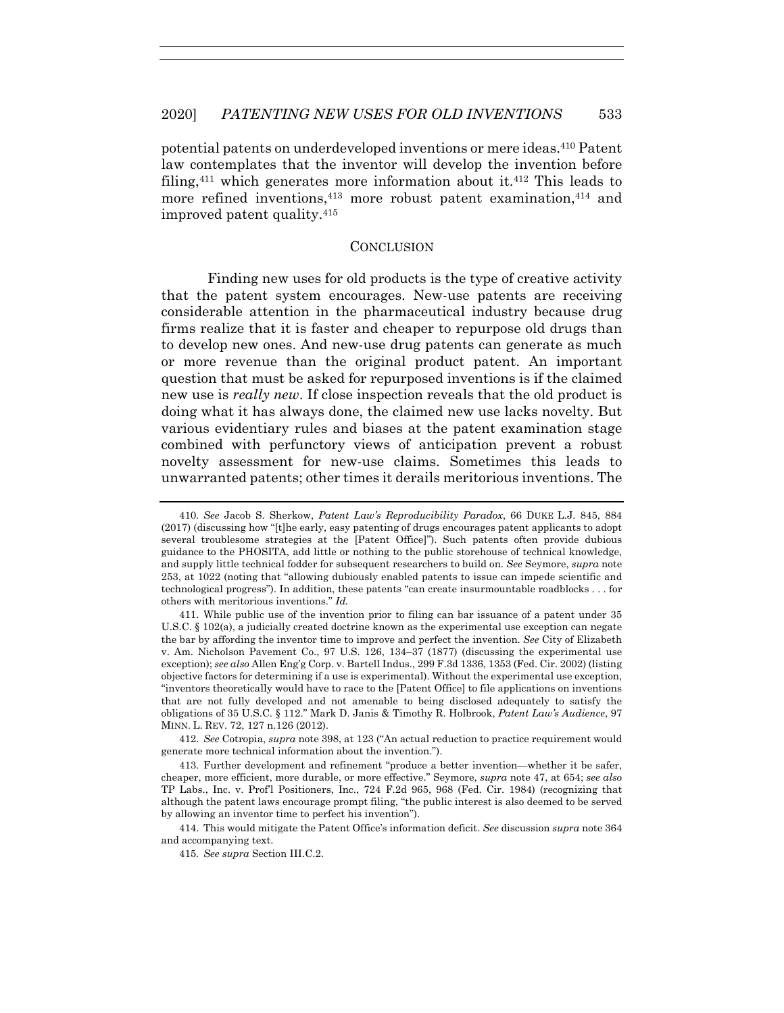potential patents on underdeveloped inventions or mere ideas.410 Patent law contemplates that the inventor will develop the invention before filing,411 which generates more information about it.412 This leads to more refined inventions,<sup>413</sup> more robust patent examination,<sup>414</sup> and improved patent quality.415

#### **CONCLUSION**

Finding new uses for old products is the type of creative activity that the patent system encourages. New-use patents are receiving considerable attention in the pharmaceutical industry because drug firms realize that it is faster and cheaper to repurpose old drugs than to develop new ones. And new-use drug patents can generate as much or more revenue than the original product patent. An important question that must be asked for repurposed inventions is if the claimed new use is *really new*. If close inspection reveals that the old product is doing what it has always done, the claimed new use lacks novelty. But various evidentiary rules and biases at the patent examination stage combined with perfunctory views of anticipation prevent a robust novelty assessment for new-use claims. Sometimes this leads to unwarranted patents; other times it derails meritorious inventions. The

412*. See* Cotropia, *supra* note 398, at 123 ("An actual reduction to practice requirement would generate more technical information about the invention.").

 413. Further development and refinement "produce a better invention—whether it be safer, cheaper, more efficient, more durable, or more effective." Seymore, *supra* note 47, at 654; *see also* TP Labs., Inc. v. Prof'l Positioners, Inc., 724 F.2d 965, 968 (Fed. Cir. 1984) (recognizing that although the patent laws encourage prompt filing, "the public interest is also deemed to be served by allowing an inventor time to perfect his invention").

 414. This would mitigate the Patent Office's information deficit. *See* discussion *supra* note 364 and accompanying text.

415*. See supra* Section III.C.2.

<sup>410</sup>*. See* Jacob S. Sherkow, *Patent Law's Reproducibility Paradox*, 66 DUKE L.J. 845, 884 (2017) (discussing how "[t]he early, easy patenting of drugs encourages patent applicants to adopt several troublesome strategies at the [Patent Office]"). Such patents often provide dubious guidance to the PHOSITA, add little or nothing to the public storehouse of technical knowledge, and supply little technical fodder for subsequent researchers to build on. *See* Seymore, *supra* note 253, at 1022 (noting that "allowing dubiously enabled patents to issue can impede scientific and technological progress"). In addition, these patents "can create insurmountable roadblocks . . . for others with meritorious inventions." *Id.*

 <sup>411.</sup> While public use of the invention prior to filing can bar issuance of a patent under 35 U.S.C. § 102(a), a judicially created doctrine known as the experimental use exception can negate the bar by affording the inventor time to improve and perfect the invention. *See* City of Elizabeth v. Am. Nicholson Pavement Co., 97 U.S. 126, 134–37 (1877) (discussing the experimental use exception); *see also* Allen Eng'g Corp. v. Bartell Indus., 299 F.3d 1336, 1353 (Fed. Cir. 2002) (listing objective factors for determining if a use is experimental). Without the experimental use exception, "inventors theoretically would have to race to the [Patent Office] to file applications on inventions that are not fully developed and not amenable to being disclosed adequately to satisfy the obligations of 35 U.S.C. § 112." Mark D. Janis & Timothy R. Holbrook, *Patent Law's Audience*, 97 MINN. L. REV. 72, 127 n.126 (2012).